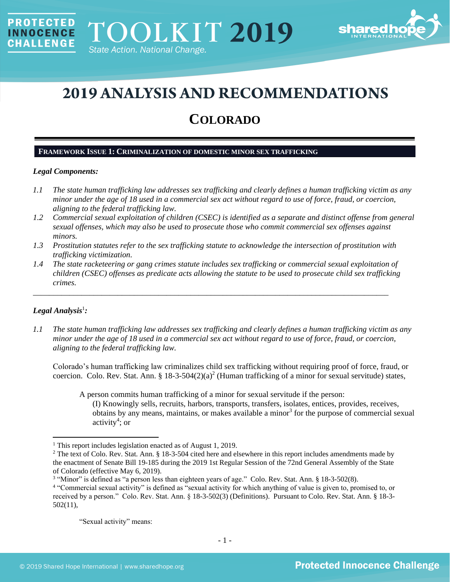

# **2019 ANALYSIS AND RECOMMENDATIONS**

## **COLORADO**

## **FRAMEWORK ISSUE 1: CRIMINALIZATION OF DOMESTIC MINOR SEX TRAFFICKING**

## *Legal Components:*

**PROTECTED** 

**INNOCENCE CHALLENGE** 

- *1.1 The state human trafficking law addresses sex trafficking and clearly defines a human trafficking victim as any minor under the age of 18 used in a commercial sex act without regard to use of force, fraud, or coercion, aligning to the federal trafficking law.*
- *1.2 Commercial sexual exploitation of children (CSEC) is identified as a separate and distinct offense from general sexual offenses, which may also be used to prosecute those who commit commercial sex offenses against minors.*
- *1.3 Prostitution statutes refer to the sex trafficking statute to acknowledge the intersection of prostitution with trafficking victimization.*
- *1.4 The state racketeering or gang crimes statute includes sex trafficking or commercial sexual exploitation of children (CSEC) offenses as predicate acts allowing the statute to be used to prosecute child sex trafficking crimes.*

\_\_\_\_\_\_\_\_\_\_\_\_\_\_\_\_\_\_\_\_\_\_\_\_\_\_\_\_\_\_\_\_\_\_\_\_\_\_\_\_\_\_\_\_\_\_\_\_\_\_\_\_\_\_\_\_\_\_\_\_\_\_\_\_\_\_\_\_\_\_\_\_\_\_\_\_\_\_\_\_\_\_\_\_\_\_\_\_

## $Legal$  Analysis<sup>1</sup>:

*1.1 The state human trafficking law addresses sex trafficking and clearly defines a human trafficking victim as any minor under the age of 18 used in a commercial sex act without regard to use of force, fraud, or coercion, aligning to the federal trafficking law.*

Colorado's human trafficking law criminalizes child sex trafficking without requiring proof of force, fraud, or coercion. Colo. Rev. Stat. Ann. § 18-3-504 $(2)(a)^2$  (Human trafficking of a minor for sexual servitude) states,

A person commits human trafficking of a minor for sexual servitude if the person:

<span id="page-0-0"></span>(I) Knowingly sells, recruits, harbors, transports, transfers, isolates, entices, provides, receives, obtains by any means, maintains, or makes available a minor<sup>3</sup> for the purpose of commercial sexual activity<sup>4</sup>; or

"Sexual activity" means:

<sup>&</sup>lt;sup>1</sup> This report includes legislation enacted as of August 1, 2019.

 $2$  The text of Colo. Rev. Stat. Ann. § 18-3-504 cited here and elsewhere in this report includes amendments made by the enactment of Senate Bill 19-185 during the 2019 1st Regular Session of the 72nd General Assembly of the State of Colorado (effective May 6, 2019).

<sup>&</sup>lt;sup>3</sup> "Minor" is defined as "a person less than eighteen years of age." Colo. Rev. Stat. Ann. § 18-3-502(8).

<sup>4</sup> "Commercial sexual activity" is defined as "sexual activity for which anything of value is given to, promised to, or received by a person." Colo. Rev. Stat. Ann. § 18-3-502(3) (Definitions). Pursuant to Colo. Rev. Stat. Ann. § 18-3- 502(11),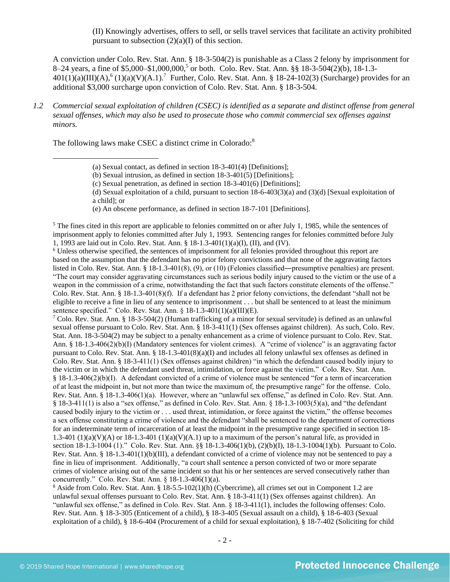<span id="page-1-1"></span><span id="page-1-0"></span>(II) Knowingly advertises, offers to sell, or sells travel services that facilitate an activity prohibited pursuant to subsection  $(2)(a)(I)$  of this section.

A conviction under Colo. Rev. Stat. Ann. § 18-3-504(2) is punishable as a Class 2 felony by imprisonment for 8–24 years, a fine of \$5,000–\$1,000,000, 5 or both. Colo. Rev. Stat. Ann. §§ 18-3-504(2)(b), 18-1.3-  $401(1)(a)(III)(A)$ ,  $(1)(a)(V)(A.1)$ .<sup>7</sup> Further, Colo. Rev. Stat. Ann. § 18-24-102(3) (Surcharge) provides for an additional \$3,000 surcharge upon conviction of Colo. Rev. Stat. Ann. § 18-3-504.

*1.2 Commercial sexual exploitation of children (CSEC) is identified as a separate and distinct offense from general sexual offenses, which may also be used to prosecute those who commit commercial sex offenses against minors.*

The following laws make CSEC a distinct crime in Colorado:<sup>8</sup>

(d) Sexual exploitation of a child, pursuant to section  $18-6-403(3)(a)$  and  $(3)(d)$  [Sexual exploitation of a child]; or

(e) An obscene performance, as defined in section 18-7-101 [Definitions].

 $<sup>5</sup>$  The fines cited in this report are applicable to felonies committed on or after July 1, 1985, while the sentences of</sup> imprisonment apply to felonies committed after July 1, 1993. Sentencing ranges for felonies committed before July 1, 1993 are laid out in Colo. Rev. Stat. Ann. § 18-1.3-401(1)(a)(I), (II), and (IV).

<sup>6</sup> Unless otherwise specified, the sentences of imprisonment for all felonies provided throughout this report are based on the assumption that the defendant has no prior felony convictions and that none of the aggravating factors listed in Colo. Rev. Stat. Ann. § 18-1.3-401(8), (9), or (10) (Felonies classified―presumptive penalties) are present. "The court may consider aggravating circumstances such as serious bodily injury caused to the victim or the use of a weapon in the commission of a crime, notwithstanding the fact that such factors constitute elements of the offense." Colo. Rev. Stat. Ann. § 18-1.3-401(8)(f). If a defendant has 2 prior felony convictions, the defendant "shall not be eligible to receive a fine in lieu of any sentence to imprisonment . . . but shall be sentenced to at least the minimum sentence specified." Colo. Rev. Stat. Ann. § 18-1.3-401(1)(a)(III)(E).

<sup>7</sup> Colo. Rev. Stat. Ann. § 18-3-504(2) (Human trafficking of a minor for sexual servitude) is defined as an unlawful sexual offense pursuant to Colo. Rev. Stat. Ann. § 18-3-411(1) (Sex offenses against children). As such, Colo. Rev. Stat. Ann. 18-3-504(2) may be subject to a penalty enhancement as a crime of violence pursuant to Colo. Rev. Stat. Ann. § 18-1.3-406(2)(b)(I) (Mandatory sentences for violent crimes). A "crime of violence" is an aggravating factor pursuant to Colo. Rev. Stat. Ann. § 18-1.3-401(8)(a)(I) and includes all felony unlawful sex offenses as defined in Colo. Rev. Stat. Ann. § 18-3-411(1) (Sex offenses against children) "in which the defendant caused bodily injury to the victim or in which the defendant used threat, intimidation, or force against the victim." Colo. Rev. Stat. Ann. § 18-1.3-406(2)(b)(I). A defendant convicted of a crime of violence must be sentenced "for a term of incarceration of at least the midpoint in, but not more than twice the maximum of, the presumptive range" for the offense. Colo. Rev. Stat. Ann. § 18-1.3-406(1)(a). However, where an "unlawful sex offense," as defined in Colo. Rev. Stat. Ann. § 18-3-411(1) is also a "sex offense," as defined in Colo. Rev. Stat. Ann. § 18-1.3-1003(5)(a), and "the defendant caused bodily injury to the victim or . . . used threat, intimidation, or force against the victim," the offense becomes a sex offense constituting a crime of violence and the defendant "shall be sentenced to the department of corrections for an indeterminate term of incarceration of at least the midpoint in the presumptive range specified in section 18- 1.3-401 (1)(a)(V)(A) or 18-1.3-401 (1)(a)(V)(A.1) up to a maximum of the person's natural life, as provided in section 18-1.3-1004 (1)." Colo. Rev. Stat. Ann. §§ 18-1.3-406(1)(b), (2)(b)(I), 18-1.3-1004(1)(b). Pursuant to Colo. Rev. Stat. Ann. § 18-1.3-401(1)(b)(III), a defendant convicted of a crime of violence may not be sentenced to pay a fine in lieu of imprisonment. Additionally, "a court shall sentence a person convicted of two or more separate crimes of violence arising out of the same incident so that his or her sentences are served consecutively rather than concurrently." Colo. Rev. Stat. Ann. § 18-1.3-406(1)(a).

<sup>8</sup> Aside from Colo. Rev. Stat. Ann. § 18-5.5-102(1)(h) (Cybercrime), all crimes set out in Component 1.2 are unlawful sexual offenses pursuant to Colo. Rev. Stat. Ann. § 18-3-411(1) (Sex offenses against children). An "unlawful sex offense," as defined in Colo. Rev. Stat. Ann. § 18-3-411(1), includes the following offenses: Colo. Rev. Stat. Ann. § 18-3-305 (Enticement of a child), § 18-3-405 (Sexual assault on a child), § 18-6-403 (Sexual exploitation of a child), § 18-6-404 (Procurement of a child for sexual exploitation), § 18-7-402 (Soliciting for child

<span id="page-1-2"></span><sup>(</sup>a) Sexual contact, as defined in section 18-3-401(4) [Definitions];

<sup>(</sup>b) Sexual intrusion, as defined in section 18-3-401(5) [Definitions];

<sup>(</sup>c) Sexual penetration, as defined in section 18-3-401(6) [Definitions];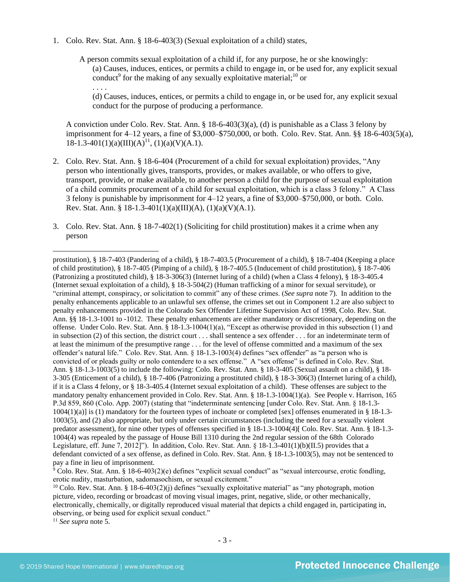- 1. Colo. Rev. Stat. Ann. § 18-6-403(3) (Sexual exploitation of a child) states,
	- A person commits sexual exploitation of a child if, for any purpose, he or she knowingly: (a) Causes, induces, entices, or permits a child to engage in, or be used for, any explicit sexual conduct<sup>9</sup> for the making of any sexually exploitative material;<sup>10</sup> or . . . .

<span id="page-2-1"></span><span id="page-2-0"></span>(d) Causes, induces, entices, or permits a child to engage in, or be used for, any explicit sexual conduct for the purpose of producing a performance.

A conviction under Colo. Rev. Stat. Ann. § 18-6-403(3)(a), (d) is punishable as a Class 3 felony by imprisonment for 4–12 years, a fine of \$3,000–\$750,000, or both. Colo. Rev. Stat. Ann. §§ 18-6-403(5)(a),  $18-1.3-401(1)(a)(III)(A)^{11}$ ,  $(1)(a)(V)(A.1)$ .

- 2. Colo. Rev. Stat. Ann. § 18-6-404 (Procurement of a child for sexual exploitation) provides, "Any person who intentionally gives, transports, provides, or makes available, or who offers to give, transport, provide, or make available, to another person a child for the purpose of sexual exploitation of a child commits procurement of a child for sexual exploitation, which is a class 3 felony." A Class 3 felony is punishable by imprisonment for 4–12 years, a fine of \$3,000–\$750,000, or both. Colo. Rev. Stat. Ann. § 18-1.3-401(1)(a)(III)(A), (1)(a)(V)(A.1).
- 3. Colo. Rev. Stat. Ann. § 18-7-402(1) (Soliciting for child prostitution) makes it a crime when any person

 $9^9$  Colo. Rev. Stat. Ann. § 18-6-403(2)(e) defines "explicit sexual conduct" as "sexual intercourse, erotic fondling, erotic nudity, masturbation, sadomasochism, or sexual excitement."

<sup>10</sup> Colo. Rev. Stat. Ann. § 18-6-403(2)(j) defines "sexually exploitative material" as "any photograph, motion picture, video, recording or broadcast of moving visual images, print, negative, slide, or other mechanically, electronically, chemically, or digitally reproduced visual material that depicts a child engaged in, participating in, observing, or being used for explicit sexual conduct."

<sup>11</sup> *See supra* note [5.](#page-1-1)

prostitution), § 18-7-403 (Pandering of a child), § 18-7-403.5 (Procurement of a child), § 18-7-404 (Keeping a place of child prostitution), § 18-7-405 (Pimping of a child), § 18-7-405.5 (Inducement of child prostitution), § 18-7-406 (Patronizing a prostituted child), § 18-3-306(3) (Internet luring of a child) (when a Class 4 felony), § 18-3-405.4 (Internet sexual exploitation of a child), § 18-3-504(2) (Human trafficking of a minor for sexual servitude), or "criminal attempt, conspiracy, or solicitation to commit" any of these crimes. (*See supra* note [7\)](#page-1-0). In addition to the penalty enhancements applicable to an unlawful sex offense, the crimes set out in Component 1.2 are also subject to penalty enhancements provided in the Colorado Sex Offender Lifetime Supervision Act of 1998, Colo. Rev. Stat. Ann. §§ 18-1.3-1001 to -1012. These penalty enhancements are either mandatory or discretionary, depending on the offense. Under Colo. Rev. Stat. Ann. § 18-1.3-1004(1)(a), "Except as otherwise provided in this subsection (1) and in subsection (2) of this section, the district court . . . shall sentence a sex offender . . . for an indeterminate term of at least the minimum of the presumptive range . . . for the level of offense committed and a maximum of the sex offender's natural life." Colo. Rev. Stat. Ann. § 18-1.3-1003(4) defines "sex offender" as "a person who is convicted of or pleads guilty or nolo contendere to a sex offense." A "sex offense" is defined in Colo. Rev. Stat. Ann. § 18-1.3-1003(5) to include the following: Colo. Rev. Stat. Ann. § 18-3-405 (Sexual assault on a child), § 18- 3-305 (Enticement of a child), § 18-7-406 (Patronizing a prostituted child), § 18-3-306(3) (Internet luring of a child), if it is a Class 4 felony, or § 18-3-405.4 (Internet sexual exploitation of a child). These offenses are subject to the mandatory penalty enhancement provided in Colo. Rev. Stat. Ann. § 18-1.3-1004(1)(a). See People v. Harrison, 165 P.3d 859, 860 (Colo. App. 2007) (stating that "indeterminate sentencing [under Colo. Rev. Stat. Ann. § 18-1.3- 1004(1)(a)] is (1) mandatory for the fourteen types of inchoate or completed [sex] offenses enumerated in § 18-1.3- 1003(5), and (2) also appropriate, but only under certain circumstances (including the need for a sexually violent predator assessment), for nine other types of offenses specified in § 18-1.3-1004(4)[ Colo. Rev. Stat. Ann. § 18-1.3- 1004(4) was repealed by the passage of House Bill 1310 during the 2nd regular session of the 68th Colorado Legislature, eff. June 7, 2012]"). In addition, Colo. Rev. Stat. Ann. § 18-1.3-401(1)(b)(II.5) provides that a defendant convicted of a sex offense, as defined in Colo. Rev. Stat. Ann. § 18-1.3-1003(5), may not be sentenced to pay a fine in lieu of imprisonment.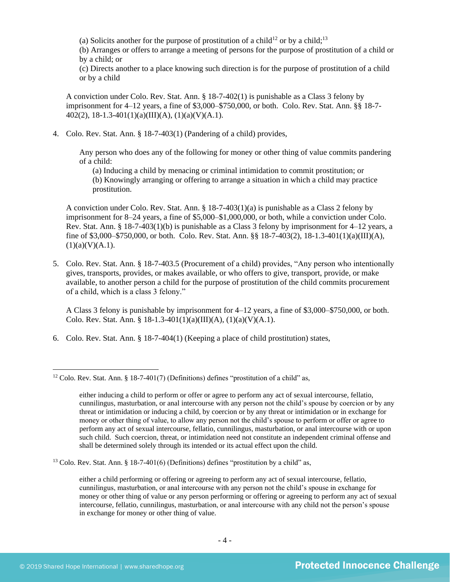<span id="page-3-1"></span><span id="page-3-0"></span>(a) Solicits another for the purpose of prostitution of a child<sup>12</sup> or by a child;<sup>13</sup>

(b) Arranges or offers to arrange a meeting of persons for the purpose of prostitution of a child or by a child; or

(c) Directs another to a place knowing such direction is for the purpose of prostitution of a child or by a child

A conviction under Colo. Rev. Stat. Ann. § 18-7-402(1) is punishable as a Class 3 felony by imprisonment for 4–12 years, a fine of \$3,000–\$750,000, or both. Colo. Rev. Stat. Ann. §§ 18-7- 402(2), 18-1.3-401(1)(a)(III)(A), (1)(a)(V)(A.1).

4. Colo. Rev. Stat. Ann. § 18-7-403(1) (Pandering of a child) provides,

Any person who does any of the following for money or other thing of value commits pandering of a child:

(a) Inducing a child by menacing or criminal intimidation to commit prostitution; or (b) Knowingly arranging or offering to arrange a situation in which a child may practice prostitution.

A conviction under Colo. Rev. Stat. Ann. § 18-7-403(1)(a) is punishable as a Class 2 felony by imprisonment for 8–24 years, a fine of \$5,000–\$1,000,000, or both, while a conviction under Colo. Rev. Stat. Ann. § 18-7-403(1)(b) is punishable as a Class 3 felony by imprisonment for 4–12 years, a fine of \$3,000–\$750,000, or both. Colo. Rev. Stat. Ann. §§ 18-7-403(2), 18-1.3-401(1)(a)(III)(A),  $(1)(a)(V)(A.1).$ 

5. Colo. Rev. Stat. Ann. § 18-7-403.5 (Procurement of a child) provides, "Any person who intentionally gives, transports, provides, or makes available, or who offers to give, transport, provide, or make available, to another person a child for the purpose of prostitution of the child commits procurement of a child, which is a class 3 felony."

A Class 3 felony is punishable by imprisonment for 4–12 years, a fine of \$3,000–\$750,000, or both. Colo. Rev. Stat. Ann. § 18-1.3-401(1)(a)(III)(A), (1)(a)(V)(A.1).

6. Colo. Rev. Stat. Ann. § 18-7-404(1) (Keeping a place of child prostitution) states,

<sup>13</sup> Colo. Rev. Stat. Ann. § 18-7-401(6) (Definitions) defines "prostitution by a child" as,

either a child performing or offering or agreeing to perform any act of sexual intercourse, fellatio, cunnilingus, masturbation, or anal intercourse with any person not the child's spouse in exchange for money or other thing of value or any person performing or offering or agreeing to perform any act of sexual intercourse, fellatio, cunnilingus, masturbation, or anal intercourse with any child not the person's spouse in exchange for money or other thing of value.

<sup>&</sup>lt;sup>12</sup> Colo. Rev. Stat. Ann. § 18-7-401(7) (Definitions) defines "prostitution of a child" as,

either inducing a child to perform or offer or agree to perform any act of sexual intercourse, fellatio, cunnilingus, masturbation, or anal intercourse with any person not the child's spouse by coercion or by any threat or intimidation or inducing a child, by coercion or by any threat or intimidation or in exchange for money or other thing of value, to allow any person not the child's spouse to perform or offer or agree to perform any act of sexual intercourse, fellatio, cunnilingus, masturbation, or anal intercourse with or upon such child. Such coercion, threat, or intimidation need not constitute an independent criminal offense and shall be determined solely through its intended or its actual effect upon the child.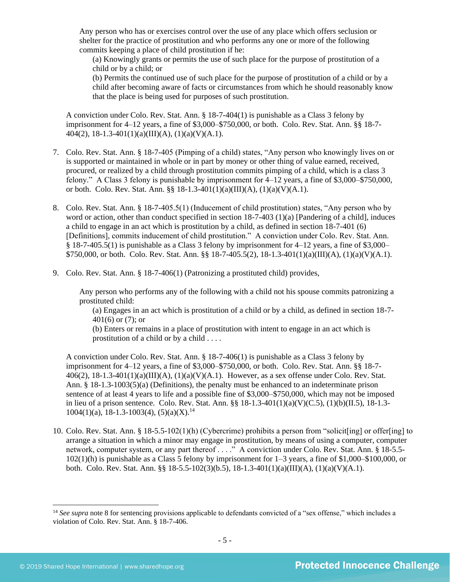Any person who has or exercises control over the use of any place which offers seclusion or shelter for the practice of prostitution and who performs any one or more of the following commits keeping a place of child prostitution if he:

(a) Knowingly grants or permits the use of such place for the purpose of prostitution of a child or by a child; or

(b) Permits the continued use of such place for the purpose of prostitution of a child or by a child after becoming aware of facts or circumstances from which he should reasonably know that the place is being used for purposes of such prostitution.

A conviction under Colo. Rev. Stat. Ann. § 18-7-404(1) is punishable as a Class 3 felony by imprisonment for 4–12 years, a fine of \$3,000–\$750,000, or both. Colo. Rev. Stat. Ann. §§ 18-7-  $404(2)$ , 18-1.3-401(1)(a)(III)(A), (1)(a)(V)(A.1).

- 7. Colo. Rev. Stat. Ann. § 18-7-405 (Pimping of a child) states, "Any person who knowingly lives on or is supported or maintained in whole or in part by money or other thing of value earned, received, procured, or realized by a child through prostitution commits pimping of a child, which is a class 3 felony." A Class 3 felony is punishable by imprisonment for 4–12 years, a fine of \$3,000–\$750,000, or both. Colo. Rev. Stat. Ann. §§ 18-1.3-401(1)(a)(III)(A), (1)(a)(V)(A.1).
- 8. Colo. Rev. Stat. Ann. § 18-7-405.5(1) (Inducement of child prostitution) states, "Any person who by word or action, other than conduct specified in section 18-7-403 (1)(a) [Pandering of a child], induces a child to engage in an act which is prostitution by a child, as defined in section 18-7-401 (6) [Definitions], commits inducement of child prostitution." A conviction under Colo. Rev. Stat. Ann. § 18-7-405.5(1) is punishable as a Class 3 felony by imprisonment for 4–12 years, a fine of \$3,000– \$750,000, or both. Colo. Rev. Stat. Ann. §§ 18-7-405.5(2), 18-1.3-401(1)(a)(III)(A), (1)(a)(V)(A.1).
- 9. Colo. Rev. Stat. Ann. § 18-7-406(1) (Patronizing a prostituted child) provides,

Any person who performs any of the following with a child not his spouse commits patronizing a prostituted child:

(a) Engages in an act which is prostitution of a child or by a child, as defined in section 18-7- 401(6) or (7); or

(b) Enters or remains in a place of prostitution with intent to engage in an act which is prostitution of a child or by a child . . . .

A conviction under Colo. Rev. Stat. Ann. § 18-7-406(1) is punishable as a Class 3 felony by imprisonment for 4–12 years, a fine of \$3,000–\$750,000, or both. Colo. Rev. Stat. Ann. §§ 18-7-  $406(2)$ ,  $18-1.3-401(1)(a)(III)(A)$ ,  $(1)(a)(V)(A.1)$ . However, as a sex offense under Colo. Rev. Stat. Ann. § 18-1.3-1003(5)(a) (Definitions), the penalty must be enhanced to an indeterminate prison sentence of at least 4 years to life and a possible fine of \$3,000–\$750,000, which may not be imposed in lieu of a prison sentence. Colo. Rev. Stat. Ann. §§ 18-1.3-401(1)(a)(V)(C.5), (1)(b)(II.5), 18-1.3-  $1004(1)(a)$ , 18-1.3-1003(4), (5)(a)(X).<sup>14</sup>

10. Colo. Rev. Stat. Ann. § 18-5.5-102(1)(h) (Cybercrime) prohibits a person from "solicit[ing] or offer[ing] to arrange a situation in which a minor may engage in prostitution, by means of using a computer, computer network, computer system, or any part thereof . . . ." A conviction under Colo. Rev. Stat. Ann. § 18-5.5-102(1)(h) is punishable as a Class 5 felony by imprisonment for 1–3 years, a fine of \$1,000–\$100,000, or both. Colo. Rev. Stat. Ann. §§ 18-5.5-102(3)(b.5), 18-1.3-401(1)(a)(III)(A), (1)(a)(V)(A.1).

<sup>&</sup>lt;sup>14</sup> See supra note [8](#page-1-2) for sentencing provisions applicable to defendants convicted of a "sex offense," which includes a violation of Colo. Rev. Stat. Ann. § 18-7-406.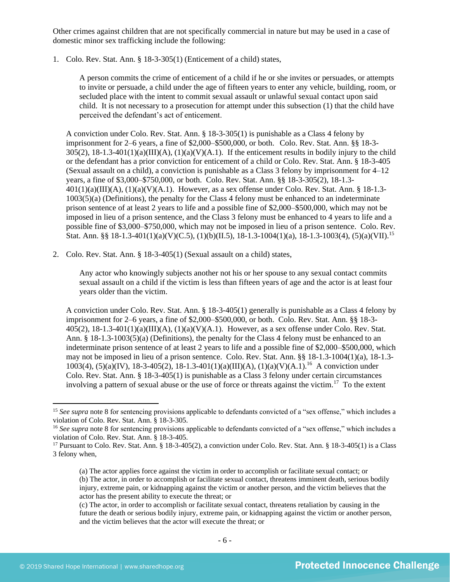Other crimes against children that are not specifically commercial in nature but may be used in a case of domestic minor sex trafficking include the following:

1. Colo. Rev. Stat. Ann. § 18-3-305(1) (Enticement of a child) states,

A person commits the crime of enticement of a child if he or she invites or persuades, or attempts to invite or persuade, a child under the age of fifteen years to enter any vehicle, building, room, or secluded place with the intent to commit sexual assault or unlawful sexual contact upon said child. It is not necessary to a prosecution for attempt under this subsection (1) that the child have perceived the defendant's act of enticement.

A conviction under Colo. Rev. Stat. Ann. § 18-3-305(1) is punishable as a Class 4 felony by imprisonment for 2–6 years, a fine of \$2,000–\$500,000, or both. Colo. Rev. Stat. Ann. §§ 18-3-  $305(2)$ ,  $18-1.3-401(1)(a)(III)(A)$ ,  $(1)(a)(V)(A.1)$ . If the enticement results in bodily injury to the child or the defendant has a prior conviction for enticement of a child or Colo. Rev. Stat. Ann. § 18-3-405 (Sexual assault on a child), a conviction is punishable as a Class 3 felony by imprisonment for  $4-12$ years, a fine of \$3,000–\$750,000, or both. Colo. Rev. Stat. Ann. §§ 18-3-305(2), 18-1.3-  $401(1)(a)(III)(A), (1)(a)(V)(A.1)$ . However, as a sex offense under Colo. Rev. Stat. Ann. § 18-1.3-1003(5)(a) (Definitions), the penalty for the Class 4 felony must be enhanced to an indeterminate prison sentence of at least 2 years to life and a possible fine of \$2,000–\$500,000, which may not be imposed in lieu of a prison sentence, and the Class 3 felony must be enhanced to 4 years to life and a possible fine of \$3,000–\$750,000, which may not be imposed in lieu of a prison sentence. Colo. Rev. Stat. Ann. §§ 18-1.3-401(1)(a)(V)(C.5), (1)(b)(II.5), 18-1.3-1004(1)(a), 18-1.3-1003(4), (5)(a)(VII).<sup>15</sup>

2. Colo. Rev. Stat. Ann. § 18-3-405(1) (Sexual assault on a child) states,

Any actor who knowingly subjects another not his or her spouse to any sexual contact commits sexual assault on a child if the victim is less than fifteen years of age and the actor is at least four years older than the victim.

A conviction under Colo. Rev. Stat. Ann. § 18-3-405(1) generally is punishable as a Class 4 felony by imprisonment for 2–6 years, a fine of \$2,000–\$500,000, or both. Colo. Rev. Stat. Ann. §§ 18-3-  $405(2)$ ,  $18-1.3-401(1)(a)(III)(A)$ ,  $(1)(a)(V)(A.1)$ . However, as a sex offense under Colo. Rev. Stat. Ann. § 18-1.3-1003(5)(a) (Definitions), the penalty for the Class 4 felony must be enhanced to an indeterminate prison sentence of at least 2 years to life and a possible fine of \$2,000–\$500,000, which may not be imposed in lieu of a prison sentence. Colo. Rev. Stat. Ann. §§ 18-1.3-1004(1)(a), 18-1.3- 1003(4), (5)(a)(IV), 18-3-405(2), 18-1.3-401(1)(a)(III)(A), (1)(a)(V)(A.1).<sup>16</sup> A conviction under Colo. Rev. Stat. Ann. § 18-3-405(1) is punishable as a Class 3 felony under certain circumstances involving a pattern of sexual abuse or the use of force or threats against the victim.<sup>17</sup> To the extent

<sup>&</sup>lt;sup>15</sup> See supra note [8](#page-1-2) for sentencing provisions applicable to defendants convicted of a "sex offense," which includes a violation of Colo. Rev. Stat. Ann. § 18-3-305.

<sup>&</sup>lt;sup>16</sup> See supra note [8](#page-1-2) for sentencing provisions applicable to defendants convicted of a "sex offense," which includes a violation of Colo. Rev. Stat. Ann. § 18-3-405.

<sup>17</sup> Pursuant to Colo. Rev. Stat. Ann. § 18-3-405(2), a conviction under Colo. Rev. Stat. Ann. § 18-3-405(1) is a Class 3 felony when,

<sup>(</sup>a) The actor applies force against the victim in order to accomplish or facilitate sexual contact; or (b) The actor, in order to accomplish or facilitate sexual contact, threatens imminent death, serious bodily injury, extreme pain, or kidnapping against the victim or another person, and the victim believes that the actor has the present ability to execute the threat; or

<sup>(</sup>c) The actor, in order to accomplish or facilitate sexual contact, threatens retaliation by causing in the future the death or serious bodily injury, extreme pain, or kidnapping against the victim or another person, and the victim believes that the actor will execute the threat; or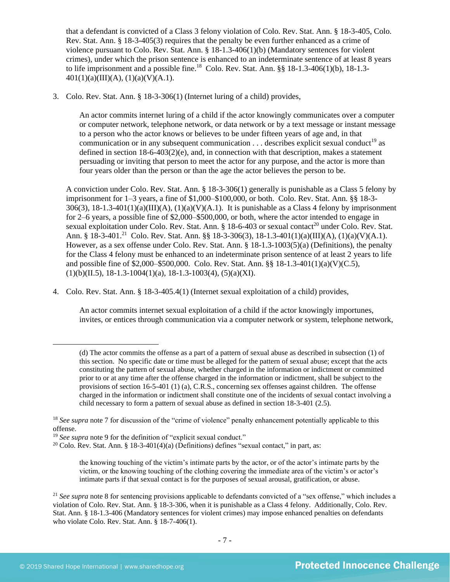that a defendant is convicted of a Class 3 felony violation of Colo. Rev. Stat. Ann. § 18-3-405, Colo. Rev. Stat. Ann. § 18-3-405(3) requires that the penalty be even further enhanced as a crime of violence pursuant to Colo. Rev. Stat. Ann. § 18-1.3-406(1)(b) (Mandatory sentences for violent crimes), under which the prison sentence is enhanced to an indeterminate sentence of at least 8 years to life imprisonment and a possible fine.<sup>18</sup> Colo. Rev. Stat. Ann.  $\S$ § 18-1.3-406(1)(b), 18-1.3- $401(1)(a)(III)(A), (1)(a)(V)(A.1).$ 

3. Colo. Rev. Stat. Ann. § 18-3-306(1) (Internet luring of a child) provides,

An actor commits internet luring of a child if the actor knowingly communicates over a computer or computer network, telephone network, or data network or by a text message or instant message to a person who the actor knows or believes to be under fifteen years of age and, in that communication or in any subsequent communication  $\dots$  describes explicit sexual conduct<sup>19</sup> as defined in section  $18-6-403(2)(e)$ , and, in connection with that description, makes a statement persuading or inviting that person to meet the actor for any purpose, and the actor is more than four years older than the person or than the age the actor believes the person to be.

A conviction under Colo. Rev. Stat. Ann. § 18-3-306(1) generally is punishable as a Class 5 felony by imprisonment for 1–3 years, a fine of \$1,000–\$100,000, or both. Colo. Rev. Stat. Ann. §§ 18-3-  $306(3)$ ,  $18-1.3-401(1)(a)(III)(A)$ ,  $(1)(a)(V)(A.1)$ . It is punishable as a Class 4 felony by imprisonment for 2–6 years, a possible fine of \$2,000–\$500,000, or both, where the actor intended to engage in sexual exploitation under Colo. Rev. Stat. Ann. § 18-6-403 or sexual contact<sup>20</sup> under Colo. Rev. Stat. Ann. § 18-3-401.<sup>21</sup> Colo. Rev. Stat. Ann. §§ 18-3-306(3), 18-1.3-401(1)(a)(III)(A), (1)(a)(V)(A.1). However, as a sex offense under Colo. Rev. Stat. Ann. § 18-1.3-1003(5)(a) (Definitions), the penalty for the Class 4 felony must be enhanced to an indeterminate prison sentence of at least 2 years to life and possible fine of \$2,000–\$500,000. Colo. Rev. Stat. Ann. §§ 18-1.3-401(1)(a)(V)(C.5),  $(1)(b)(II.5), 18-1.3-1004(1)(a), 18-1.3-1003(4), (5)(a)(XI).$ 

4. Colo. Rev. Stat. Ann. § 18-3-405.4(1) (Internet sexual exploitation of a child) provides,

An actor commits internet sexual exploitation of a child if the actor knowingly importunes, invites, or entices through communication via a computer network or system, telephone network,

the knowing touching of the victim's intimate parts by the actor, or of the actor's intimate parts by the victim, or the knowing touching of the clothing covering the immediate area of the victim's or actor's intimate parts if that sexual contact is for the purposes of sexual arousal, gratification, or abuse.

<sup>(</sup>d) The actor commits the offense as a part of a pattern of sexual abuse as described in subsection (1) of this section. No specific date or time must be alleged for the pattern of sexual abuse; except that the acts constituting the pattern of sexual abuse, whether charged in the information or indictment or committed prior to or at any time after the offense charged in the information or indictment, shall be subject to the provisions of section 16-5-401 (1) (a), C.R.S., concerning sex offenses against children. The offense charged in the information or indictment shall constitute one of the incidents of sexual contact involving a child necessary to form a pattern of sexual abuse as defined in section 18-3-401 (2.5).

<sup>&</sup>lt;sup>18</sup> See supra note [7](#page-1-0) for discussion of the "crime of violence" penalty enhancement potentially applicable to this offense.

<sup>&</sup>lt;sup>19</sup> See supra note [9](#page-2-0) for the definition of "explicit sexual conduct."

<sup>&</sup>lt;sup>20</sup> Colo. Rev. Stat. Ann. § 18-3-401(4)(a) (Definitions) defines "sexual contact," in part, as:

<sup>&</sup>lt;sup>21</sup> *See supra* note [8](#page-1-2) for sentencing provisions applicable to defendants convicted of a "sex offense," which includes a violation of Colo. Rev. Stat. Ann. § 18-3-306, when it is punishable as a Class 4 felony. Additionally, Colo. Rev. Stat. Ann. § 18-1.3-406 (Mandatory sentences for violent crimes) may impose enhanced penalties on defendants who violate Colo. Rev. Stat. Ann. § 18-7-406(1).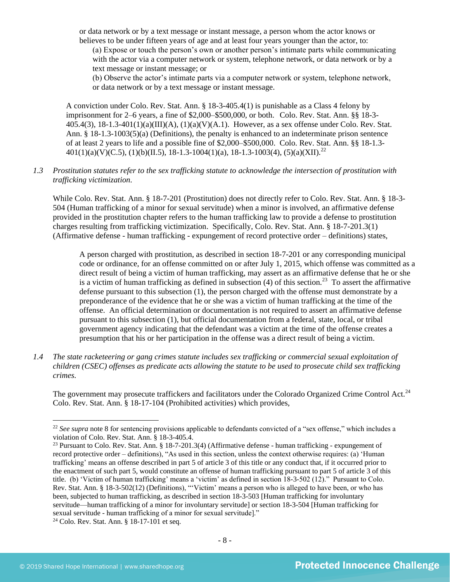or data network or by a text message or instant message, a person whom the actor knows or believes to be under fifteen years of age and at least four years younger than the actor, to:

(a) Expose or touch the person's own or another person's intimate parts while communicating with the actor via a computer network or system, telephone network, or data network or by a text message or instant message; or

(b) Observe the actor's intimate parts via a computer network or system, telephone network, or data network or by a text message or instant message.

A conviction under Colo. Rev. Stat. Ann. § 18-3-405.4(1) is punishable as a Class 4 felony by imprisonment for 2–6 years, a fine of \$2,000–\$500,000, or both. Colo. Rev. Stat. Ann. §§ 18-3-  $405.4(3)$ ,  $18-1.3-401(1)(a)(III)(A)$ ,  $(1)(a)(V)(A.1)$ . However, as a sex offense under Colo. Rev. Stat. Ann. § 18-1.3-1003(5)(a) (Definitions), the penalty is enhanced to an indeterminate prison sentence of at least 2 years to life and a possible fine of \$2,000–\$500,000. Colo. Rev. Stat. Ann. §§ 18-1.3-  $401(1)(a)(V)(C.5), (1)(b)(II.5), 18-1.3-1004(1)(a), 18-1.3-1003(4), (5)(a)(XII).$ <sup>22</sup>

## *1.3 Prostitution statutes refer to the sex trafficking statute to acknowledge the intersection of prostitution with trafficking victimization.*

While Colo. Rev. Stat. Ann. § 18-7-201 (Prostitution) does not directly refer to Colo. Rev. Stat. Ann. § 18-3-504 (Human trafficking of a minor for sexual servitude) when a minor is involved, an affirmative defense provided in the prostitution chapter refers to the human trafficking law to provide a defense to prostitution charges resulting from trafficking victimization. Specifically, Colo. Rev. Stat. Ann. § 18-7-201.3(1) (Affirmative defense - human trafficking - expungement of record protective order – definitions) states,

A person charged with prostitution, as described in section 18-7-201 or any corresponding municipal code or ordinance, for an offense committed on or after July 1, 2015, which offense was committed as a direct result of being a victim of human trafficking, may assert as an affirmative defense that he or she is a victim of human trafficking as defined in subsection  $(4)$  of this section.<sup>23</sup> To assert the affirmative defense pursuant to this subsection (1), the person charged with the offense must demonstrate by a preponderance of the evidence that he or she was a victim of human trafficking at the time of the offense. An official determination or documentation is not required to assert an affirmative defense pursuant to this subsection (1), but official documentation from a federal, state, local, or tribal government agency indicating that the defendant was a victim at the time of the offense creates a presumption that his or her participation in the offense was a direct result of being a victim.

*1.4 The state racketeering or gang crimes statute includes sex trafficking or commercial sexual exploitation of children (CSEC) offenses as predicate acts allowing the statute to be used to prosecute child sex trafficking crimes.* 

The government may prosecute traffickers and facilitators under the Colorado Organized Crime Control Act.<sup>24</sup> Colo. Rev. Stat. Ann. § 18-17-104 (Prohibited activities) which provides,

<sup>&</sup>lt;sup>22</sup> See supra note [8](#page-1-2) for sentencing provisions applicable to defendants convicted of a "sex offense," which includes a violation of Colo. Rev. Stat. Ann. § 18-3-405.4.

<sup>23</sup> Pursuant to Colo. Rev. Stat. Ann. § 18-7-201.3(4) (Affirmative defense - human trafficking - expungement of record protective order – definitions), "As used in this section, unless the context otherwise requires: (a) 'Human trafficking' means an offense described in part 5 of article 3 of this title or any conduct that, if it occurred prior to the enactment of such part 5, would constitute an offense of human trafficking pursuant to part 5 of article 3 of this title. (b) 'Victim of human trafficking' means a 'victim' as defined in section 18-3-502 (12)." Pursuant to Colo. Rev. Stat. Ann. § 18-3-502(12) (Definitions), "'Victim' means a person who is alleged to have been, or who has been, subjected to human trafficking, as described in section 18-3-503 [Human trafficking for involuntary servitude—human trafficking of a minor for involuntary servitude] or section 18-3-504 [Human trafficking for sexual servitude - human trafficking of a minor for sexual servitude]."

<sup>24</sup> Colo. Rev. Stat. Ann. § 18-17-101 et seq.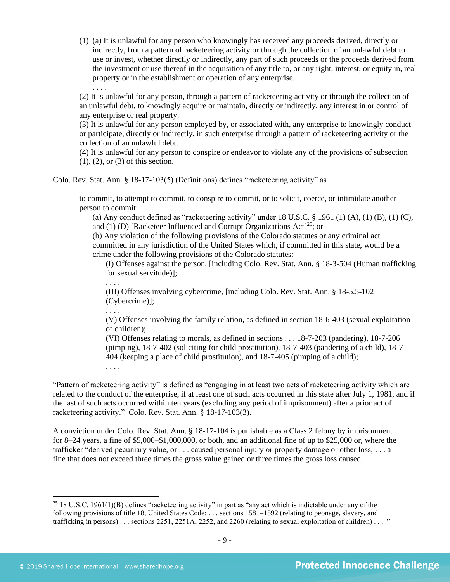(1) (a) It is unlawful for any person who knowingly has received any proceeds derived, directly or indirectly, from a pattern of racketeering activity or through the collection of an unlawful debt to use or invest, whether directly or indirectly, any part of such proceeds or the proceeds derived from the investment or use thereof in the acquisition of any title to, or any right, interest, or equity in, real property or in the establishment or operation of any enterprise.

(2) It is unlawful for any person, through a pattern of racketeering activity or through the collection of an unlawful debt, to knowingly acquire or maintain, directly or indirectly, any interest in or control of any enterprise or real property.

(3) It is unlawful for any person employed by, or associated with, any enterprise to knowingly conduct or participate, directly or indirectly, in such enterprise through a pattern of racketeering activity or the collection of an unlawful debt.

(4) It is unlawful for any person to conspire or endeavor to violate any of the provisions of subsection (1), (2), or (3) of this section.

Colo. Rev. Stat. Ann. § 18-17-103(5) (Definitions) defines "racketeering activity" as

to commit, to attempt to commit, to conspire to commit, or to solicit, coerce, or intimidate another person to commit:

(a) Any conduct defined as "racketeering activity" under  $18$  U.S.C.  $\S$  1961 (1) (A), (1) (B), (1) (C), and (1) (D) [Racketeer Influenced and Corrupt Organizations  $Act$ <sup>[25</sup>; or

(b) Any violation of the following provisions of the Colorado statutes or any criminal act committed in any jurisdiction of the United States which, if committed in this state, would be a crime under the following provisions of the Colorado statutes:

(I) Offenses against the person, [including Colo. Rev. Stat. Ann. § 18-3-504 (Human trafficking for sexual servitude)];

(III) Offenses involving cybercrime, [including Colo. Rev. Stat. Ann. § 18-5.5-102 (Cybercrime)];

. . . .

. . . .

. . . .

. . . .

(V) Offenses involving the family relation, as defined in section 18-6-403 (sexual exploitation of children);

(VI) Offenses relating to morals, as defined in sections . . . 18-7-203 (pandering), 18-7-206 (pimping), 18-7-402 (soliciting for child prostitution), 18-7-403 (pandering of a child), 18-7- 404 (keeping a place of child prostitution), and 18-7-405 (pimping of a child);

"Pattern of racketeering activity" is defined as "engaging in at least two acts of racketeering activity which are related to the conduct of the enterprise, if at least one of such acts occurred in this state after July 1, 1981, and if the last of such acts occurred within ten years (excluding any period of imprisonment) after a prior act of racketeering activity." Colo. Rev. Stat. Ann. § 18-17-103(3).

A conviction under Colo. Rev. Stat. Ann. § 18-17-104 is punishable as a Class 2 felony by imprisonment for 8–24 years, a fine of \$5,000–\$1,000,000, or both, and an additional fine of up to \$25,000 or, where the trafficker "derived pecuniary value, or . . . caused personal injury or property damage or other loss, . . . a fine that does not exceed three times the gross value gained or three times the gross loss caused,

 $25$  18 U.S.C. 1961(1)(B) defines "racketeering activity" in part as "any act which is indictable under any of the following provisions of title 18, United States Code: . . . sections 1581–1592 (relating to peonage, slavery, and trafficking in persons) . . . sections 2251, 2251A, 2252, and 2260 (relating to sexual exploitation of children) . . . ."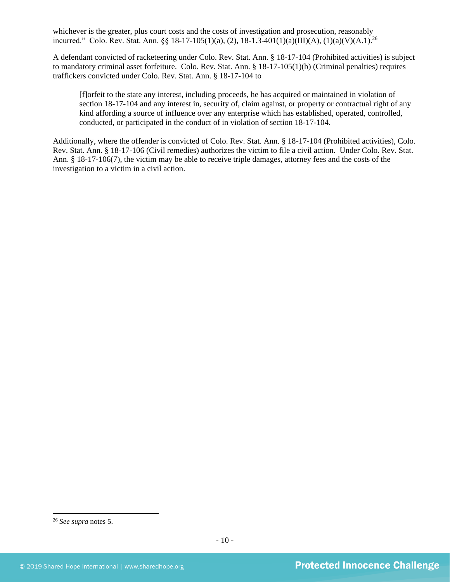whichever is the greater, plus court costs and the costs of investigation and prosecution, reasonably incurred." Colo. Rev. Stat. Ann. §§ 18-17-105(1)(a), (2), 18-1.3-401(1)(a)(III)(A), (1)(a)(V)(A.1).<sup>26</sup>

A defendant convicted of racketeering under Colo. Rev. Stat. Ann. § 18-17-104 (Prohibited activities) is subject to mandatory criminal asset forfeiture. Colo. Rev. Stat. Ann. § 18-17-105(1)(b) (Criminal penalties) requires traffickers convicted under Colo. Rev. Stat. Ann. § 18-17-104 to

[f]orfeit to the state any interest, including proceeds, he has acquired or maintained in violation of section 18-17-104 and any interest in, security of, claim against, or property or contractual right of any kind affording a source of influence over any enterprise which has established, operated, controlled, conducted, or participated in the conduct of in violation of section 18-17-104.

Additionally, where the offender is convicted of Colo. Rev. Stat. Ann. § 18-17-104 (Prohibited activities), Colo. Rev. Stat. Ann. § 18-17-106 (Civil remedies) authorizes the victim to file a civil action. Under Colo. Rev. Stat. Ann. § 18-17-106(7), the victim may be able to receive triple damages, attorney fees and the costs of the investigation to a victim in a civil action.

<sup>26</sup> *See supra* notes [5.](#page-1-1)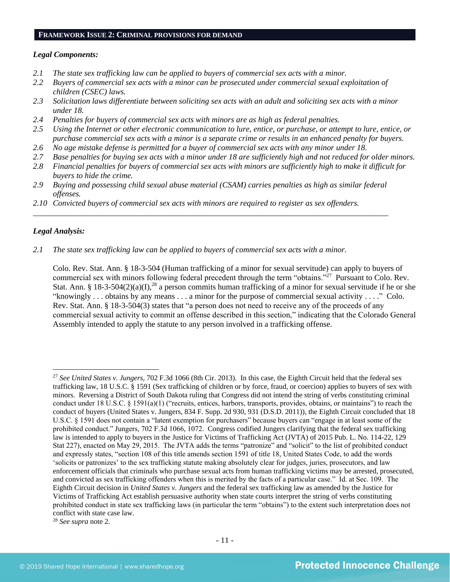#### **FRAMEWORK ISSUE 2: CRIMINAL PROVISIONS FOR DEMAND**

#### *Legal Components:*

- *2.1 The state sex trafficking law can be applied to buyers of commercial sex acts with a minor.*
- *2.2 Buyers of commercial sex acts with a minor can be prosecuted under commercial sexual exploitation of children (CSEC) laws.*
- *2.3 Solicitation laws differentiate between soliciting sex acts with an adult and soliciting sex acts with a minor under 18.*
- *2.4 Penalties for buyers of commercial sex acts with minors are as high as federal penalties.*
- *2.5 Using the Internet or other electronic communication to lure, entice, or purchase, or attempt to lure, entice, or purchase commercial sex acts with a minor is a separate crime or results in an enhanced penalty for buyers.*
- *2.6 No age mistake defense is permitted for a buyer of commercial sex acts with any minor under 18.*
- *2.7 Base penalties for buying sex acts with a minor under 18 are sufficiently high and not reduced for older minors.*
- *2.8 Financial penalties for buyers of commercial sex acts with minors are sufficiently high to make it difficult for buyers to hide the crime.*
- *2.9 Buying and possessing child sexual abuse material (CSAM) carries penalties as high as similar federal offenses.*

\_\_\_\_\_\_\_\_\_\_\_\_\_\_\_\_\_\_\_\_\_\_\_\_\_\_\_\_\_\_\_\_\_\_\_\_\_\_\_\_\_\_\_\_\_\_\_\_\_\_\_\_\_\_\_\_\_\_\_\_\_\_\_\_\_\_\_\_\_\_\_\_\_\_\_\_\_\_\_\_\_\_\_\_\_\_\_\_

*2.10 Convicted buyers of commercial sex acts with minors are required to register as sex offenders.* 

#### *Legal Analysis:*

*2.1 The state sex trafficking law can be applied to buyers of commercial sex acts with a minor.*

Colo. Rev. Stat. Ann. § 18-3-504 (Human trafficking of a minor for sexual servitude) can apply to buyers of commercial sex with minors following federal precedent through the term "obtains."<sup>27</sup> Pursuant to Colo. Rev. Stat. Ann. § 18-3-504(2)(a)(I),<sup>28</sup> a person commits human trafficking of a minor for sexual servitude if he or she "knowingly . . . obtains by any means . . . a minor for the purpose of commercial sexual activity . . . ." Colo. Rev. Stat. Ann. § 18-3-504(3) states that "a person does not need to receive any of the proceeds of any commercial sexual activity to commit an offense described in this section," indicating that the Colorado General Assembly intended to apply the statute to any person involved in a trafficking offense.

<sup>28</sup> *See supra* note [2.](#page-0-0)

<sup>27</sup> *See United States v. Jungers*, 702 F.3d 1066 (8th Cir. 2013). In this case, the Eighth Circuit held that the federal sex trafficking law, 18 U.S.C. § 1591 (Sex trafficking of children or by force, fraud, or coercion) applies to buyers of sex with minors. Reversing a District of South Dakota ruling that Congress did not intend the string of verbs constituting criminal conduct under 18 U.S.C. § 1591(a)(1) ("recruits, entices, harbors, transports, provides, obtains, or maintains") to reach the conduct of buyers (United States v. Jungers, 834 F. Supp. 2d 930, 931 (D.S.D. 2011)), the Eighth Circuit concluded that 18 U.S.C. § 1591 does not contain a "latent exemption for purchasers" because buyers can "engage in at least some of the prohibited conduct." Jungers, 702 F.3d 1066, 1072. Congress codified Jungers clarifying that the federal sex trafficking law is intended to apply to buyers in the Justice for Victims of Trafficking Act (JVTA) of 2015 Pub. L. No. 114-22, 129 Stat 227), enacted on May 29, 2015. The JVTA adds the terms "patronize" and "solicit" to the list of prohibited conduct and expressly states, "section 108 of this title amends section 1591 of title 18, United States Code, to add the words 'solicits or patronizes' to the sex trafficking statute making absolutely clear for judges, juries, prosecutors, and law enforcement officials that criminals who purchase sexual acts from human trafficking victims may be arrested, prosecuted, and convicted as sex trafficking offenders when this is merited by the facts of a particular case." Id. at Sec. 109. The Eighth Circuit decision in *United States v. Jungers* and the federal sex trafficking law as amended by the Justice for Victims of Trafficking Act establish persuasive authority when state courts interpret the string of verbs constituting prohibited conduct in state sex trafficking laws (in particular the term "obtains") to the extent such interpretation does not conflict with state case law.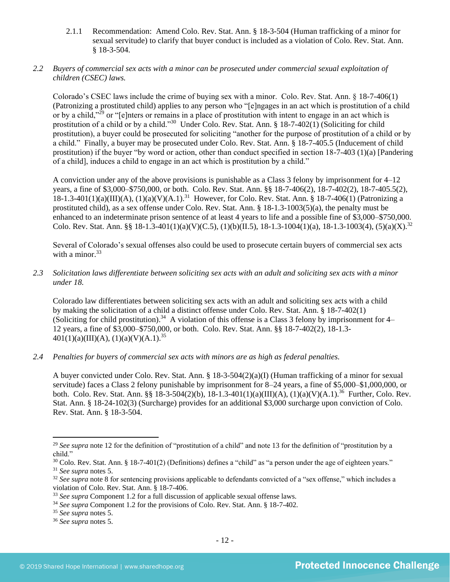2.1.1 Recommendation: Amend Colo. Rev. Stat. Ann. § 18-3-504 (Human trafficking of a minor for sexual servitude) to clarify that buyer conduct is included as a violation of Colo. Rev. Stat. Ann. § 18-3-504.

## *2.2 Buyers of commercial sex acts with a minor can be prosecuted under commercial sexual exploitation of children (CSEC) laws.*

Colorado's CSEC laws include the crime of buying sex with a minor. Colo. Rev. Stat. Ann. § 18-7-406(1) (Patronizing a prostituted child) applies to any person who "[e]ngages in an act which is prostitution of a child or by a child,"<sup>29</sup> or "[e]nters or remains in a place of prostitution with intent to engage in an act which is prostitution of a child or by a child."<sup>30</sup> Under Colo. Rev. Stat. Ann. § 18-7-402(1) (Soliciting for child prostitution), a buyer could be prosecuted for soliciting "another for the purpose of prostitution of a child or by a child." Finally, a buyer may be prosecuted under Colo. Rev. Stat. Ann. § 18-7-405.5 (Inducement of child prostitution) if the buyer "by word or action, other than conduct specified in section 18-7-403 (1)(a) [Pandering of a child], induces a child to engage in an act which is prostitution by a child."

A conviction under any of the above provisions is punishable as a Class 3 felony by imprisonment for 4–12 years, a fine of \$3,000–\$750,000, or both. Colo. Rev. Stat. Ann. §§ 18-7-406(2), 18-7-402(2), 18-7-405.5(2), 18-1.3-401(1)(a)(III)(A), (1)(a)(V)(A.1).<sup>31</sup> However, for Colo. Rev. Stat. Ann. § 18-7-406(1) (Patronizing a prostituted child), as a sex offense under Colo. Rev. Stat. Ann. § 18-1.3-1003(5)(a), the penalty must be enhanced to an indeterminate prison sentence of at least 4 years to life and a possible fine of \$3,000–\$750,000. Colo. Rev. Stat. Ann. §§ 18-1.3-401(1)(a)(V)(C.5), (1)(b)(II.5), 18-1.3-1004(1)(a), 18-1.3-1003(4), (5)(a)(X).<sup>32</sup>

Several of Colorado's sexual offenses also could be used to prosecute certain buyers of commercial sex acts with a minor. $33$ 

*2.3 Solicitation laws differentiate between soliciting sex acts with an adult and soliciting sex acts with a minor under 18.*

Colorado law differentiates between soliciting sex acts with an adult and soliciting sex acts with a child by making the solicitation of a child a distinct offense under Colo. Rev. Stat. Ann. § 18-7-402(1) (Soliciting for child prostitution).<sup>34</sup> A violation of this offense is a Class 3 felony by imprisonment for 4– 12 years, a fine of \$3,000–\$750,000, or both. Colo. Rev. Stat. Ann. §§ 18-7-402(2), 18-1.3-  $401(1)(a)(III)(A), (1)(a)(V)(A.1).$ <sup>35</sup>

## *2.4 Penalties for buyers of commercial sex acts with minors are as high as federal penalties.*

A buyer convicted under Colo. Rev. Stat. Ann. § 18-3-504(2)(a)(I) (Human trafficking of a minor for sexual servitude) faces a Class 2 felony punishable by imprisonment for 8–24 years, a fine of \$5,000–\$1,000,000, or both. Colo. Rev. Stat. Ann. §§ 18-3-504(2)(b), 18-1.3-401(1)(a)(III)(A), (1)(a)(V)(A.1).<sup>36</sup> Further, Colo. Rev. Stat. Ann. § 18-24-102(3) (Surcharge) provides for an additional \$3,000 surcharge upon conviction of Colo. Rev. Stat. Ann. § 18-3-504.

<sup>&</sup>lt;sup>29</sup> See supra note [12](#page-3-0) for the definition of "prostitution of a child" and note [13](#page-3-1) for the definition of "prostitution by a child."

 $30$  Colo. Rev. Stat. Ann. § 18-7-401(2) (Definitions) defines a "child" as "a person under the age of eighteen years." <sup>31</sup> *See supra* notes [5.](#page-1-1)

<sup>&</sup>lt;sup>32</sup> See supra note [8](#page-1-2) for sentencing provisions applicable to defendants convicted of a "sex offense," which includes a violation of Colo. Rev. Stat. Ann. § 18-7-406.

<sup>33</sup> *See supra* Component 1.2 for a full discussion of applicable sexual offense laws.

<sup>34</sup> *See supra* Component 1.2 for the provisions of Colo. Rev. Stat. Ann. § 18-7-402.

<sup>35</sup> *See supra* notes [5.](#page-1-1)

<sup>36</sup> *See supra* notes [5.](#page-1-1)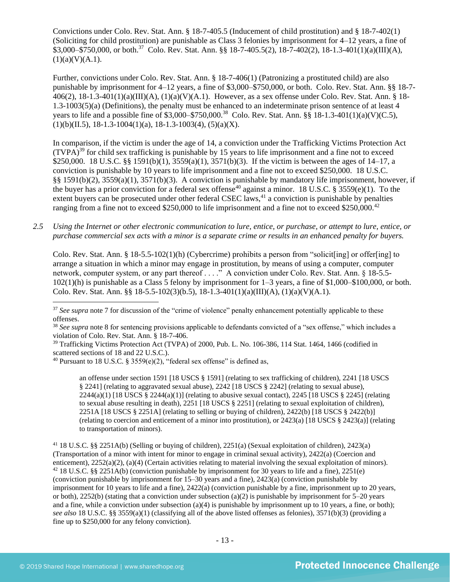Convictions under Colo. Rev. Stat. Ann. § 18-7-405.5 (Inducement of child prostitution) and § 18-7-402(1) (Soliciting for child prostitution) are punishable as Class 3 felonies by imprisonment for 4–12 years, a fine of  $$3,000-\$750,000$ , or both.<sup>37</sup> Colo. Rev. Stat. Ann. §§ 18-7-405.5(2), 18-7-402(2), 18-1.3-401(1)(a)(III)(A),  $(1)(a)(V)(A.1).$ 

Further, convictions under Colo. Rev. Stat. Ann. § 18-7-406(1) (Patronizing a prostituted child) are also punishable by imprisonment for 4–12 years, a fine of \$3,000–\$750,000, or both. Colo. Rev. Stat. Ann. §§ 18-7- 406(2),  $18-1.3-401(1)(a)(III)(A)$ ,  $(1)(a)(V)(A.1)$ . However, as a sex offense under Colo. Rev. Stat. Ann. § 18-1.3-1003(5)(a) (Definitions), the penalty must be enhanced to an indeterminate prison sentence of at least 4 years to life and a possible fine of \$3,000–\$750,000.<sup>38</sup> Colo. Rev. Stat. Ann. §§ 18-1.3-401(1)(a)(V)(C.5),  $(1)(b)(II.5), 18-1.3-1004(1)(a), 18-1.3-1003(4), (5)(a)(X).$ 

<span id="page-12-1"></span><span id="page-12-0"></span>In comparison, if the victim is under the age of 14, a conviction under the Trafficking Victims Protection Act  $(TVPA)^{39}$  for child sex trafficking is punishable by 15 years to life imprisonment and a fine not to exceed \$250,000. 18 U.S.C. §§ 1591(b)(1), 3559(a)(1), 3571(b)(3). If the victim is between the ages of 14–17, a conviction is punishable by 10 years to life imprisonment and a fine not to exceed \$250,000. 18 U.S.C. §§ 1591(b)(2), 3559(a)(1), 3571(b)(3). A conviction is punishable by mandatory life imprisonment, however, if the buyer has a prior conviction for a federal sex offense<sup>40</sup> against a minor. 18 U.S.C. § 3559(e)(1). To the extent buyers can be prosecuted under other federal CSEC laws,<sup>41</sup> a conviction is punishable by penalties ranging from a fine not to exceed \$250,000 to life imprisonment and a fine not to exceed \$250,000.<sup>42</sup>

*2.5 Using the Internet or other electronic communication to lure, entice, or purchase, or attempt to lure, entice, or purchase commercial sex acts with a minor is a separate crime or results in an enhanced penalty for buyers.*

Colo. Rev. Stat. Ann. § 18-5.5-102(1)(h) (Cybercrime) prohibits a person from "solicit[ing] or offer[ing] to arrange a situation in which a minor may engage in prostitution, by means of using a computer, computer network, computer system, or any part thereof . . . ." A conviction under Colo. Rev. Stat. Ann. § 18-5.5- 102(1)(h) is punishable as a Class 5 felony by imprisonment for 1–3 years, a fine of \$1,000–\$100,000, or both. Colo. Rev. Stat. Ann. §§ 18-5.5-102(3)(b.5), 18-1.3-401(1)(a)(III)(A), (1)(a)(V)(A.1).

an offense under section 1591 [18 USCS § 1591] (relating to sex trafficking of children), 2241 [18 USCS § 2241] (relating to aggravated sexual abuse), 2242 [18 USCS § 2242] (relating to sexual abuse),  $2244(a)(1)$  [18 USCS §  $2244(a)(1)$ ] (relating to abusive sexual contact),  $2245$  [18 USCS § 2245] (relating to sexual abuse resulting in death), 2251 [18 USCS § 2251] (relating to sexual exploitation of children), 2251A [18 USCS § 2251A] (relating to selling or buying of children), 2422(b) [18 USCS § 2422(b)] (relating to coercion and enticement of a minor into prostitution), or 2423(a) [18 USCS § 2423(a)] (relating to transportation of minors).

<sup>41</sup> 18 U.S.C. §§ 2251A(b) (Selling or buying of children), 2251(a) (Sexual exploitation of children), 2423(a) (Transportation of a minor with intent for minor to engage in criminal sexual activity), 2422(a) (Coercion and enticement), 2252(a)(2), (a)(4) (Certain activities relating to material involving the sexual exploitation of minors). <sup>42</sup> 18 U.S.C. §§ 2251A(b) (conviction punishable by imprisonment for 30 years to life and a fine), 2251(e) (conviction punishable by imprisonment for 15–30 years and a fine), 2423(a) (conviction punishable by imprisonment for 10 years to life and a fine), 2422(a) (conviction punishable by a fine, imprisonment up to 20 years, or both), 2252(b) (stating that a conviction under subsection (a)(2) is punishable by imprisonment for  $5-20$  years and a fine, while a conviction under subsection (a)(4) is punishable by imprisonment up to 10 years, a fine, or both); *see also* 18 U.S.C. §§ 3559(a)(1) (classifying all of the above listed offenses as felonies), 3571(b)(3) (providing a fine up to \$250,000 for any felony conviction).

<sup>&</sup>lt;sup>37</sup> See supra note [7](#page-1-0) for discussion of the "crime of violence" penalty enhancement potentially applicable to these offenses.

<sup>&</sup>lt;sup>38</sup> See supra note [8](#page-1-2) for sentencing provisions applicable to defendants convicted of a "sex offense," which includes a violation of Colo. Rev. Stat. Ann. § 18-7-406.

<sup>39</sup> Trafficking Victims Protection Act (TVPA) of 2000, Pub. L. No. 106-386, 114 Stat. 1464, 1466 (codified in scattered sections of 18 and 22 U.S.C.).

<sup>&</sup>lt;sup>40</sup> Pursuant to 18 U.S.C. § 3559(e)(2), "federal sex offense" is defined as,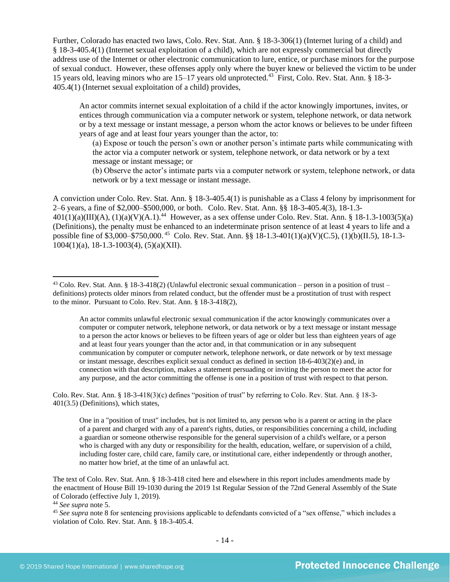Further, Colorado has enacted two laws, Colo. Rev. Stat. Ann. § 18-3-306(1) (Internet luring of a child) and § 18-3-405.4(1) (Internet sexual exploitation of a child), which are not expressly commercial but directly address use of the Internet or other electronic communication to lure, entice, or purchase minors for the purpose of sexual conduct. However, these offenses apply only where the buyer knew or believed the victim to be under 15 years old, leaving minors who are 15–17 years old unprotected.<sup>43</sup> First, Colo. Rev. Stat. Ann. § 18-3-405.4(1) (Internet sexual exploitation of a child) provides,

An actor commits internet sexual exploitation of a child if the actor knowingly importunes, invites, or entices through communication via a computer network or system, telephone network, or data network or by a text message or instant message, a person whom the actor knows or believes to be under fifteen years of age and at least four years younger than the actor, to:

(a) Expose or touch the person's own or another person's intimate parts while communicating with the actor via a computer network or system, telephone network, or data network or by a text message or instant message; or

(b) Observe the actor's intimate parts via a computer network or system, telephone network, or data network or by a text message or instant message.

A conviction under Colo. Rev. Stat. Ann. § 18-3-405.4(1) is punishable as a Class 4 felony by imprisonment for 2–6 years, a fine of \$2,000–\$500,000, or both. Colo. Rev. Stat. Ann. §§ 18-3-405.4(3), 18-1.3-  $401(1)(a)(III)(A), (1)(a)(V)(A.1).$ <sup>44</sup> However, as a sex offense under Colo. Rev. Stat. Ann. § 18-1.3-1003(5)(a) (Definitions), the penalty must be enhanced to an indeterminate prison sentence of at least 4 years to life and a possible fine of \$3,000–\$750,000. <sup>45</sup> Colo. Rev. Stat. Ann. §§ 18-1.3-401(1)(a)(V)(C.5), (1)(b)(II.5), 18-1.3- 1004(1)(a), 18-1.3-1003(4), (5)(a)(XII).

Colo. Rev. Stat. Ann. § 18-3-418(3)(c) defines "position of trust" by referring to Colo. Rev. Stat. Ann. § 18-3- 401(3.5) (Definitions), which states,

The text of Colo. Rev. Stat. Ann. § 18-3-418 cited here and elsewhere in this report includes amendments made by the enactment of House Bill 19-1030 during the 2019 1st Regular Session of the 72nd General Assembly of the State of Colorado (effective July 1, 2019).

<sup>43</sup> Colo. Rev. Stat. Ann. § 18-3-418(2) (Unlawful electronic sexual communication – person in a position of trust – definitions) protects older minors from related conduct, but the offender must be a prostitution of trust with respect to the minor. Pursuant to Colo. Rev. Stat. Ann. § 18-3-418(2),

An actor commits unlawful electronic sexual communication if the actor knowingly communicates over a computer or computer network, telephone network, or data network or by a text message or instant message to a person the actor knows or believes to be fifteen years of age or older but less than eighteen years of age and at least four years younger than the actor and, in that communication or in any subsequent communication by computer or computer network, telephone network, or date network or by text message or instant message, describes explicit sexual conduct as defined in section 18-6-403(2)(e) and, in connection with that description, makes a statement persuading or inviting the person to meet the actor for any purpose, and the actor committing the offense is one in a position of trust with respect to that person.

One in a "position of trust" includes, but is not limited to, any person who is a parent or acting in the place of a parent and charged with any of a parent's rights, duties, or responsibilities concerning a child, including a guardian or someone otherwise responsible for the general supervision of a child's welfare, or a person who is charged with any duty or responsibility for the health, education, welfare, or supervision of a child, including foster care, child care, family care, or institutional care, either independently or through another, no matter how brief, at the time of an unlawful act.

<sup>44</sup> *See supra* note [5.](#page-1-1)

<sup>&</sup>lt;sup>45</sup> See supra note [8](#page-1-2) for sentencing provisions applicable to defendants convicted of a "sex offense," which includes a violation of Colo. Rev. Stat. Ann. § 18-3-405.4.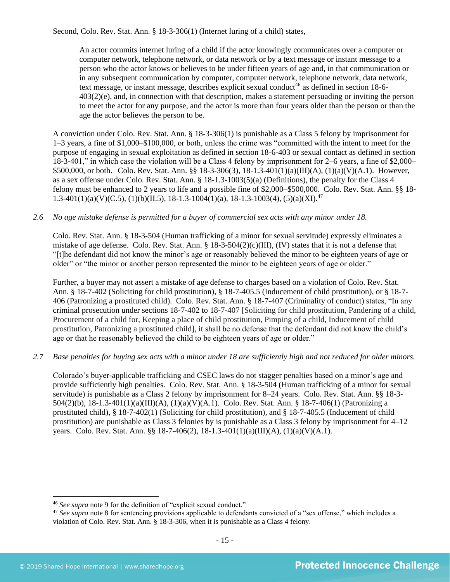Second, Colo. Rev. Stat. Ann. § 18-3-306(1) (Internet luring of a child) states,

An actor commits internet luring of a child if the actor knowingly communicates over a computer or computer network, telephone network, or data network or by a text message or instant message to a person who the actor knows or believes to be under fifteen years of age and, in that communication or in any subsequent communication by computer, computer network, telephone network, data network, text message, or instant message, describes explicit sexual conduct<sup>46</sup> as defined in [section 18-6-](https://www.lexis.com/research/buttonTFLink?_m=0545d54bb3ab2fe03ee287d34806e7bd&_xfercite=%3ccite%20cc%3d%22USA%22%3e%3c%21%5bCDATA%5bC.R.S.%2018-3-306%5d%5d%3e%3c%2fcite%3e&_butType=4&_butStat=0&_butNum=2&_butInline=1&_butinfo=COCODE%2018-6-403&_fmtstr=FULL&docnum=1&_startdoc=1&wchp=dGLbVzB-zSkAb&_md5=937d1f974c5b2e4c88bf5b6e2c34877b) [403\(2\)\(e\),](https://www.lexis.com/research/buttonTFLink?_m=0545d54bb3ab2fe03ee287d34806e7bd&_xfercite=%3ccite%20cc%3d%22USA%22%3e%3c%21%5bCDATA%5bC.R.S.%2018-3-306%5d%5d%3e%3c%2fcite%3e&_butType=4&_butStat=0&_butNum=2&_butInline=1&_butinfo=COCODE%2018-6-403&_fmtstr=FULL&docnum=1&_startdoc=1&wchp=dGLbVzB-zSkAb&_md5=937d1f974c5b2e4c88bf5b6e2c34877b) and, in connection with that description, makes a statement persuading or inviting the person to meet the actor for any purpose, and the actor is more than four years older than the person or than the age the actor believes the person to be.

A conviction under Colo. Rev. Stat. Ann. § 18-3-306(1) is punishable as a Class 5 felony by imprisonment for 1–3 years, a fine of \$1,000–\$100,000, or both, unless the crime was "committed with the intent to meet for the purpose of engaging in sexual exploitation as defined in section 18-6-403 or sexual contact as defined in section 18-3-401," in which case the violation will be a Class 4 felony by imprisonment for 2–6 years, a fine of \$2,000– \$500,000, or both. Colo. Rev. Stat. Ann. §§ 18-3-306(3), 18-1.3-401(1)(a)(III)(A), (1)(a)(V)(A.1). However, as a sex offense under Colo. Rev. Stat. Ann. § 18-1.3-1003(5)(a) (Definitions), the penalty for the Class 4 felony must be enhanced to 2 years to life and a possible fine of \$2,000–\$500,000. Colo. Rev. Stat. Ann. §§ 18- 1.3-401(1)(a)(V)(C.5), (1)(b)(II.5), 18-1.3-1004(1)(a), 18-1.3-1003(4), (5)(a)(XI).<sup>47</sup>

## *2.6 No age mistake defense is permitted for a buyer of commercial sex acts with any minor under 18.*

Colo. Rev. Stat. Ann. § 18-3-504 (Human trafficking of a minor for sexual servitude) expressly eliminates a mistake of age defense. Colo. Rev. Stat. Ann. § 18-3-504(2)(c)(III), (IV) states that it is not a defense that "[t]he defendant did not know the minor's age or reasonably believed the minor to be eighteen years of age or older" or "the minor or another person represented the minor to be eighteen years of age or older."

Further, a buyer may not assert a mistake of age defense to charges based on a violation of Colo. Rev. Stat. Ann. § 18-7-402 (Soliciting for child prostitution), § 18-7-405.5 (Inducement of child prostitution), or § 18-7- 406 (Patronizing a prostituted child). Colo. Rev. Stat. Ann. § 18-7-407 (Criminality of conduct) states, "In any criminal prosecution under sections 18-7-402 to 18-7-407 [Soliciting for child prostitution, Pandering of a child, Procurement of a child for, Keeping a place of child prostitution, Pimping of a child, Inducement of child prostitution, Patronizing a prostituted child], it shall be no defense that the defendant did not know the child's age or that he reasonably believed the child to be eighteen years of age or older."

#### *2.7 Base penalties for buying sex acts with a minor under 18 are sufficiently high and not reduced for older minors.*

Colorado's buyer-applicable trafficking and CSEC laws do not stagger penalties based on a minor's age and provide sufficiently high penalties. Colo. Rev. Stat. Ann. § 18-3-504 (Human trafficking of a minor for sexual servitude) is punishable as a Class 2 felony by imprisonment for 8–24 years. Colo. Rev. Stat. Ann. §§ 18-3- 504(2)(b), 18-1.3-401(1)(a)(III)(A), (1)(a)(V)(A.1). Colo. Rev. Stat. Ann. § 18-7-406(1) (Patronizing a prostituted child), § 18-7-402(1) (Soliciting for child prostitution), and § 18-7-405.5 (Inducement of child prostitution) are punishable as Class 3 felonies by is punishable as a Class 3 felony by imprisonment for 4–12 years. Colo. Rev. Stat. Ann. §§ 18-7-406(2), 18-1.3-401(1)(a)(III)(A), (1)(a)(V)(A.1).

<sup>46</sup> *See supra* note [9](#page-2-0) for the definition of "explicit sexual conduct."

<sup>&</sup>lt;sup>47</sup> See supra note [8](#page-1-2) for sentencing provisions applicable to defendants convicted of a "sex offense," which includes a violation of Colo. Rev. Stat. Ann. § 18-3-306, when it is punishable as a Class 4 felony.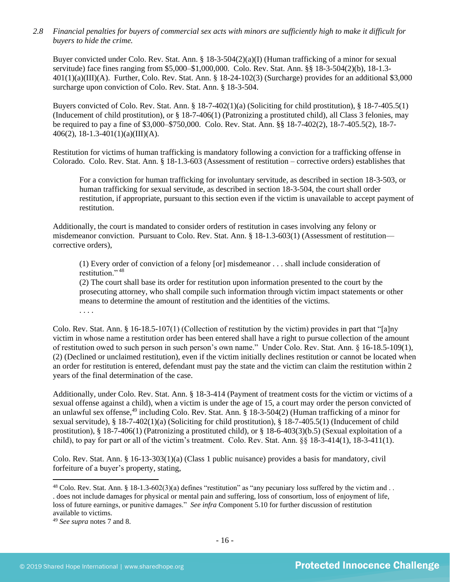*2.8 Financial penalties for buyers of commercial sex acts with minors are sufficiently high to make it difficult for buyers to hide the crime.* 

Buyer convicted under Colo. Rev. Stat. Ann. § 18-3-504(2)(a)(I) (Human trafficking of a minor for sexual servitude) face fines ranging from \$5,000–\$1,000,000. Colo. Rev. Stat. Ann. §§ 18-3-504(2)(b), 18-1.3- 401(1)(a)(III)(A). Further, Colo. Rev. Stat. Ann. § 18-24-102(3) (Surcharge) provides for an additional \$3,000 surcharge upon conviction of Colo. Rev. Stat. Ann. § 18-3-504.

Buyers convicted of Colo. Rev. Stat. Ann. § 18-7-402(1)(a) (Soliciting for child prostitution), § 18-7-405.5(1) (Inducement of child prostitution), or § 18-7-406(1) (Patronizing a prostituted child), all Class 3 felonies, may be required to pay a fine of \$3,000–\$750,000. Colo. Rev. Stat. Ann. §§ 18-7-402(2), 18-7-405.5(2), 18-7- 406(2), 18-1.3-401(1)(a)(III)(A).

Restitution for victims of human trafficking is mandatory following a conviction for a trafficking offense in Colorado. Colo. Rev. Stat. Ann. § 18-1.3-603 (Assessment of restitution – corrective orders) establishes that

For a conviction for human trafficking for involuntary servitude, as described in section 18-3-503, or human trafficking for sexual servitude, as described in section 18-3-504, the court shall order restitution, if appropriate, pursuant to this section even if the victim is unavailable to accept payment of restitution.

Additionally, the court is mandated to consider orders of restitution in cases involving any felony or misdemeanor conviction. Pursuant to Colo. Rev. Stat. Ann. § 18-1.3-603(1) (Assessment of restitution corrective orders),

<span id="page-15-0"></span>(1) Every order of conviction of a felony [or] misdemeanor . . . shall include consideration of restitution." 48

(2) The court shall base its order for restitution upon information presented to the court by the prosecuting attorney, who shall compile such information through victim impact statements or other means to determine the amount of restitution and the identities of the victims. . . . .

Colo. Rev. Stat. Ann. § 16-18.5-107(1) (Collection of restitution by the victim) provides in part that "[a]ny victim in whose name a restitution order has been entered shall have a right to pursue collection of the amount of restitution owed to such person in such person's own name." Under Colo. Rev. Stat. Ann. § 16-18.5-109(1), (2) (Declined or unclaimed restitution), even if the victim initially declines restitution or cannot be located when an order for restitution is entered, defendant must pay the state and the victim can claim the restitution within 2 years of the final determination of the case.

Additionally, under Colo. Rev. Stat. Ann. § 18-3-414 (Payment of treatment costs for the victim or victims of a sexual offense against a child), when a victim is under the age of 15, a court may order the person convicted of an unlawful sex offense,<sup>49</sup> including Colo. Rev. Stat. Ann. § 18-3-504(2) (Human trafficking of a minor for sexual servitude), § 18-7-402(1)(a) (Soliciting for child prostitution), § 18-7-405.5(1) (Inducement of child prostitution), § 18-7-406(1) (Patronizing a prostituted child), or § 18-6-403(3)(b.5) (Sexual exploitation of a child), to pay for part or all of the victim's treatment. Colo. Rev. Stat. Ann. §§ 18-3-414(1), 18-3-411(1).

Colo. Rev. Stat. Ann. § 16-13-303(1)(a) (Class 1 public nuisance) provides a basis for mandatory, civil forfeiture of a buyer's property, stating,

 $48$  Colo. Rev. Stat. Ann. § 18-1.3-602(3)(a) defines "restitution" as "any pecuniary loss suffered by the victim and .. . does not include damages for physical or mental pain and suffering, loss of consortium, loss of enjoyment of life, loss of future earnings, or punitive damages." *See infra* Component 5.10 for further discussion of restitution available to victims.

<sup>49</sup> *See supra* notes [7](#page-1-0) an[d 8.](#page-1-2)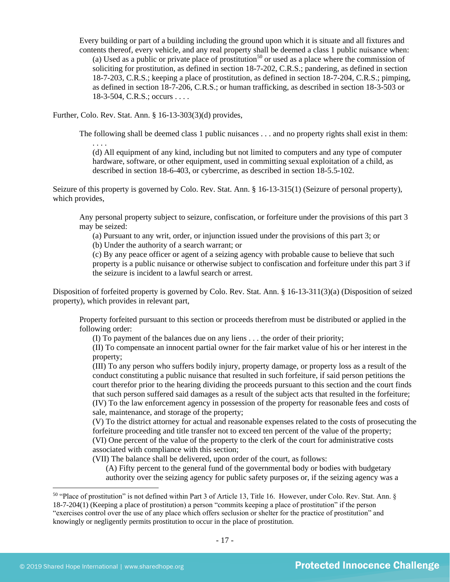Every building or part of a building including the ground upon which it is situate and all fixtures and contents thereof, every vehicle, and any real property shall be deemed a class 1 public nuisance when: (a) Used as a public or private place of prostitution<sup>50</sup> or used as a place where the commission of soliciting for prostitution, as defined in section 18-7-202, C.R.S.; pandering, as defined in section 18-7-203, C.R.S.; keeping a place of prostitution, as defined in section 18-7-204, C.R.S.; pimping, as defined in section 18-7-206, C.R.S.; or human trafficking, as described in section 18-3-503 or 18-3-504, C.R.S.; occurs . . . .

Further, Colo. Rev. Stat. Ann. § 16-13-303(3)(d) provides,

. . . .

The following shall be deemed class 1 public nuisances . . . and no property rights shall exist in them:

(d) All equipment of any kind, including but not limited to computers and any type of computer hardware, software, or other equipment, used in committing sexual exploitation of a child, as described in section 18-6-403, or cybercrime, as described in section 18-5.5-102.

Seizure of this property is governed by Colo. Rev. Stat. Ann. § 16-13-315(1) (Seizure of personal property), which provides,

Any personal property subject to seizure, confiscation, or forfeiture under the provisions of this part 3 may be seized:

(a) Pursuant to any writ, order, or injunction issued under the provisions of this part 3; or

(b) Under the authority of a search warrant; or

(c) By any peace officer or agent of a seizing agency with probable cause to believe that such property is a public nuisance or otherwise subject to confiscation and forfeiture under this part 3 if the seizure is incident to a lawful search or arrest.

Disposition of forfeited property is governed by Colo. Rev. Stat. Ann. § 16-13-311(3)(a) (Disposition of seized property), which provides in relevant part,

Property forfeited pursuant to this section or proceeds therefrom must be distributed or applied in the following order:

(I) To payment of the balances due on any liens . . . the order of their priority;

(II) To compensate an innocent partial owner for the fair market value of his or her interest in the property;

(III) To any person who suffers bodily injury, property damage, or property loss as a result of the conduct constituting a public nuisance that resulted in such forfeiture, if said person petitions the court therefor prior to the hearing dividing the proceeds pursuant to this section and the court finds that such person suffered said damages as a result of the subject acts that resulted in the forfeiture; (IV) To the law enforcement agency in possession of the property for reasonable fees and costs of sale, maintenance, and storage of the property;

(V) To the district attorney for actual and reasonable expenses related to the costs of prosecuting the forfeiture proceeding and title transfer not to exceed ten percent of the value of the property; (VI) One percent of the value of the property to the clerk of the court for administrative costs

associated with compliance with this section;

(VII) The balance shall be delivered, upon order of the court, as follows:

(A) Fifty percent to the general fund of the governmental body or bodies with budgetary authority over the seizing agency for public safety purposes or, if the seizing agency was a

<sup>50</sup> "Place of prostitution" is not defined within Part 3 of Article 13, Title 16. However, under Colo. Rev. Stat. Ann. § 18-7-204(1) (Keeping a place of prostitution) a person "commits keeping a place of prostitution" if the person "exercises control over the use of any place which offers seclusion or shelter for the practice of prostitution" and knowingly or negligently permits prostitution to occur in the place of prostitution.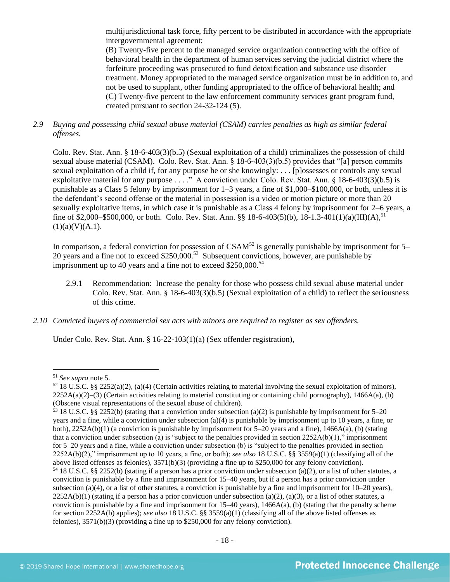multijurisdictional task force, fifty percent to be distributed in accordance with the appropriate intergovernmental agreement;

(B) Twenty-five percent to the managed service organization contracting with the office of behavioral health in the department of human services serving the judicial district where the forfeiture proceeding was prosecuted to fund detoxification and substance use disorder treatment. Money appropriated to the managed service organization must be in addition to, and not be used to supplant, other funding appropriated to the office of behavioral health; and (C) Twenty-five percent to the law enforcement community services grant program fund, created pursuant to section 24-32-124 (5).

## *2.9 Buying and possessing child sexual abuse material (CSAM) carries penalties as high as similar federal offenses.*

Colo. Rev. Stat. Ann. § 18-6-403(3)(b.5) (Sexual exploitation of a child) criminalizes the possession of child sexual abuse material (CSAM). Colo. Rev. Stat. Ann. § 18-6-403(3)(b.5) provides that "[a] person commits sexual exploitation of a child if, for any purpose he or she knowingly: . . . [p]ossesses or controls any sexual exploitative material for any purpose . . . ." A conviction under Colo. Rev. Stat. Ann. § 18-6-403(3)(b.5) is punishable as a Class 5 felony by imprisonment for 1–3 years, a fine of \$1,000–\$100,000, or both, unless it is the defendant's second offense or the material in possession is a video or motion picture or more than 20 sexually exploitative items, in which case it is punishable as a Class 4 felony by imprisonment for 2–6 years, a fine of \$2,000–\$500,000, or both. Colo. Rev. Stat. Ann. §§ 18-6-403(5)(b), 18-1.3-401(1)(a)(III)(A),<sup>51</sup>  $(1)(a)(V)(A.1).$ 

In comparison, a federal conviction for possession of  $CSAM<sup>52</sup>$  is generally punishable by imprisonment for 5– 20 years and a fine not to exceed  $$250,000$ .<sup>53</sup> Subsequent convictions, however, are punishable by imprisonment up to 40 years and a fine not to exceed  $$250,000.<sup>54</sup>$ 

- 2.9.1 Recommendation: Increase the penalty for those who possess child sexual abuse material under Colo. Rev. Stat. Ann. § 18-6-403(3)(b.5) (Sexual exploitation of a child) to reflect the seriousness of this crime.
- *2.10 Convicted buyers of commercial sex acts with minors are required to register as sex offenders.*

Under Colo. Rev. Stat. Ann. § 16-22-103(1)(a) (Sex offender registration),

<sup>51</sup> *See supra* note [5.](#page-1-1)

 $52$  18 U.S.C. §§ 2252(a)(2), (a)(4) (Certain activities relating to material involving the sexual exploitation of minors),  $2252A(a)(2)$ –(3) (Certain activities relating to material constituting or containing child pornography), 1466A(a), (b) (Obscene visual representations of the sexual abuse of children).

<sup>53</sup> 18 U.S.C. §§ 2252(b) (stating that a conviction under subsection (a)(2) is punishable by imprisonment for 5–20 years and a fine, while a conviction under subsection (a)(4) is punishable by imprisonment up to 10 years, a fine, or both), 2252A(b)(1) (a conviction is punishable by imprisonment for 5–20 years and a fine), 1466A(a), (b) (stating that a conviction under subsection (a) is "subject to the penalties provided in section  $2252A(b)(1)$ ," imprisonment for 5–20 years and a fine, while a conviction under subsection (b) is "subject to the penalties provided in section 2252A(b)(2)," imprisonment up to 10 years, a fine, or both); *see also* 18 U.S.C. §§ 3559(a)(1) (classifying all of the above listed offenses as felonies), 3571(b)(3) (providing a fine up to \$250,000 for any felony conviction). <sup>54</sup> 18 U.S.C. §§ 2252(b) (stating if a person has a prior conviction under subsection (a)(2), or a list of other statutes, a conviction is punishable by a fine and imprisonment for 15–40 years, but if a person has a prior conviction under subsection (a)(4), or a list of other statutes, a conviction is punishable by a fine and imprisonment for  $10-20$  years),  $2252A(b)(1)$  (stating if a person has a prior conviction under subsection (a)(2), (a)(3), or a list of other statutes, a

conviction is punishable by a fine and imprisonment for  $15-40$  years),  $1466A(a)$ , (b) (stating that the penalty scheme for section 2252A(b) applies); *see also* 18 U.S.C. §§ 3559(a)(1) (classifying all of the above listed offenses as felonies), 3571(b)(3) (providing a fine up to \$250,000 for any felony conviction).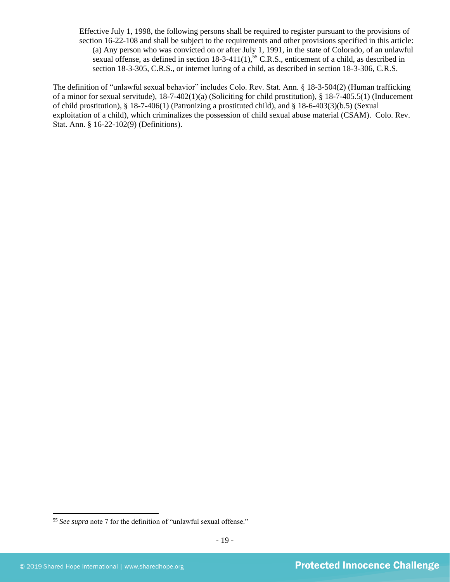Effective July 1, 1998, the following persons shall be required to register pursuant to the provisions of section 16-22-108 and shall be subject to the requirements and other provisions specified in this article: (a) Any person who was convicted on or after July 1, 1991, in the state of Colorado, of an unlawful sexual offense, as defined in section  $18-3-411(1)$ ,  $^{55}$  C.R.S., enticement of a child, as described in section 18-3-305, C.R.S., or internet luring of a child, as described in section 18-3-306, C.R.S.

The definition of "unlawful sexual behavior" includes Colo. Rev. Stat. Ann. § 18-3-504(2) (Human trafficking of a minor for sexual servitude), 18-7-402(1)(a) (Soliciting for child prostitution), § 18-7-405.5(1) (Inducement of child prostitution), § 18-7-406(1) (Patronizing a prostituted child), and § 18-6-403(3)(b.5) (Sexual exploitation of a child), which criminalizes the possession of child sexual abuse material (CSAM). Colo. Rev. Stat. Ann. § 16-22-102(9) (Definitions).

<sup>55</sup> *See supra* note 7 for the definition of "unlawful sexual offense."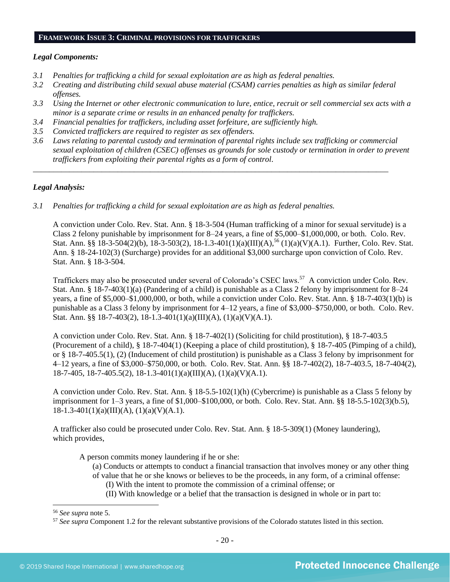#### **FRAMEWORK ISSUE 3: CRIMINAL PROVISIONS FOR TRAFFICKERS**

#### *Legal Components:*

- *3.1 Penalties for trafficking a child for sexual exploitation are as high as federal penalties.*
- *3.2 Creating and distributing child sexual abuse material (CSAM) carries penalties as high as similar federal offenses.*
- *3.3 Using the Internet or other electronic communication to lure, entice, recruit or sell commercial sex acts with a minor is a separate crime or results in an enhanced penalty for traffickers.*
- *3.4 Financial penalties for traffickers, including asset forfeiture, are sufficiently high.*
- *3.5 Convicted traffickers are required to register as sex offenders.*
- *3.6 Laws relating to parental custody and termination of parental rights include sex trafficking or commercial sexual exploitation of children (CSEC) offenses as grounds for sole custody or termination in order to prevent traffickers from exploiting their parental rights as a form of control.*

*\_\_\_\_\_\_\_\_\_\_\_\_\_\_\_\_\_\_\_\_\_\_\_\_\_\_\_\_\_\_\_\_\_\_\_\_\_\_\_\_\_\_\_\_\_\_\_\_\_\_\_\_\_\_\_\_\_\_\_\_\_\_\_\_\_\_\_\_\_\_\_\_\_\_\_\_\_\_\_\_\_\_\_\_\_\_\_\_*

## *Legal Analysis:*

*3.1 Penalties for trafficking a child for sexual exploitation are as high as federal penalties.* 

A conviction under Colo. Rev. Stat. Ann. § 18-3-504 (Human trafficking of a minor for sexual servitude) is a Class 2 felony punishable by imprisonment for 8–24 years, a fine of \$5,000–\$1,000,000, or both. Colo. Rev. Stat. Ann. §§ 18-3-504(2)(b), 18-3-503(2), 18-1.3-401(1)(a)(III)(A),<sup>56</sup> (1)(a)(V)(A.1). Further, Colo. Rev. Stat. Ann. § 18-24-102(3) (Surcharge) provides for an additional \$3,000 surcharge upon conviction of Colo. Rev. Stat. Ann. § 18-3-504.

Traffickers may also be prosecuted under several of Colorado's CSEC laws.<sup>57</sup> A conviction under Colo. Rev. Stat. Ann. § 18-7-403(1)(a) (Pandering of a child) is punishable as a Class 2 felony by imprisonment for 8–24 years, a fine of \$5,000–\$1,000,000, or both, while a conviction under Colo. Rev. Stat. Ann. § 18-7-403(1)(b) is punishable as a Class 3 felony by imprisonment for 4–12 years, a fine of \$3,000–\$750,000, or both. Colo. Rev. Stat. Ann. §§ 18-7-403(2), 18-1.3-401(1)(a)(III)(A), (1)(a)(V)(A.1).

A conviction under Colo. Rev. Stat. Ann. § 18-7-402(1) (Soliciting for child prostitution), § 18-7-403.5 (Procurement of a child), § 18-7-404(1) (Keeping a place of child prostitution), § 18-7-405 (Pimping of a child), or § 18-7-405.5(1), (2) (Inducement of child prostitution) is punishable as a Class 3 felony by imprisonment for 4–12 years, a fine of \$3,000–\$750,000, or both. Colo. Rev. Stat. Ann. §§ 18-7-402(2), 18-7-403.5, 18-7-404(2), 18-7-405, 18-7-405.5(2), 18-1.3-401(1)(a)(III)(A), (1)(a)(V)(A.1).

A conviction under Colo. Rev. Stat. Ann. § 18-5.5-102(1)(h) (Cybercrime) is punishable as a Class 5 felony by imprisonment for 1–3 years, a fine of \$1,000–\$100,000, or both. Colo. Rev. Stat. Ann. §§ 18-5.5-102(3)(b.5),  $18-1.3-401(1)(a)(III)(A), (1)(a)(V)(A.1).$ 

A trafficker also could be prosecuted under Colo. Rev. Stat. Ann. § 18-5-309(1) (Money laundering), which provides,

A person commits money laundering if he or she:

- (a) Conducts or attempts to conduct a financial transaction that involves money or any other thing of value that he or she knows or believes to be the proceeds, in any form, of a criminal offense:
	- (I) With the intent to promote the commission of a criminal offense; or
	- (II) With knowledge or a belief that the transaction is designed in whole or in part to:

<sup>56</sup> *See supra* note [5.](#page-1-1)

<sup>57</sup> *See supra* Component 1.2 for the relevant substantive provisions of the Colorado statutes listed in this section.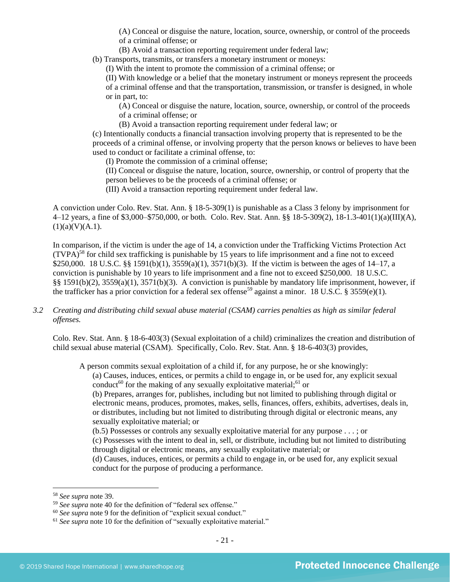(A) Conceal or disguise the nature, location, source, ownership, or control of the proceeds of a criminal offense; or

(B) Avoid a transaction reporting requirement under federal law;

(b) Transports, transmits, or transfers a monetary instrument or moneys:

(I) With the intent to promote the commission of a criminal offense; or

(II) With knowledge or a belief that the monetary instrument or moneys represent the proceeds of a criminal offense and that the transportation, transmission, or transfer is designed, in whole or in part, to:

(A) Conceal or disguise the nature, location, source, ownership, or control of the proceeds of a criminal offense; or

(B) Avoid a transaction reporting requirement under federal law; or

(c) Intentionally conducts a financial transaction involving property that is represented to be the proceeds of a criminal offense, or involving property that the person knows or believes to have been used to conduct or facilitate a criminal offense, to:

(I) Promote the commission of a criminal offense;

(II) Conceal or disguise the nature, location, source, ownership, or control of property that the person believes to be the proceeds of a criminal offense; or

(III) Avoid a transaction reporting requirement under federal law.

A conviction under Colo. Rev. Stat. Ann. § 18-5-309(1) is punishable as a Class 3 felony by imprisonment for 4–12 years, a fine of \$3,000–\$750,000, or both. Colo. Rev. Stat. Ann. §§ 18-5-309(2), 18-1.3-401(1)(a)(III)(A),  $(1)(a)(V)(A.1).$ 

In comparison, if the victim is under the age of 14, a conviction under the Trafficking Victims Protection Act  $(TVPA)<sup>58</sup>$  for child sex trafficking is punishable by 15 years to life imprisonment and a fine not to exceed \$250,000. 18 U.S.C. §§ 1591(b)(1), 3559(a)(1), 3571(b)(3). If the victim is between the ages of 14–17, a conviction is punishable by 10 years to life imprisonment and a fine not to exceed \$250,000. 18 U.S.C. §§ 1591(b)(2), 3559(a)(1), 3571(b)(3). A conviction is punishable by mandatory life imprisonment, however, if the trafficker has a prior conviction for a federal sex offense<sup>59</sup> against a minor. 18 U.S.C. § 3559(e)(1).

## *3.2 Creating and distributing child sexual abuse material (CSAM) carries penalties as high as similar federal offenses.*

Colo. Rev. Stat. Ann. § 18-6-403(3) (Sexual exploitation of a child) criminalizes the creation and distribution of child sexual abuse material (CSAM). Specifically, Colo. Rev. Stat. Ann. § 18-6-403(3) provides,

A person commits sexual exploitation of a child if, for any purpose, he or she knowingly:

(a) Causes, induces, entices, or permits a child to engage in, or be used for, any explicit sexual conduct<sup>60</sup> for the making of any sexually exploitative material;<sup>61</sup> or

(b) Prepares, arranges for, publishes, including but not limited to publishing through digital or electronic means, produces, promotes, makes, sells, finances, offers, exhibits, advertises, deals in, or distributes, including but not limited to distributing through digital or electronic means, any sexually exploitative material; or

(b.5) Possesses or controls any sexually exploitative material for any purpose . . . ; or

(c) Possesses with the intent to deal in, sell, or distribute, including but not limited to distributing through digital or electronic means, any sexually exploitative material; or

(d) Causes, induces, entices, or permits a child to engage in, or be used for, any explicit sexual conduct for the purpose of producing a performance.

<sup>58</sup> *See supra* note [39.](#page-12-0) 

<sup>59</sup> *See supra* note [40](#page-12-1) for the definition of "federal sex offense."

<sup>60</sup> *See supra* note [9](#page-2-0) for the definition of "explicit sexual conduct."

<sup>&</sup>lt;sup>61</sup> See supra note [10](#page-2-1) for the definition of "sexually exploitative material."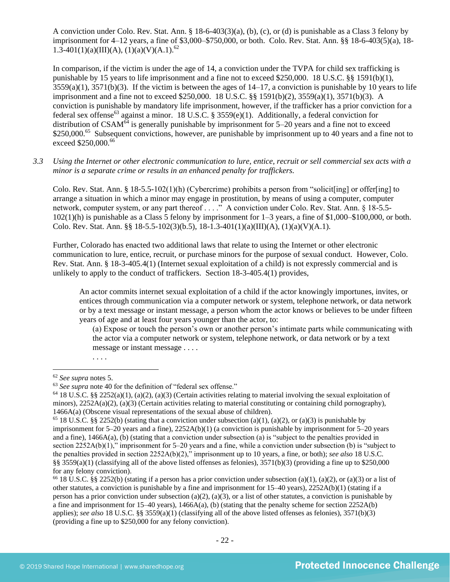A conviction under Colo. Rev. Stat. Ann. § 18-6-403(3)(a), (b), (c), or (d) is punishable as a Class 3 felony by imprisonment for 4–12 years, a fine of \$3,000–\$750,000, or both. Colo. Rev. Stat. Ann. §§ 18-6-403(5)(a), 18- 1.3-401(1)(a)(III)(A), (1)(a)(V)(A.1).<sup>62</sup>

In comparison, if the victim is under the age of 14, a conviction under the TVPA for child sex trafficking is punishable by 15 years to life imprisonment and a fine not to exceed \$250,000. 18 U.S.C. §§ 1591(b)(1),  $3559(a)(1)$ ,  $3571(b)(3)$ . If the victim is between the ages of  $14-17$ , a conviction is punishable by 10 years to life imprisonment and a fine not to exceed \$250,000. 18 U.S.C. §§ 1591(b)(2), 3559(a)(1), 3571(b)(3). A conviction is punishable by mandatory life imprisonment, however, if the trafficker has a prior conviction for a federal sex offense<sup>63</sup> against a minor. 18 U.S.C. § 3559(e)(1). Additionally, a federal conviction for distribution of  $CSAM^{64}$  is generally punishable by imprisonment for 5–20 years and a fine not to exceed \$250,000.<sup>65</sup> Subsequent convictions, however, are punishable by imprisonment up to 40 years and a fine not to exceed \$250,000.<sup>66</sup>

*3.3 Using the Internet or other electronic communication to lure, entice, recruit or sell commercial sex acts with a minor is a separate crime or results in an enhanced penalty for traffickers.*

Colo. Rev. Stat. Ann. § 18-5.5-102(1)(h) (Cybercrime) prohibits a person from "solicit[ing] or offer[ing] to arrange a situation in which a minor may engage in prostitution, by means of using a computer, computer network, computer system, or any part thereof . . . ." A conviction under Colo. Rev. Stat. Ann. § 18-5.5- 102(1)(h) is punishable as a Class 5 felony by imprisonment for 1–3 years, a fine of \$1,000–\$100,000, or both. Colo. Rev. Stat. Ann. §§ 18-5.5-102(3)(b.5), 18-1.3-401(1)(a)(III)(A), (1)(a)(V)(A.1).

Further, Colorado has enacted two additional laws that relate to using the Internet or other electronic communication to lure, entice, recruit, or purchase minors for the purpose of sexual conduct. However, Colo. Rev. Stat. Ann. § 18-3-405.4(1) (Internet sexual exploitation of a child) is not expressly commercial and is unlikely to apply to the conduct of traffickers. Section 18-3-405.4(1) provides,

An actor commits internet sexual exploitation of a child if the actor knowingly importunes, invites, or entices through communication via a computer network or system, telephone network, or data network or by a text message or instant message, a person whom the actor knows or believes to be under fifteen years of age and at least four years younger than the actor, to:

(a) Expose or touch the person's own or another person's intimate parts while communicating with the actor via a computer network or system, telephone network, or data network or by a text message or instant message . . . .

. . . .

<sup>62</sup> *See supra* notes [5.](#page-1-1)

<sup>63</sup> *See supra* note [40](#page-12-1) for the definition of "federal sex offense."

 $64$  18 U.S.C. §§ 2252(a)(1), (a)(2), (a)(3) (Certain activities relating to material involving the sexual exploitation of minors),  $2252A(a)(2)$ , (a)(3) (Certain activities relating to material constituting or containing child pornography), 1466A(a) (Obscene visual representations of the sexual abuse of children).

<sup>&</sup>lt;sup>65</sup> 18 U.S.C. §§ 2252(b) (stating that a conviction under subsection (a)(1), (a)(2), or (a)(3) is punishable by imprisonment for 5–20 years and a fine), 2252A(b)(1) (a conviction is punishable by imprisonment for 5–20 years and a fine), 1466A(a), (b) (stating that a conviction under subsection (a) is "subject to the penalties provided in section 2252A(b)(1)," imprisonment for 5–20 years and a fine, while a conviction under subsection (b) is "subject to the penalties provided in section 2252A(b)(2)," imprisonment up to 10 years, a fine, or both); *see also* 18 U.S.C. §§ 3559(a)(1) (classifying all of the above listed offenses as felonies),  $3571(b)(3)$  (providing a fine up to \$250,000 for any felony conviction).

<sup>&</sup>lt;sup>66</sup> 18 U.S.C. §§ 2252(b) (stating if a person has a prior conviction under subsection (a)(1), (a)(2), or (a)(3) or a list of other statutes, a conviction is punishable by a fine and imprisonment for 15–40 years), 2252A(b)(1) (stating if a person has a prior conviction under subsection (a)(2), (a)(3), or a list of other statutes, a conviction is punishable by a fine and imprisonment for 15–40 years), 1466A(a), (b) (stating that the penalty scheme for section 2252A(b) applies); *see also* 18 U.S.C. §§ 3559(a)(1) (classifying all of the above listed offenses as felonies), 3571(b)(3) (providing a fine up to \$250,000 for any felony conviction).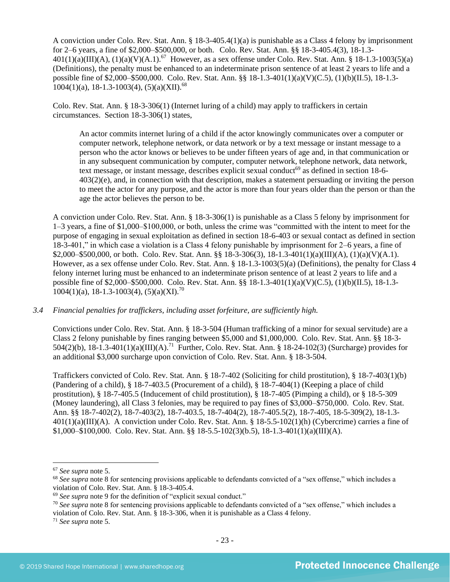A conviction under Colo. Rev. Stat. Ann. § 18-3-405.4(1)(a) is punishable as a Class 4 felony by imprisonment for 2–6 years, a fine of \$2,000–\$500,000, or both. Colo. Rev. Stat. Ann. §§ 18-3-405.4(3), 18-1.3-  $401(1)(a)(III)(A), (1)(a)(V)(A.1).^{67}$  However, as a sex offense under Colo. Rev. Stat. Ann. § 18-1.3-1003(5)(a) (Definitions), the penalty must be enhanced to an indeterminate prison sentence of at least 2 years to life and a possible fine of \$2,000–\$500,000. Colo. Rev. Stat. Ann. §§ 18-1.3-401(1)(a)(V)(C.5), (1)(b)(II.5), 18-1.3-  $1004(1)(a)$ , 18-1.3-1003(4), (5)(a)(XII).<sup>68</sup>

Colo. Rev. Stat. Ann. § 18-3-306(1) (Internet luring of a child) may apply to traffickers in certain circumstances. Section 18-3-306(1) states,

An actor commits internet luring of a child if the actor knowingly communicates over a computer or computer network, telephone network, or data network or by a text message or instant message to a person who the actor knows or believes to be under fifteen years of age and, in that communication or in any subsequent communication by computer, computer network, telephone network, data network, text message, or instant message, describes explicit sexual conduct<sup>69</sup> as defined in section 18-6-403(2)(e), and, in connection with that description, makes a statement persuading or inviting the person to meet the actor for any purpose, and the actor is more than four years older than the person or than the age the actor believes the person to be.

A conviction under Colo. Rev. Stat. Ann. § 18-3-306(1) is punishable as a Class 5 felony by imprisonment for 1–3 years, a fine of \$1,000–\$100,000, or both, unless the crime was "committed with the intent to meet for the purpose of engaging in sexual exploitation as defined in section 18-6-403 or sexual contact as defined in section 18-3-401," in which case a violation is a Class 4 felony punishable by imprisonment for 2–6 years, a fine of \$2,000–\$500,000, or both. Colo. Rev. Stat. Ann. §§ 18-3-306(3), 18-1.3-401(1)(a)(III)(A), (1)(a)(V)(A.1). However, as a sex offense under Colo. Rev. Stat. Ann. § 18-1.3-1003(5)(a) (Definitions), the penalty for Class 4 felony internet luring must be enhanced to an indeterminate prison sentence of at least 2 years to life and a possible fine of \$2,000–\$500,000. Colo. Rev. Stat. Ann. §§ 18-1.3-401(1)(a)(V)(C.5), (1)(b)(II.5), 18-1.3-  $1004(1)(a)$ , 18-1.3-1003(4), (5)(a)(XI).<sup>70</sup>

#### *3.4 Financial penalties for traffickers, including asset forfeiture, are sufficiently high.*

Convictions under Colo. Rev. Stat. Ann. § 18-3-504 (Human trafficking of a minor for sexual servitude) are a Class 2 felony punishable by fines ranging between \$5,000 and \$1,000,000. Colo. Rev. Stat. Ann. §§ 18-3- 504(2)(b), 18-1.3-401(1)(a)(III)(A).<sup>71</sup> Further, Colo. Rev. Stat. Ann. § 18-24-102(3) (Surcharge) provides for an additional \$3,000 surcharge upon conviction of Colo. Rev. Stat. Ann. § 18-3-504.

Traffickers convicted of Colo. Rev. Stat. Ann. § 18-7-402 (Soliciting for child prostitution), § 18-7-403(1)(b) (Pandering of a child), § 18-7-403.5 (Procurement of a child), § 18-7-404(1) (Keeping a place of child prostitution), § 18-7-405.5 (Inducement of child prostitution), § 18-7-405 (Pimping a child), or § 18-5-309 (Money laundering), all Class 3 felonies, may be required to pay fines of \$3,000–\$750,000. Colo. Rev. Stat. Ann. §§ 18-7-402(2), 18-7-403(2), 18-7-403.5, 18-7-404(2), 18-7-405.5(2), 18-7-405, 18-5-309(2), 18-1.3-  $401(1)(a)(III)(A)$ . A conviction under Colo. Rev. Stat. Ann. §  $18-5.5-102(1)(h)$  (Cybercrime) carries a fine of  $$1,000-\$100,000$ . Colo. Rev. Stat. Ann. §§ 18-5.5-102(3)(b.5), 18-1.3-401(1)(a)(III)(A).

<sup>67</sup> *See supra* note [5.](#page-1-1)

<sup>68</sup> *See supra* note [8](#page-1-2) for sentencing provisions applicable to defendants convicted of a "sex offense," which includes a violation of Colo. Rev. Stat. Ann. § 18-3-405.4.

<sup>69</sup> *See supra* note [9](#page-2-0) for the definition of "explicit sexual conduct."

<sup>70</sup> *See supra* note [8](#page-1-2) for sentencing provisions applicable to defendants convicted of a "sex offense," which includes a violation of Colo. Rev. Stat. Ann. § 18-3-306, when it is punishable as a Class 4 felony.

<sup>71</sup> *See supra* note [5.](#page-1-1)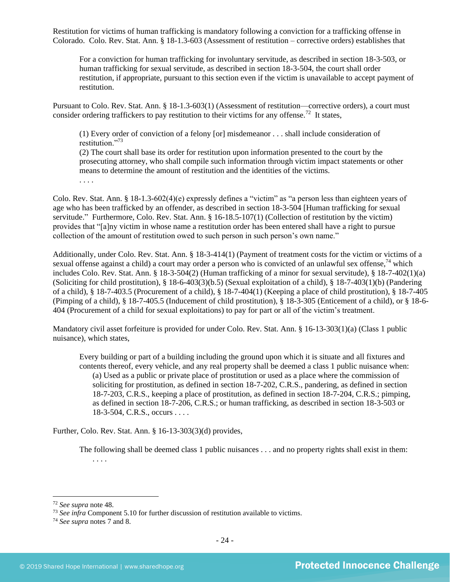Restitution for victims of human trafficking is mandatory following a conviction for a trafficking offense in Colorado. Colo. Rev. Stat. Ann. § 18-1.3-603 (Assessment of restitution – corrective orders) establishes that

For a conviction for human trafficking for involuntary servitude, as described in section 18-3-503, or human trafficking for sexual servitude, as described in section 18-3-504, the court shall order restitution, if appropriate, pursuant to this section even if the victim is unavailable to accept payment of restitution.

Pursuant to Colo. Rev. Stat. Ann. § 18-1.3-603(1) (Assessment of restitution—corrective orders), a court must consider ordering traffickers to pay restitution to their victims for any offense.<sup>72</sup> It states,

(1) Every order of conviction of a felony [or] misdemeanor . . . shall include consideration of restitution."<sup>73</sup>

(2) The court shall base its order for restitution upon information presented to the court by the prosecuting attorney, who shall compile such information through victim impact statements or other means to determine the amount of restitution and the identities of the victims.

. . . .

Colo. Rev. Stat. Ann. § 18-1.3-602(4)(e) expressly defines a "victim" as "a person less than eighteen years of age who has been trafficked by an offender, as described in section 18-3-504 [Human trafficking for sexual servitude." Furthermore, Colo. Rev. Stat. Ann. § 16-18.5-107(1) (Collection of restitution by the victim) provides that "[a]ny victim in whose name a restitution order has been entered shall have a right to pursue collection of the amount of restitution owed to such person in such person's own name."

Additionally, under Colo. Rev. Stat. Ann. § 18-3-414(1) (Payment of treatment costs for the victim or victims of a sexual offense against a child) a court may order a person who is convicted of an unlawful sex offense,<sup>74</sup> which includes Colo. Rev. Stat. Ann. § 18-3-504(2) (Human trafficking of a minor for sexual servitude), § 18-7-402(1)(a) (Soliciting for child prostitution), § 18-6-403(3)(b.5) (Sexual exploitation of a child), § 18-7-403(1)(b) (Pandering of a child), § 18-7-403.5 (Procurement of a child), § 18-7-404(1) (Keeping a place of child prostitution), § 18-7-405 (Pimping of a child), § 18-7-405.5 (Inducement of child prostitution), § 18-3-305 (Enticement of a child), or § 18-6- 404 (Procurement of a child for sexual exploitations) to pay for part or all of the victim's treatment.

Mandatory civil asset forfeiture is provided for under Colo. Rev. Stat. Ann. § 16-13-303(1)(a) (Class 1 public nuisance), which states,

Every building or part of a building including the ground upon which it is situate and all fixtures and contents thereof, every vehicle, and any real property shall be deemed a class 1 public nuisance when: (a) Used as a public or private place of prostitution or used as a place where the commission of soliciting for prostitution, as defined in section 18-7-202, C.R.S., pandering, as defined in section 18-7-203, C.R.S., keeping a place of prostitution, as defined in section 18-7-204, C.R.S.; pimping, as defined in section 18-7-206, C.R.S.; or human trafficking, as described in section 18-3-503 or 18-3-504, C.R.S., occurs . . . .

Further, Colo. Rev. Stat. Ann. § 16-13-303(3)(d) provides,

The following shall be deemed class 1 public nuisances . . . and no property rights shall exist in them: . . . .

<sup>72</sup> *See supra* note [48.](#page-15-0)

<sup>73</sup> *See infra* Component 5.10 for further discussion of restitution available to victims.

<sup>74</sup> *See supra* notes [7](#page-1-0) an[d 8.](#page-1-2)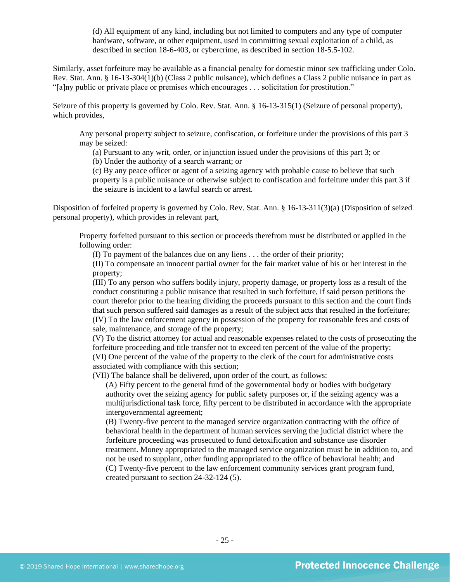(d) All equipment of any kind, including but not limited to computers and any type of computer hardware, software, or other equipment, used in committing sexual exploitation of a child, as described in section 18-6-403, or cybercrime, as described in section 18-5.5-102.

Similarly, asset forfeiture may be available as a financial penalty for domestic minor sex trafficking under Colo. Rev. Stat. Ann. § 16-13-304(1)(b) (Class 2 public nuisance), which defines a Class 2 public nuisance in part as "[a]ny public or private place or premises which encourages . . . solicitation for prostitution."

Seizure of this property is governed by Colo. Rev. Stat. Ann. § 16-13-315(1) (Seizure of personal property), which provides,

Any personal property subject to seizure, confiscation, or forfeiture under the provisions of this part 3 may be seized:

(a) Pursuant to any writ, order, or injunction issued under the provisions of this part 3; or

(b) Under the authority of a search warrant; or

(c) By any peace officer or agent of a seizing agency with probable cause to believe that such property is a public nuisance or otherwise subject to confiscation and forfeiture under this part 3 if the seizure is incident to a lawful search or arrest.

Disposition of forfeited property is governed by Colo. Rev. Stat. Ann. § 16-13-311(3)(a) (Disposition of seized personal property), which provides in relevant part,

Property forfeited pursuant to this section or proceeds therefrom must be distributed or applied in the following order:

(I) To payment of the balances due on any liens . . . the order of their priority;

(II) To compensate an innocent partial owner for the fair market value of his or her interest in the property;

(III) To any person who suffers bodily injury, property damage, or property loss as a result of the conduct constituting a public nuisance that resulted in such forfeiture, if said person petitions the court therefor prior to the hearing dividing the proceeds pursuant to this section and the court finds that such person suffered said damages as a result of the subject acts that resulted in the forfeiture; (IV) To the law enforcement agency in possession of the property for reasonable fees and costs of sale, maintenance, and storage of the property;

(V) To the district attorney for actual and reasonable expenses related to the costs of prosecuting the forfeiture proceeding and title transfer not to exceed ten percent of the value of the property; (VI) One percent of the value of the property to the clerk of the court for administrative costs associated with compliance with this section;

(VII) The balance shall be delivered, upon order of the court, as follows:

(A) Fifty percent to the general fund of the governmental body or bodies with budgetary authority over the seizing agency for public safety purposes or, if the seizing agency was a multijurisdictional task force, fifty percent to be distributed in accordance with the appropriate intergovernmental agreement;

(B) Twenty-five percent to the managed service organization contracting with the office of behavioral health in the department of human services serving the judicial district where the forfeiture proceeding was prosecuted to fund detoxification and substance use disorder treatment. Money appropriated to the managed service organization must be in addition to, and not be used to supplant, other funding appropriated to the office of behavioral health; and (C) Twenty-five percent to the law enforcement community services grant program fund, created pursuant to section 24-32-124 (5).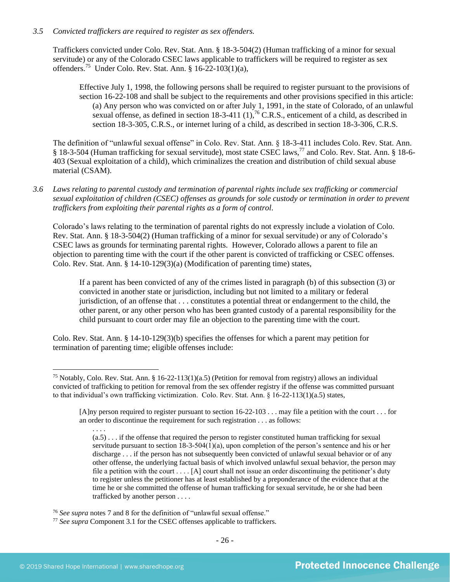## *3.5 Convicted traffickers are required to register as sex offenders.*

Traffickers convicted under Colo. Rev. Stat. Ann. § 18-3-504(2) (Human trafficking of a minor for sexual servitude) or any of the Colorado CSEC laws applicable to traffickers will be required to register as sex offenders.<sup>75</sup> Under Colo. Rev. Stat. Ann. § 16-22-103(1)(a),

Effective July 1, 1998, the following persons shall be required to register pursuant to the provisions of section 16-22-108 and shall be subject to the requirements and other provisions specified in this article: (a) Any person who was convicted on or after July 1, 1991, in the state of Colorado, of an unlawful sexual offense, as defined in section 18-3-411  $(1)$ , <sup>76</sup> C.R.S., enticement of a child, as described in section 18-3-305, C.R.S., or internet luring of a child, as described in section 18-3-306, C.R.S.

The definition of "unlawful sexual offense" in Colo. Rev. Stat. Ann. § 18-3-411 includes Colo. Rev. Stat. Ann. § 18-3-504 (Human trafficking for sexual servitude), most state CSEC laws,<sup>77</sup> and Colo. Rev. Stat. Ann. § 18-6- 403 (Sexual exploitation of a child), which criminalizes the creation and distribution of child sexual abuse material (CSAM).

*3.6 Laws relating to parental custody and termination of parental rights include sex trafficking or commercial sexual exploitation of children (CSEC) offenses as grounds for sole custody or termination in order to prevent traffickers from exploiting their parental rights as a form of control.* 

Colorado's laws relating to the termination of parental rights do not expressly include a violation of Colo. Rev. Stat. Ann. § 18-3-504(2) (Human trafficking of a minor for sexual servitude) or any of Colorado's CSEC laws as grounds for terminating parental rights. However, Colorado allows a parent to file an objection to parenting time with the court if the other parent is convicted of trafficking or CSEC offenses. Colo. Rev. Stat. Ann. § 14-10-129(3)(a) (Modification of parenting time) states,

If a parent has been convicted of any of the crimes listed in paragraph (b) of this subsection (3) or convicted in another state or jurisdiction, including but not limited to a military or federal jurisdiction, of an offense that . . . constitutes a potential threat or endangerment to the child, the other parent, or any other person who has been granted custody of a parental responsibility for the child pursuant to court order may file an objection to the parenting time with the court.

Colo. Rev. Stat. Ann. § 14-10-129(3)(b) specifies the offenses for which a parent may petition for termination of parenting time; eligible offenses include:

. . . .

<sup>&</sup>lt;sup>75</sup> Notably, Colo. Rev. Stat. Ann. § 16-22-113(1)(a.5) (Petition for removal from registry) allows an individual convicted of trafficking to petition for removal from the sex offender registry if the offense was committed pursuant to that individual's own trafficking victimization. Colo. Rev. Stat. Ann. § 16-22-113(1)(a.5) states,

<sup>[</sup>A]ny person required to register pursuant to section 16-22-103 . . . may file a petition with the court . . . for an order to discontinue the requirement for such registration . . . as follows:

 $(a.5)$ ... if the offense that required the person to register constituted human trafficking for sexual servitude pursuant to section 18-3-504(1)(a), upon completion of the person's sentence and his or her discharge . . . if the person has not subsequently been convicted of unlawful sexual behavior or of any other offense, the underlying factual basis of which involved unlawful sexual behavior, the person may file a petition with the court  $\dots$  [A] court shall not issue an order discontinuing the petitioner's duty to register unless the petitioner has at least established by a preponderance of the evidence that at the time he or she committed the offense of human trafficking for sexual servitude, he or she had been trafficked by another person . . . .

<sup>76</sup> *See supra* notes [7](#page-1-0) an[d 8](#page-1-2) for the definition of "unlawful sexual offense."

<sup>77</sup> *See supra* Component 3.1 for the CSEC offenses applicable to traffickers.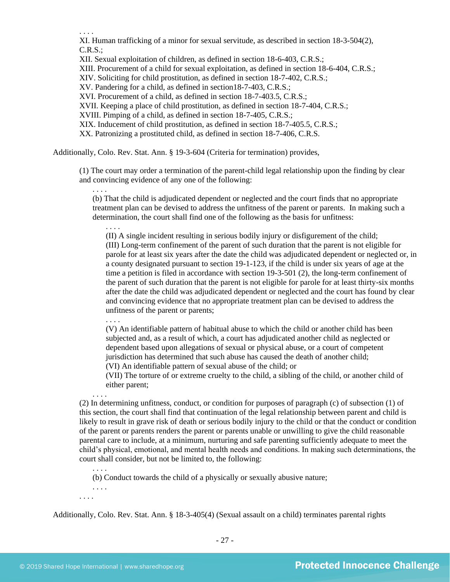. . . .

XI. Human trafficking of a minor for sexual servitude, as described in section 18-3-504(2),  $C.R.S.:$ 

XII. Sexual exploitation of children, as defined in section 18-6-403, C.R.S.;

XIII. Procurement of a child for sexual exploitation, as defined in section 18-6-404, C.R.S.;

XIV. Soliciting for child prostitution, as defined in section 18-7-402, C.R.S.;

XV. Pandering for a child, as defined in section18-7-403, C.R.S.;

XVI. Procurement of a child, as defined in section 18-7-403.5, C.R.S.;

XVII. Keeping a place of child prostitution, as defined in section 18-7-404, C.R.S.;

XVIII. Pimping of a child, as defined in section 18-7-405, C.R.S.;

XIX. Inducement of child prostitution, as defined in section 18-7-405.5, C.R.S.;

XX. Patronizing a prostituted child, as defined in section 18-7-406, C.R.S.

Additionally, Colo. Rev. Stat. Ann. § 19-3-604 (Criteria for termination) provides,

(1) The court may order a termination of the parent-child legal relationship upon the finding by clear and convincing evidence of any one of the following:

(b) That the child is adjudicated dependent or neglected and the court finds that no appropriate treatment plan can be devised to address the unfitness of the parent or parents. In making such a determination, the court shall find one of the following as the basis for unfitness:

. . . . (II) A single incident resulting in serious bodily injury or disfigurement of the child; (III) Long-term confinement of the parent of such duration that the parent is not eligible for parole for at least six years after the date the child was adjudicated dependent or neglected or, in a county designated pursuant to section 19-1-123, if the child is under six years of age at the time a petition is filed in accordance with section 19-3-501 (2), the long-term confinement of the parent of such duration that the parent is not eligible for parole for at least thirty-six months after the date the child was adjudicated dependent or neglected and the court has found by clear and convincing evidence that no appropriate treatment plan can be devised to address the unfitness of the parent or parents;

. . . .

. . . .

(V) An identifiable pattern of habitual abuse to which the child or another child has been subjected and, as a result of which, a court has adjudicated another child as neglected or dependent based upon allegations of sexual or physical abuse, or a court of competent jurisdiction has determined that such abuse has caused the death of another child;

(VI) An identifiable pattern of sexual abuse of the child; or

(VII) The torture of or extreme cruelty to the child, a sibling of the child, or another child of either parent;

. . . . (2) In determining unfitness, conduct, or condition for purposes of paragraph (c) of subsection (1) of this section, the court shall find that continuation of the legal relationship between parent and child is likely to result in grave risk of death or serious bodily injury to the child or that the conduct or condition of the parent or parents renders the parent or parents unable or unwilling to give the child reasonable parental care to include, at a minimum, nurturing and safe parenting sufficiently adequate to meet the child's physical, emotional, and mental health needs and conditions. In making such determinations, the court shall consider, but not be limited to, the following:

(b) Conduct towards the child of a physically or sexually abusive nature;

. . . . . . . .

. . . .

Additionally, Colo. Rev. Stat. Ann. § 18-3-405(4) (Sexual assault on a child) terminates parental rights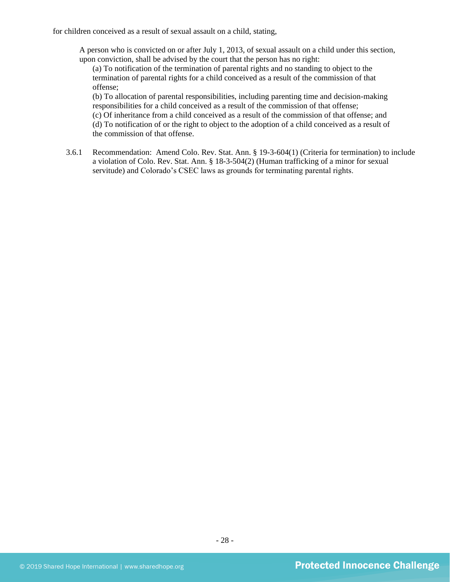for children conceived as a result of sexual assault on a child, stating,

A person who is convicted on or after July 1, 2013, of sexual assault on a child under this section, upon conviction, shall be advised by the court that the person has no right:

(a) To notification of the termination of parental rights and no standing to object to the termination of parental rights for a child conceived as a result of the commission of that offense;

(b) To allocation of parental responsibilities, including parenting time and decision-making responsibilities for a child conceived as a result of the commission of that offense;

(c) Of inheritance from a child conceived as a result of the commission of that offense; and (d) To notification of or the right to object to the adoption of a child conceived as a result of the commission of that offense.

3.6.1 Recommendation: Amend Colo. Rev. Stat. Ann. § 19-3-604(1) (Criteria for termination) to include a violation of Colo. Rev. Stat. Ann. § 18-3-504(2) (Human trafficking of a minor for sexual servitude) and Colorado's CSEC laws as grounds for terminating parental rights.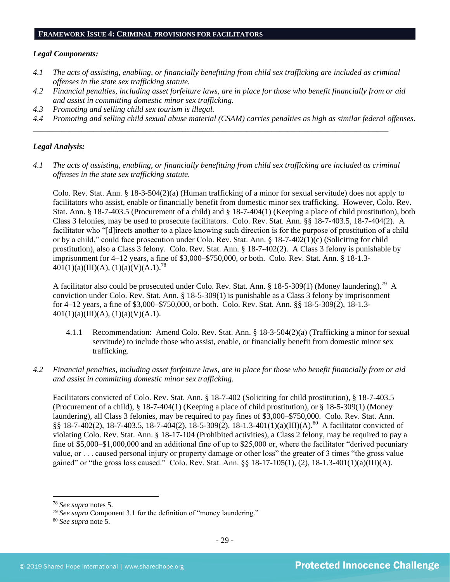#### **FRAMEWORK ISSUE 4: CRIMINAL PROVISIONS FOR FACILITATORS**

#### *Legal Components:*

- *4.1 The acts of assisting, enabling, or financially benefitting from child sex trafficking are included as criminal offenses in the state sex trafficking statute.*
- *4.2 Financial penalties, including asset forfeiture laws, are in place for those who benefit financially from or aid and assist in committing domestic minor sex trafficking.*
- *4.3 Promoting and selling child sex tourism is illegal.*
- *4.4 Promoting and selling child sexual abuse material (CSAM) carries penalties as high as similar federal offenses.*

## *Legal Analysis:*

*4.1 The acts of assisting, enabling, or financially benefitting from child sex trafficking are included as criminal offenses in the state sex trafficking statute.*

*\_\_\_\_\_\_\_\_\_\_\_\_\_\_\_\_\_\_\_\_\_\_\_\_\_\_\_\_\_\_\_\_\_\_\_\_\_\_\_\_\_\_\_\_\_\_\_\_\_\_\_\_\_\_\_\_\_\_\_\_\_\_\_\_\_\_\_\_\_\_\_\_\_\_\_\_\_\_\_\_\_\_\_\_\_\_\_\_*

Colo. Rev. Stat. Ann. § 18-3-504(2)(a) (Human trafficking of a minor for sexual servitude) does not apply to facilitators who assist, enable or financially benefit from domestic minor sex trafficking. However, Colo. Rev. Stat. Ann. § 18-7-403.5 (Procurement of a child) and § 18-7-404(1) (Keeping a place of child prostitution), both Class 3 felonies, may be used to prosecute facilitators. Colo. Rev. Stat. Ann. §§ 18-7-403.5, 18-7-404(2). A facilitator who "[d]irects another to a place knowing such direction is for the purpose of prostitution of a child or by a child," could face prosecution under Colo. Rev. Stat. Ann. § 18-7-402(1)(c) (Soliciting for child prostitution), also a Class 3 felony. Colo. Rev. Stat. Ann. § 18-7-402(2). A Class 3 felony is punishable by imprisonment for 4–12 years, a fine of \$3,000–\$750,000, or both. Colo. Rev. Stat. Ann. § 18-1.3-  $401(1)(a)(III)(A), (1)(a)(V)(A.1).$ <sup>78</sup>

A facilitator also could be prosecuted under Colo. Rev. Stat. Ann. § 18-5-309(1) (Money laundering).<sup>79</sup> A conviction under Colo. Rev. Stat. Ann. § 18-5-309(1) is punishable as a Class 3 felony by imprisonment for 4–12 years, a fine of \$3,000–\$750,000, or both. Colo. Rev. Stat. Ann. §§ 18-5-309(2), 18-1.3-  $401(1)(a)(III)(A), (1)(a)(V)(A.1).$ 

- 4.1.1 Recommendation: Amend Colo. Rev. Stat. Ann. § 18-3-504(2)(a) (Trafficking a minor for sexual servitude) to include those who assist, enable, or financially benefit from domestic minor sex trafficking.
- *4.2 Financial penalties, including asset forfeiture laws, are in place for those who benefit financially from or aid and assist in committing domestic minor sex trafficking.*

Facilitators convicted of Colo. Rev. Stat. Ann. § 18-7-402 (Soliciting for child prostitution), § 18-7-403.5 (Procurement of a child), § 18-7-404(1) (Keeping a place of child prostitution), or § 18-5-309(1) (Money laundering), all Class 3 felonies, may be required to pay fines of \$3,000–\$750,000. Colo. Rev. Stat. Ann. §§ 18-7-402(2), 18-7-403.5, 18-7-404(2), 18-5-309(2), 18-1.3-401(1)(a)(III)(A).<sup>80</sup> A facilitator convicted of violating Colo. Rev. Stat. Ann. § 18-17-104 (Prohibited activities), a Class 2 felony, may be required to pay a fine of \$5,000–\$1,000,000 and an additional fine of up to \$25,000 or, where the facilitator "derived pecuniary value, or . . . caused personal injury or property damage or other loss" the greater of 3 times "the gross value gained" or "the gross loss caused." Colo. Rev. Stat. Ann. §§ 18-17-105(1), (2), 18-1.3-401(1)(a)(III)(A).

<sup>78</sup> *See supra* notes [5.](#page-1-1)

<sup>79</sup> *See supra* Component 3.1 for the definition of "money laundering."

<sup>80</sup> *See supra* note [5.](#page-1-1)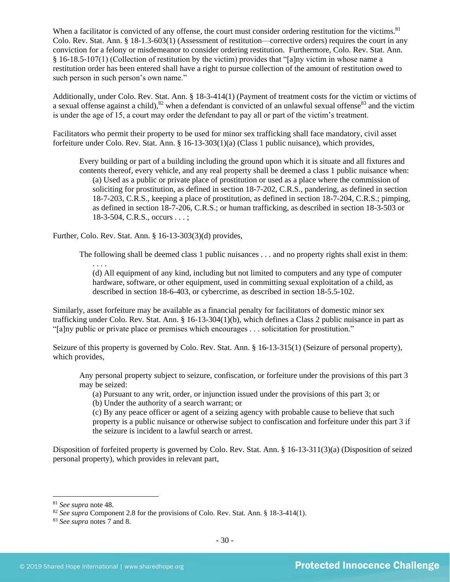When a facilitator is convicted of any offense, the court must consider ordering restitution for the victims.<sup>81</sup> Colo. Rev. Stat. Ann. § 18-1.3-603(1) (Assessment of restitution—corrective orders) requires the court in any conviction for a felony or misdemeanor to consider ordering restitution. Furthermore, Colo. Rev. Stat. Ann. § 16-18.5-107(1) (Collection of restitution by the victim) provides that "[a]ny victim in whose name a restitution order has been entered shall have a right to pursue collection of the amount of restitution owed to such person in such person's own name."

Additionally, under Colo. Rev. Stat. Ann. § 18-3-414(1) (Payment of treatment costs for the victim or victims of a sexual offense against a child), $82$  when a defendant is convicted of an unlawful sexual offense  $83$  and the victim is under the age of 15, a court may order the defendant to pay all or part of the victim's treatment.

Facilitators who permit their property to be used for minor sex trafficking shall face mandatory, civil asset forfeiture under Colo. Rev. Stat. Ann. § 16-13-303(1)(a) (Class 1 public nuisance), which provides,

Every building or part of a building including the ground upon which it is situate and all fixtures and contents thereof, every vehicle, and any real property shall be deemed a class 1 public nuisance when: (a) Used as a public or private place of prostitution or used as a place where the commission of soliciting for prostitution, as defined in section 18-7-202, C.R.S., pandering, as defined in section 18-7-203, C.R.S., keeping a place of prostitution, as defined in section 18-7-204, C.R.S.; pimping, as defined in section 18-7-206, C.R.S.; or human trafficking, as described in section 18-3-503 or 18-3-504, C.R.S., occurs . . . ;

Further, Colo. Rev. Stat. Ann. § 16-13-303(3)(d) provides,

The following shall be deemed class 1 public nuisances . . . and no property rights shall exist in them:

. . . . (d) All equipment of any kind, including but not limited to computers and any type of computer hardware, software, or other equipment, used in committing sexual exploitation of a child, as described in section 18-6-403, or cybercrime, as described in section 18-5.5-102.

Similarly, asset forfeiture may be available as a financial penalty for facilitators of domestic minor sex trafficking under Colo. Rev. Stat. Ann. § 16-13-304(1)(b), which defines a Class 2 public nuisance in part as "[a]ny public or private place or premises which encourages . . . solicitation for prostitution."

Seizure of this property is governed by Colo. Rev. Stat. Ann. § 16-13-315(1) (Seizure of personal property), which provides,

Any personal property subject to seizure, confiscation, or forfeiture under the provisions of this part 3 may be seized:

(a) Pursuant to any writ, order, or injunction issued under the provisions of this part 3; or

(b) Under the authority of a search warrant; or

(c) By any peace officer or agent of a seizing agency with probable cause to believe that such property is a public nuisance or otherwise subject to confiscation and forfeiture under this part 3 if the seizure is incident to a lawful search or arrest.

Disposition of forfeited property is governed by Colo. Rev. Stat. Ann. § 16-13-311(3)(a) (Disposition of seized personal property), which provides in relevant part,

<sup>81</sup> *See supra* note [48.](#page-15-0)

<sup>&</sup>lt;sup>82</sup> *See supra* Component 2.8 for the provisions of Colo. Rev. Stat. Ann. § 18-3-414(1).

<sup>83</sup> *See supra* notes [7](#page-1-0) an[d 8.](#page-1-2)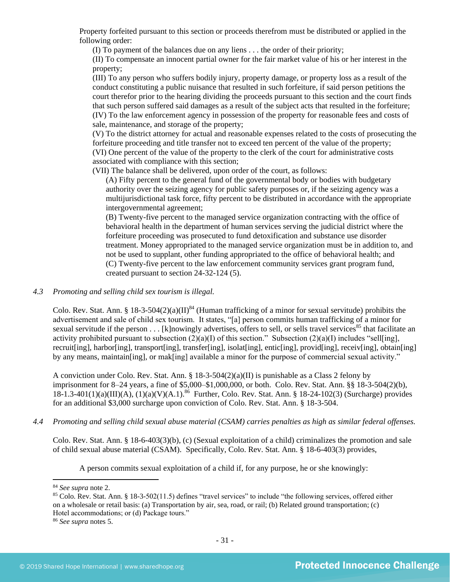Property forfeited pursuant to this section or proceeds therefrom must be distributed or applied in the following order:

(I) To payment of the balances due on any liens . . . the order of their priority;

(II) To compensate an innocent partial owner for the fair market value of his or her interest in the property;

(III) To any person who suffers bodily injury, property damage, or property loss as a result of the conduct constituting a public nuisance that resulted in such forfeiture, if said person petitions the court therefor prior to the hearing dividing the proceeds pursuant to this section and the court finds that such person suffered said damages as a result of the subject acts that resulted in the forfeiture; (IV) To the law enforcement agency in possession of the property for reasonable fees and costs of sale, maintenance, and storage of the property;

(V) To the district attorney for actual and reasonable expenses related to the costs of prosecuting the forfeiture proceeding and title transfer not to exceed ten percent of the value of the property; (VI) One percent of the value of the property to the clerk of the court for administrative costs associated with compliance with this section;

(VII) The balance shall be delivered, upon order of the court, as follows:

(A) Fifty percent to the general fund of the governmental body or bodies with budgetary authority over the seizing agency for public safety purposes or, if the seizing agency was a multijurisdictional task force, fifty percent to be distributed in accordance with the appropriate intergovernmental agreement;

(B) Twenty-five percent to the managed service organization contracting with the office of behavioral health in the department of human services serving the judicial district where the forfeiture proceeding was prosecuted to fund detoxification and substance use disorder treatment. Money appropriated to the managed service organization must be in addition to, and not be used to supplant, other funding appropriated to the office of behavioral health; and (C) Twenty-five percent to the law enforcement community services grant program fund, created pursuant to section 24-32-124 (5).

## *4.3 Promoting and selling child sex tourism is illegal.*

Colo. Rev. Stat. Ann. § 18-3-504(2)(a)(II)<sup>84</sup> (Human trafficking of a minor for sexual servitude) prohibits the advertisement and sale of child sex tourism. It states, "[a] person commits human trafficking of a minor for sexual servitude if the person  $\dots$  [k]nowingly advertises, offers to sell, or sells travel services<sup>85</sup> that facilitate an activity prohibited pursuant to subsection  $(2)(a)(I)$  of this section." Subsection  $(2)(a)(I)$  includes "sell[ing], recruit[ing], harbor[ing], transport[ing], transfer[ing], isolat[ing], entic[ing], provid[ing], receiv[ing], obtain[ing] by any means, maintain [ing], or mak[ing] available a minor for the purpose of commercial sexual activity."

A conviction under Colo. Rev. Stat. Ann. § 18-3-504(2)(a)(II) is punishable as a Class 2 felony by imprisonment for 8–24 years, a fine of \$5,000–\$1,000,000, or both. Colo. Rev. Stat. Ann. §§ 18-3-504(2)(b), 18-1.3-401(1)(a)(III)(A), (1)(a)(V)(A.1).<sup>86</sup> Further, Colo. Rev. Stat. Ann. § 18-24-102(3) (Surcharge) provides for an additional \$3,000 surcharge upon conviction of Colo. Rev. Stat. Ann. § 18-3-504.

## *4.4 Promoting and selling child sexual abuse material (CSAM) carries penalties as high as similar federal offenses.*

Colo. Rev. Stat. Ann. § 18-6-403(3)(b), (c) (Sexual exploitation of a child) criminalizes the promotion and sale of child sexual abuse material (CSAM). Specifically, Colo. Rev. Stat. Ann. § 18-6-403(3) provides,

A person commits sexual exploitation of a child if, for any purpose, he or she knowingly:

<sup>84</sup> *See supra* note [2.](#page-0-0)

<sup>&</sup>lt;sup>85</sup> Colo. Rev. Stat. Ann. § 18-3-502(11.5) defines "travel services" to include "the following services, offered either on a wholesale or retail basis: (a) Transportation by air, sea, road, or rail; (b) Related ground transportation; (c) Hotel accommodations; or (d) Package tours."

<sup>86</sup> *See supra* notes [5.](#page-1-1)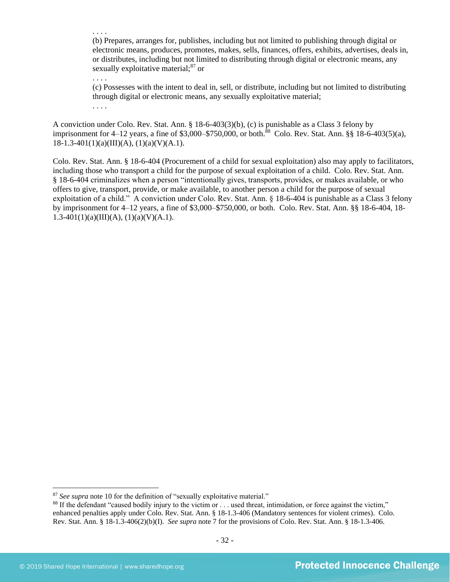(b) Prepares, arranges for, publishes, including but not limited to publishing through digital or electronic means, produces, promotes, makes, sells, finances, offers, exhibits, advertises, deals in, or distributes, including but not limited to distributing through digital or electronic means, any sexually exploitative material:<sup>87</sup> or

. . . .

. . . .

(c) Possesses with the intent to deal in, sell, or distribute, including but not limited to distributing through digital or electronic means, any sexually exploitative material;

. . . .

A conviction under Colo. Rev. Stat. Ann. § 18-6-403(3)(b), (c) is punishable as a Class 3 felony by imprisonment for 4–12 years, a fine of \$3,000–\$750,000, or both.<sup>88</sup> Colo. Rev. Stat. Ann. §§ 18-6-403(5)(a),  $18-1.3-401(1)(a)(III)(A), (1)(a)(V)(A.1).$ 

Colo. Rev. Stat. Ann. § 18-6-404 (Procurement of a child for sexual exploitation) also may apply to facilitators, including those who transport a child for the purpose of sexual exploitation of a child. Colo. Rev. Stat. Ann. § 18-6-404 criminalizes when a person "intentionally gives, transports, provides, or makes available, or who offers to give, transport, provide, or make available, to another person a child for the purpose of sexual exploitation of a child." A conviction under Colo. Rev. Stat. Ann. § 18-6-404 is punishable as a Class 3 felony by imprisonment for 4–12 years, a fine of \$3,000–\$750,000, or both. Colo. Rev. Stat. Ann. §§ 18-6-404, 18-  $1.3-401(1)(a)(III)(A), (1)(a)(V)(A.1).$ 

<sup>&</sup>lt;sup>87</sup> See supra note [10](#page-2-1) for the definition of "sexually exploitative material."

<sup>&</sup>lt;sup>88</sup> If the defendant "caused bodily injury to the victim or . . . used threat, intimidation, or force against the victim," enhanced penalties apply under Colo. Rev. Stat. Ann. § 18-1.3-406 (Mandatory sentences for violent crimes). Colo. Rev. Stat. Ann. § 18-1.3-406(2)(b)(I). *See supra* not[e 7](#page-1-0) for the provisions of Colo. Rev. Stat. Ann. § 18-1.3-406.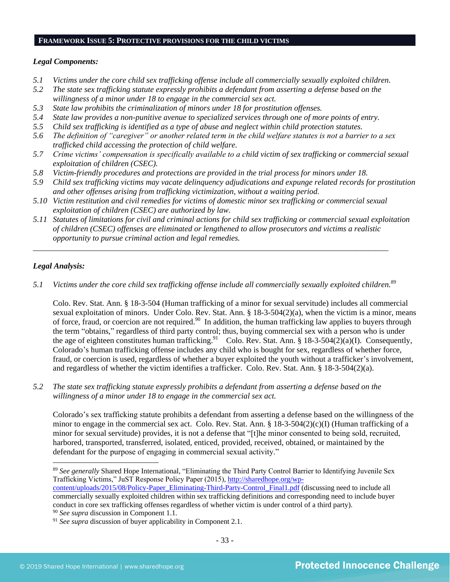## **FRAMEWORK ISSUE 5: PROTECTIVE PROVISIONS FOR THE CHILD VICTIMS**

## *Legal Components:*

- *5.1 Victims under the core child sex trafficking offense include all commercially sexually exploited children.*
- *5.2 The state sex trafficking statute expressly prohibits a defendant from asserting a defense based on the willingness of a minor under 18 to engage in the commercial sex act.*
- *5.3 State law prohibits the criminalization of minors under 18 for prostitution offenses.*
- *5.4 State law provides a non-punitive avenue to specialized services through one of more points of entry.*
- *5.5 Child sex trafficking is identified as a type of abuse and neglect within child protection statutes.*
- *5.6 The definition of "caregiver" or another related term in the child welfare statutes is not a barrier to a sex trafficked child accessing the protection of child welfare.*
- *5.7 Crime victims' compensation is specifically available to a child victim of sex trafficking or commercial sexual exploitation of children (CSEC).*
- *5.8 Victim-friendly procedures and protections are provided in the trial process for minors under 18.*
- *5.9 Child sex trafficking victims may vacate delinquency adjudications and expunge related records for prostitution and other offenses arising from trafficking victimization, without a waiting period.*
- *5.10 Victim restitution and civil remedies for victims of domestic minor sex trafficking or commercial sexual exploitation of children (CSEC) are authorized by law.*

*\_\_\_\_\_\_\_\_\_\_\_\_\_\_\_\_\_\_\_\_\_\_\_\_\_\_\_\_\_\_\_\_\_\_\_\_\_\_\_\_\_\_\_\_\_\_\_\_\_\_\_\_\_\_\_\_\_\_\_\_\_\_\_\_\_\_\_\_\_\_\_\_\_\_\_\_\_\_\_\_\_\_\_\_\_\_\_\_*

*5.11 Statutes of limitations for civil and criminal actions for child sex trafficking or commercial sexual exploitation of children (CSEC) offenses are eliminated or lengthened to allow prosecutors and victims a realistic opportunity to pursue criminal action and legal remedies.*

## *Legal Analysis:*

*5.1 Victims under the core child sex trafficking offense include all commercially sexually exploited children. 89*

Colo. Rev. Stat. Ann. § 18-3-504 (Human trafficking of a minor for sexual servitude) includes all commercial sexual exploitation of minors. Under Colo. Rev. Stat. Ann. § 18-3-504(2)(a), when the victim is a minor, means of force, fraud, or coercion are not required.<sup>90</sup> In addition, the human trafficking law applies to buyers through the term "obtains," regardless of third party control; thus, buying commercial sex with a person who is under the age of eighteen constitutes human trafficking.<sup>91</sup> Colo. Rev. Stat. Ann. § 18-3-504(2)(a)(I). Consequently, Colorado's human trafficking offense includes any child who is bought for sex, regardless of whether force, fraud, or coercion is used, regardless of whether a buyer exploited the youth without a trafficker's involvement, and regardless of whether the victim identifies a trafficker. Colo. Rev. Stat. Ann. § 18-3-504(2)(a).

*5.2 The state sex trafficking statute expressly prohibits a defendant from asserting a defense based on the willingness of a minor under 18 to engage in the commercial sex act.*

Colorado's sex trafficking statute prohibits a defendant from asserting a defense based on the willingness of the minor to engage in the commercial sex act. Colo. Rev. Stat. Ann. § 18-3-504(2)(c)(I) (Human trafficking of a minor for sexual servitude) provides, it is not a defense that "[t]he minor consented to being sold, recruited, harbored, transported, transferred, isolated, enticed, provided, received, obtained, or maintained by the defendant for the purpose of engaging in commercial sexual activity."

<sup>89</sup> *See generally* Shared Hope International, "Eliminating the Third Party Control Barrier to Identifying Juvenile Sex Trafficking Victims," JuST Response Policy Paper (2015), [http://sharedhope.org/wp](http://sharedhope.org/wp-content/uploads/2015/08/Policy-Paper_Eliminating-Third-Party-Control_Final1.pdf)[content/uploads/2015/08/Policy-Paper\\_Eliminating-Third-Party-Control\\_Final1.pdf](http://sharedhope.org/wp-content/uploads/2015/08/Policy-Paper_Eliminating-Third-Party-Control_Final1.pdf) (discussing need to include all commercially sexually exploited children within sex trafficking definitions and corresponding need to include buyer conduct in core sex trafficking offenses regardless of whether victim is under control of a third party).

<sup>90</sup> *See supra* discussion in Component 1.1.

<sup>&</sup>lt;sup>91</sup> See supra discussion of buyer applicability in Component 2.1.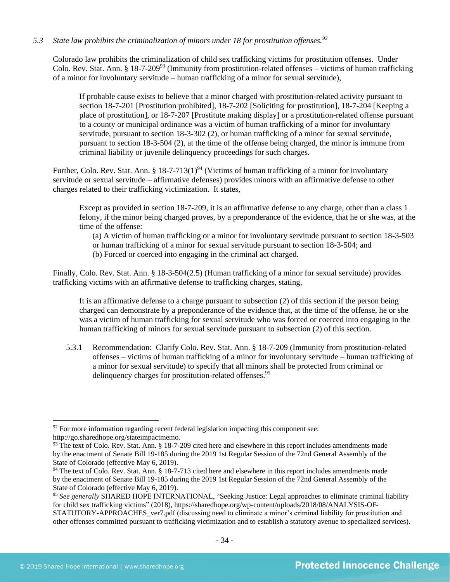## *5.3 State law prohibits the criminalization of minors under 18 for prostitution offenses.<sup>92</sup>*

Colorado law prohibits the criminalization of child sex trafficking victims for prostitution offenses. Under Colo. Rev. Stat. Ann. § 18-7-209<sup>93</sup> (Immunity from prostitution-related offenses – victims of human trafficking of a minor for involuntary servitude – human trafficking of a minor for sexual servitude),

<span id="page-33-0"></span>If probable cause exists to believe that a minor charged with prostitution-related activity pursuant to section 18-7-201 [Prostitution prohibited], 18-7-202 [Soliciting for prostitution], 18-7-204 [Keeping a place of prostitution], or 18-7-207 [Prostitute making display] or a prostitution-related offense pursuant to a county or municipal ordinance was a victim of human trafficking of a minor for involuntary servitude, pursuant to section 18-3-302 (2), or human trafficking of a minor for sexual servitude, pursuant to section 18-3-504 (2), at the time of the offense being charged, the minor is immune from criminal liability or juvenile delinquency proceedings for such charges.

Further, Colo. Rev. Stat. Ann. § 18-7-713(1)<sup>94</sup> (Victims of human trafficking of a minor for involuntary servitude or sexual servitude – affirmative defenses) provides minors with an affirmative defense to other charges related to their trafficking victimization. It states,

Except as provided in section 18-7-209, it is an affirmative defense to any charge, other than a class 1 felony, if the minor being charged proves, by a preponderance of the evidence, that he or she was, at the time of the offense:

(a) A victim of human trafficking or a minor for involuntary servitude pursuant to section 18-3-503 or human trafficking of a minor for sexual servitude pursuant to section 18-3-504; and (b) Forced or coerced into engaging in the criminal act charged.

Finally, Colo. Rev. Stat. Ann. § 18-3-504(2.5) (Human trafficking of a minor for sexual servitude) provides trafficking victims with an affirmative defense to trafficking charges, stating,

It is an affirmative defense to a charge pursuant to subsection (2) of this section if the person being charged can demonstrate by a preponderance of the evidence that, at the time of the offense, he or she was a victim of human trafficking for sexual servitude who was forced or coerced into engaging in the human trafficking of minors for sexual servitude pursuant to subsection (2) of this section.

5.3.1 Recommendation: Clarify Colo. Rev. Stat. Ann. § 18-7-209 (Immunity from prostitution-related offenses – victims of human trafficking of a minor for involuntary servitude – human trafficking of a minor for sexual servitude) to specify that all minors shall be protected from criminal or delinquency charges for prostitution-related offenses.<sup>95</sup>

 $92$  For more information regarding recent federal legislation impacting this component see: http://go.sharedhope.org/stateimpactmemo.

<sup>93</sup> The text of Colo. Rev. Stat. Ann. § 18-7-209 cited here and elsewhere in this report includes amendments made by the enactment of Senate Bill 19-185 during the 2019 1st Regular Session of the 72nd General Assembly of the State of Colorado (effective May 6, 2019).

<sup>&</sup>lt;sup>94</sup> The text of Colo. Rev. Stat. Ann. § 18-7-713 cited here and elsewhere in this report includes amendments made by the enactment of Senate Bill 19-185 during the 2019 1st Regular Session of the 72nd General Assembly of the State of Colorado (effective May 6, 2019).

<sup>95</sup> *See generally* SHARED HOPE INTERNATIONAL, "Seeking Justice: Legal approaches to eliminate criminal liability for child sex trafficking victims" (2018), https://sharedhope.org/wp-content/uploads/2018/08/ANALYSIS-OF-STATUTORY-APPROACHES\_ver7.pdf (discussing need to eliminate a minor's criminal liability for prostitution and

other offenses committed pursuant to trafficking victimization and to establish a statutory avenue to specialized services).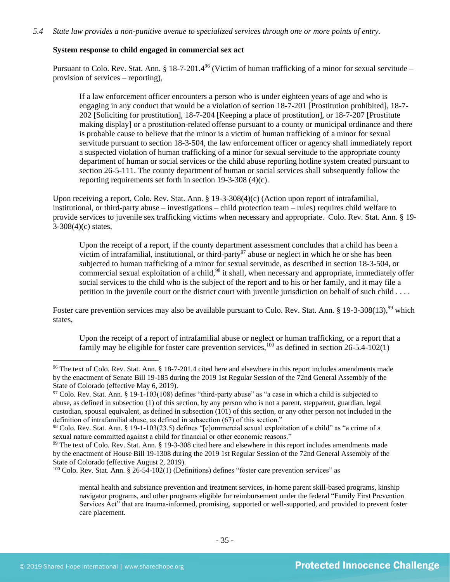## **System response to child engaged in commercial sex act**

Pursuant to Colo. Rev. Stat. Ann. § 18-7-201.4<sup>96</sup> (Victim of human trafficking of a minor for sexual servitude – provision of services – reporting),

If a law enforcement officer encounters a person who is under eighteen years of age and who is engaging in any conduct that would be a violation of section 18-7-201 [Prostitution prohibited], 18-7- 202 [Soliciting for prostitution], 18-7-204 [Keeping a place of prostitution], or 18-7-207 [Prostitute making display] or a prostitution-related offense pursuant to a county or municipal ordinance and there is probable cause to believe that the minor is a victim of human trafficking of a minor for sexual servitude pursuant to section 18-3-504, the law enforcement officer or agency shall immediately report a suspected violation of human trafficking of a minor for sexual servitude to the appropriate county department of human or social services or the child abuse reporting hotline system created pursuant to section 26-5-111. The county department of human or social services shall subsequently follow the reporting requirements set forth in section 19-3-308 (4)(c).

Upon receiving a report, Colo. Rev. Stat. Ann. § 19-3-308(4)(c) (Action upon report of intrafamilial, institutional, or third-party abuse – investigations – child protection team – rules) requires child welfare to provide services to juvenile sex trafficking victims when necessary and appropriate. Colo. Rev. Stat. Ann. § 19- 3-308(4)(c) states,

Upon the receipt of a report, if the county department assessment concludes that a child has been a victim of intrafamilial, institutional, or third-party<sup>97</sup> abuse or neglect in which he or she has been subjected to human trafficking of a minor for sexual servitude, as described in section 18-3-504, or commercial sexual exploitation of a child,  $98$  it shall, when necessary and appropriate, immediately offer social services to the child who is the subject of the report and to his or her family, and it may file a petition in the juvenile court or the district court with juvenile jurisdiction on behalf of such child . . . .

Foster care prevention services may also be available pursuant to Colo. Rev. Stat. Ann. § 19-3-308(13),<sup>99</sup> which states,

Upon the receipt of a report of intrafamilial abuse or neglect or human trafficking, or a report that a family may be eligible for foster care prevention services,  $^{100}$  as defined in section 26-5.4-102(1)

<sup>96</sup> The text of Colo. Rev. Stat. Ann. § 18-7-201.4 cited here and elsewhere in this report includes amendments made by the enactment of Senate Bill 19-185 during the 2019 1st Regular Session of the 72nd General Assembly of the State of Colorado (effective May 6, 2019).

 $97$  Colo. Rev. Stat. Ann. § 19-1-103(108) defines "third-party abuse" as "a case in which a child is subjected to abuse, as defined in subsection (1) of this section, by any person who is not a parent, stepparent, guardian, legal custodian, spousal equivalent, as defined in subsection (101) of this section, or any other person not included in the definition of intrafamilial abuse, as defined in subsection (67) of this section."

<sup>98</sup> Colo. Rev. Stat. Ann. § 19-1-103(23.5) defines "[c]ommercial sexual exploitation of a child" as "a crime of a sexual nature committed against a child for financial or other economic reasons."

<sup>&</sup>lt;sup>99</sup> The text of Colo. Rev. Stat. Ann. § 19-3-308 cited here and elsewhere in this report includes amendments made by the enactment of House Bill 19-1308 during the 2019 1st Regular Session of the 72nd General Assembly of the State of Colorado (effective August 2, 2019).

<sup>100</sup> Colo. Rev. Stat. Ann. § 26-54-102(1) (Definitions) defines "foster care prevention services" as

mental health and substance prevention and treatment services, in-home parent skill-based programs, kinship navigator programs, and other programs eligible for reimbursement under the federal "Family First Prevention Services Act" that are trauma-informed, promising, supported or well-supported, and provided to prevent foster care placement.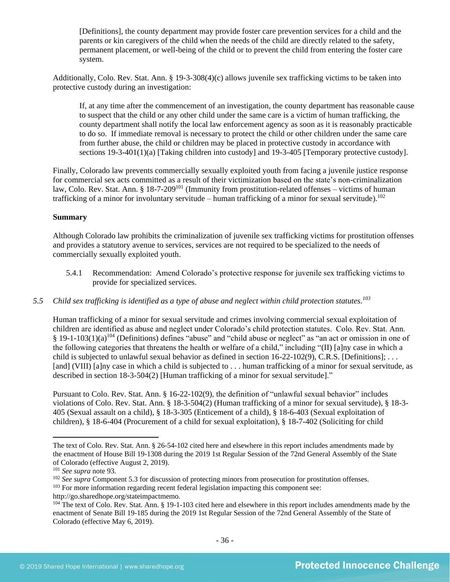[Definitions], the county department may provide foster care prevention services for a child and the parents or kin caregivers of the child when the needs of the child are directly related to the safety, permanent placement, or well-being of the child or to prevent the child from entering the foster care system.

Additionally, Colo. Rev. Stat. Ann. § 19-3-308(4)(c) allows juvenile sex trafficking victims to be taken into protective custody during an investigation:

If, at any time after the commencement of an investigation, the county department has reasonable cause to suspect that the child or any other child under the same care is a victim of human trafficking, the county department shall notify the local law enforcement agency as soon as it is reasonably practicable to do so. If immediate removal is necessary to protect the child or other children under the same care from further abuse, the child or children may be placed in protective custody in accordance with sections 19-3-401(1)(a) [Taking children into custody] and 19-3-405 [Temporary protective custody].

Finally, Colorado law prevents commercially sexually exploited youth from facing a juvenile justice response for commercial sex acts committed as a result of their victimization based on the state's non-criminalization law, Colo. Rev. Stat. Ann. §  $18-7-209^{101}$  (Immunity from prostitution-related offenses – victims of human trafficking of a minor for involuntary servitude – human trafficking of a minor for sexual servitude).<sup>102</sup>

#### **Summary**

Although Colorado law prohibits the criminalization of juvenile sex trafficking victims for prostitution offenses and provides a statutory avenue to services, services are not required to be specialized to the needs of commercially sexually exploited youth.

5.4.1 Recommendation: Amend Colorado's protective response for juvenile sex trafficking victims to provide for specialized services.

## *5.5 Child sex trafficking is identified as a type of abuse and neglect within child protection statutes. 103*

Human trafficking of a minor for sexual servitude and crimes involving commercial sexual exploitation of children are identified as abuse and neglect under Colorado's child protection statutes. Colo. Rev. Stat. Ann.  $§$  19-1-103(1)(a)<sup>104</sup> (Definitions) defines "abuse" and "child abuse or neglect" as "an act or omission in one of the following categories that threatens the health or welfare of a child," including "(II) [a]ny case in which a child is subjected to unlawful sexual behavior as defined in section 16-22-102(9), C.R.S. [Definitions]; . . . [and] (VIII) [a]ny case in which a child is subjected to . . . human trafficking of a minor for sexual servitude, as described in section 18-3-504(2) [Human trafficking of a minor for sexual servitude]."

Pursuant to Colo. Rev. Stat. Ann. § 16-22-102(9), the definition of "unlawful sexual behavior" includes violations of Colo. Rev. Stat. Ann. § 18-3-504(2) (Human trafficking of a minor for sexual servitude), § 18-3- 405 (Sexual assault on a child), § 18-3-305 (Enticement of a child), § 18-6-403 (Sexual exploitation of children), § 18-6-404 (Procurement of a child for sexual exploitation), § 18-7-402 (Soliciting for child

The text of Colo. Rev. Stat. Ann. § 26-54-102 cited here and elsewhere in this report includes amendments made by the enactment of House Bill 19-1308 during the 2019 1st Regular Session of the 72nd General Assembly of the State of Colorado (effective August 2, 2019).

<sup>101</sup> *See supra* not[e 93.](#page-33-0)

<sup>&</sup>lt;sup>102</sup> *See supra* Component 5.3 for discussion of protecting minors from prosecution for prostitution offenses.

<sup>&</sup>lt;sup>103</sup> For more information regarding recent federal legislation impacting this component see:

http://go.sharedhope.org/stateimpactmemo.

<sup>&</sup>lt;sup>104</sup> The text of Colo. Rev. Stat. Ann. § 19-1-103 cited here and elsewhere in this report includes amendments made by the enactment of Senate Bill 19-185 during the 2019 1st Regular Session of the 72nd General Assembly of the State of Colorado (effective May 6, 2019).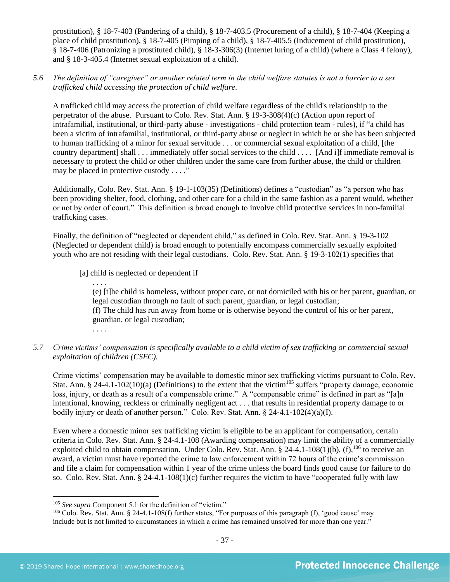prostitution), § 18-7-403 (Pandering of a child), § 18-7-403.5 (Procurement of a child), § 18-7-404 (Keeping a place of child prostitution), § 18-7-405 (Pimping of a child), § 18-7-405.5 (Inducement of child prostitution), § 18-7-406 (Patronizing a prostituted child), § 18-3-306(3) (Internet luring of a child) (where a Class 4 felony), and § 18-3-405.4 (Internet sexual exploitation of a child).

*5.6 The definition of "caregiver" or another related term in the child welfare statutes is not a barrier to a sex trafficked child accessing the protection of child welfare.*

A trafficked child may access the protection of child welfare regardless of the child's relationship to the perpetrator of the abuse. Pursuant to Colo. Rev. Stat. Ann. § 19-3-308(4)(c) (Action upon report of intrafamilial, institutional, or third-party abuse - investigations - child protection team - rules), if "a child has been a victim of intrafamilial, institutional, or third-party abuse or neglect in which he or she has been subjected to human trafficking of a minor for sexual servitude . . . or commercial sexual exploitation of a child, [the country department] shall . . . immediately offer social services to the child . . . . [And i]f immediate removal is necessary to protect the child or other children under the same care from further abuse, the child or children may be placed in protective custody . . . ."

Additionally, Colo. Rev. Stat. Ann. § 19-1-103(35) (Definitions) defines a "custodian" as "a person who has been providing shelter, food, clothing, and other care for a child in the same fashion as a parent would, whether or not by order of court." This definition is broad enough to involve child protective services in non-familial trafficking cases.

Finally, the definition of "neglected or dependent child," as defined in Colo. Rev. Stat. Ann. § 19-3-102 (Neglected or dependent child) is broad enough to potentially encompass commercially sexually exploited youth who are not residing with their legal custodians. Colo. Rev. Stat. Ann. § 19-3-102(1) specifies that

[a] child is neglected or dependent if

. . . . (e) [t]he child is homeless, without proper care, or not domiciled with his or her parent, guardian, or legal custodian through no fault of such parent, guardian, or legal custodian; (f) The child has run away from home or is otherwise beyond the control of his or her parent, guardian, or legal custodian;

- . . . .
- *5.7 Crime victims' compensation is specifically available to a child victim of sex trafficking or commercial sexual exploitation of children (CSEC).*

Crime victims' compensation may be available to domestic minor sex trafficking victims pursuant to Colo. Rev. Stat. Ann. § 24-4.1-102(10)(a) (Definitions) to the extent that the victim<sup>105</sup> suffers "property damage, economic loss, injury, or death as a result of a compensable crime." A "compensable crime" is defined in part as "[a]n intentional, knowing, reckless or criminally negligent act . . . that results in residential property damage to or bodily injury or death of another person." Colo. Rev. Stat. Ann. § 24-4.1-102(4)(a)(I).

Even where a domestic minor sex trafficking victim is eligible to be an applicant for compensation, certain criteria in Colo. Rev. Stat. Ann. § 24-4.1-108 (Awarding compensation) may limit the ability of a commercially exploited child to obtain compensation. Under Colo. Rev. Stat. Ann. § 24-4.1-108(1)(b), (f),  $^{106}$  to receive an award, a victim must have reported the crime to law enforcement within 72 hours of the crime's commission and file a claim for compensation within 1 year of the crime unless the board finds good cause for failure to do so. Colo. Rev. Stat. Ann.  $\S 24-4.1-108(1)(c)$  further requires the victim to have "cooperated fully with law

<sup>&</sup>lt;sup>105</sup> *See supra* Component 5.1 for the definition of "victim."

<sup>106</sup> Colo. Rev. Stat. Ann. § 24-4.1-108(f) further states, "For purposes of this paragraph (f), 'good cause' may include but is not limited to circumstances in which a crime has remained unsolved for more than one year."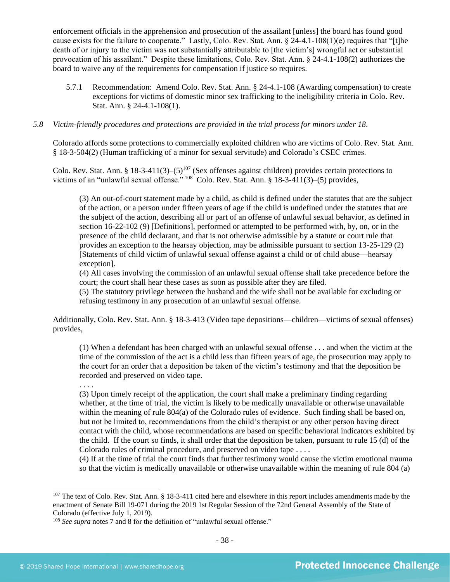enforcement officials in the apprehension and prosecution of the assailant [unless] the board has found good cause exists for the failure to cooperate." Lastly, Colo. Rev. Stat. Ann. § 24-4.1-108(1)(e) requires that "[t]he death of or injury to the victim was not substantially attributable to [the victim's] wrongful act or substantial provocation of his assailant." Despite these limitations, Colo. Rev. Stat. Ann. § 24-4.1-108(2) authorizes the board to waive any of the requirements for compensation if justice so requires.

5.7.1 Recommendation: Amend Colo. Rev. Stat. Ann. § 24-4.1-108 (Awarding compensation) to create exceptions for victims of domestic minor sex trafficking to the ineligibility criteria in Colo. Rev. Stat. Ann. § 24-4.1-108(1).

## *5.8 Victim-friendly procedures and protections are provided in the trial process for minors under 18.*

Colorado affords some protections to commercially exploited children who are victims of Colo. Rev. Stat. Ann. § 18-3-504(2) (Human trafficking of a minor for sexual servitude) and Colorado's CSEC crimes.

Colo. Rev. Stat. Ann. § 18-3-411(3)–(5)<sup>107</sup> (Sex offenses against children) provides certain protections to victims of an "unlawful sexual offense." <sup>108</sup> Colo. Rev. Stat. Ann. § 18-3-411(3)–(5) provides,

(3) An out-of-court statement made by a child, as child is defined under the statutes that are the subject of the action, or a person under fifteen years of age if the child is undefined under the statutes that are the subject of the action, describing all or part of an offense of unlawful sexual behavior, as defined in section 16-22-102 (9) [Definitions], performed or attempted to be performed with, by, on, or in the presence of the child declarant, and that is not otherwise admissible by a statute or court rule that provides an exception to the hearsay objection, may be admissible pursuant to section 13-25-129 (2) [Statements of child victim of unlawful sexual offense against a child or of child abuse—hearsay exception].

(4) All cases involving the commission of an unlawful sexual offense shall take precedence before the court; the court shall hear these cases as soon as possible after they are filed.

(5) The statutory privilege between the husband and the wife shall not be available for excluding or refusing testimony in any prosecution of an unlawful sexual offense.

Additionally, Colo. Rev. Stat. Ann. § 18-3-413 (Video tape depositions—children—victims of sexual offenses) provides,

(1) When a defendant has been charged with an unlawful sexual offense . . . and when the victim at the time of the commission of the act is a child less than fifteen years of age, the prosecution may apply to the court for an order that a deposition be taken of the victim's testimony and that the deposition be recorded and preserved on video tape.

(3) Upon timely receipt of the application, the court shall make a preliminary finding regarding whether, at the time of trial, the victim is likely to be medically unavailable or otherwise unavailable within the meaning of rule 804(a) of the Colorado rules of evidence. Such finding shall be based on, but not be limited to, recommendations from the child's therapist or any other person having direct contact with the child, whose recommendations are based on specific behavioral indicators exhibited by the child. If the court so finds, it shall order that the deposition be taken, pursuant to rule 15 (d) of the Colorado rules of criminal procedure, and preserved on video tape . . . .

(4) If at the time of trial the court finds that further testimony would cause the victim emotional trauma so that the victim is medically unavailable or otherwise unavailable within the meaning of rule 804 (a)

. . . .

 $107$  The text of Colo. Rev. Stat. Ann. § 18-3-411 cited here and elsewhere in this report includes amendments made by the enactment of Senate Bill 19-071 during the 2019 1st Regular Session of the 72nd General Assembly of the State of Colorado (effective July 1, 2019).

<sup>&</sup>lt;sup>108</sup> See supra note[s 7](#page-1-0) and [8](#page-1-2) for the definition of "unlawful sexual offense."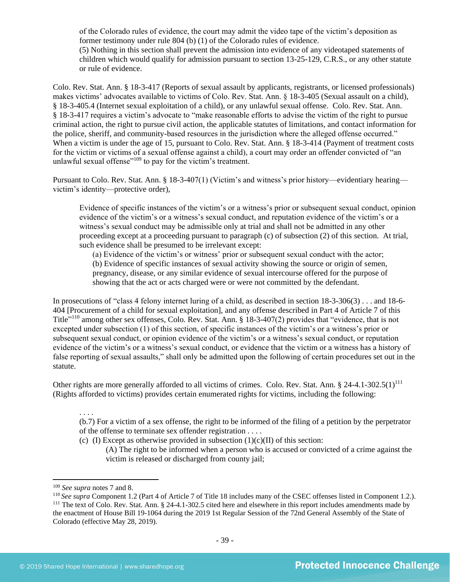of the Colorado rules of evidence, the court may admit the video tape of the victim's deposition as former testimony under rule 804 (b) (1) of the Colorado rules of evidence. (5) Nothing in this section shall prevent the admission into evidence of any videotaped statements of children which would qualify for admission pursuant to section 13-25-129, C.R.S., or any other statute or rule of evidence.

Colo. Rev. Stat. Ann. § 18-3-417 (Reports of sexual assault by applicants, registrants, or licensed professionals) makes victims' advocates available to victims of Colo. Rev. Stat. Ann. § 18-3-405 (Sexual assault on a child), § 18-3-405.4 (Internet sexual exploitation of a child), or any unlawful sexual offense. Colo. Rev. Stat. Ann. § 18-3-417 requires a victim's advocate to "make reasonable efforts to advise the victim of the right to pursue criminal action, the right to pursue civil action, the applicable statutes of limitations, and contact information for the police, sheriff, and community-based resources in the jurisdiction where the alleged offense occurred." When a victim is under the age of 15, pursuant to Colo. Rev. Stat. Ann. § 18-3-414 (Payment of treatment costs for the victim or victims of a sexual offense against a child), a court may order an offender convicted of "an unlawful sexual offense<sup>"109</sup> to pay for the victim's treatment.

Pursuant to Colo. Rev. Stat. Ann. § 18-3-407(1) (Victim's and witness's prior history—evidentiary hearing victim's identity—protective order),

Evidence of specific instances of the victim's or a witness's prior or subsequent sexual conduct, opinion evidence of the victim's or a witness's sexual conduct, and reputation evidence of the victim's or a witness's sexual conduct may be admissible only at trial and shall not be admitted in any other proceeding except at a proceeding pursuant to paragraph (c) of subsection (2) of this section. At trial, such evidence shall be presumed to be irrelevant except:

(a) Evidence of the victim's or witness' prior or subsequent sexual conduct with the actor;

(b) Evidence of specific instances of sexual activity showing the source or origin of semen, pregnancy, disease, or any similar evidence of sexual intercourse offered for the purpose of showing that the act or acts charged were or were not committed by the defendant.

In prosecutions of "class 4 felony internet luring of a child, as described in section 18-3-306(3) . . . and 18-6- 404 [Procurement of a child for sexual exploitation], and any offense described in Part 4 of Article 7 of this Title"<sup>110</sup> among other sex offenses, Colo. Rev. Stat. Ann. § 18-3-407(2) provides that "evidence, that is not excepted under subsection (1) of this section, of specific instances of the victim's or a witness's prior or subsequent sexual conduct, or opinion evidence of the victim's or a witness's sexual conduct, or reputation evidence of the victim's or a witness's sexual conduct, or evidence that the victim or a witness has a history of false reporting of sexual assaults," shall only be admitted upon the following of certain procedures set out in the statute.

Other rights are more generally afforded to all victims of crimes. Colo. Rev. Stat. Ann. § 24-4.1-302.5(1)<sup>111</sup> (Rights afforded to victims) provides certain enumerated rights for victims, including the following:

. . . .

(b.7) For a victim of a sex offense, the right to be informed of the filing of a petition by the perpetrator of the offense to terminate sex offender registration . . . .

(c) (I) Except as otherwise provided in subsection  $(1)(c)(II)$  of this section:

(A) The right to be informed when a person who is accused or convicted of a crime against the victim is released or discharged from county jail;

<sup>109</sup> *See supra* note[s 7](#page-1-0) and [8.](#page-1-2)

<sup>110</sup> *See supra* Component 1.2 (Part 4 of Article 7 of Title 18 includes many of the CSEC offenses listed in Component 1.2.).  $111$  The text of Colo. Rev. Stat. Ann. § 24-4.1-302.5 cited here and elsewhere in this report includes amendments made by the enactment of House Bill 19-1064 during the 2019 1st Regular Session of the 72nd General Assembly of the State of Colorado (effective May 28, 2019).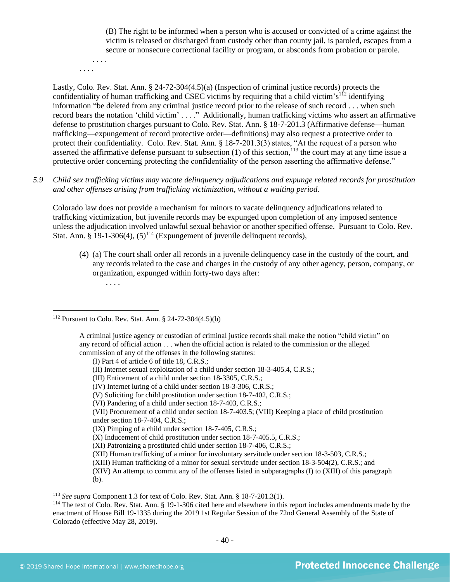(B) The right to be informed when a person who is accused or convicted of a crime against the victim is released or discharged from custody other than county jail, is paroled, escapes from a secure or nonsecure correctional facility or program, or absconds from probation or parole.

. . . .

. . . .

Lastly, Colo. Rev. Stat. Ann. § 24-72-304(4.5)(a) (Inspection of criminal justice records) protects the confidentiality of human trafficking and CSEC victims by requiring that a child victim's<sup>112</sup> identifying information "be deleted from any criminal justice record prior to the release of such record . . . when such record bears the notation 'child victim' . . . ." Additionally, human trafficking victims who assert an affirmative defense to prostitution charges pursuant to Colo. Rev. Stat. Ann. § 18-7-201.3 (Affirmative defense—human trafficking—expungement of record protective order—definitions) may also request a protective order to protect their confidentiality. Colo. Rev. Stat. Ann. § 18-7-201.3(3) states, "At the request of a person who asserted the affirmative defense pursuant to subsection (1) of this section,  $113$  the court may at any time issue a protective order concerning protecting the confidentiality of the person asserting the affirmative defense."

*5.9 Child sex trafficking victims may vacate delinquency adjudications and expunge related records for prostitution and other offenses arising from trafficking victimization, without a waiting period.*

Colorado law does not provide a mechanism for minors to vacate delinquency adjudications related to trafficking victimization, but juvenile records may be expunged upon completion of any imposed sentence unless the adjudication involved unlawful sexual behavior or another specified offense. Pursuant to Colo. Rev. Stat. Ann. § 19-1-306(4),  $(5)^{114}$  (Expungement of juvenile delinquent records),

(4) (a) The court shall order all records in a juvenile delinquency case in the custody of the court, and any records related to the case and charges in the custody of any other agency, person, company, or organization, expunged within forty-two days after: . . . .

(I) Part 4 of article 6 of title 18, C.R.S.;

- (II) Internet sexual exploitation of a child under section 18-3-405.4, C.R.S.;
- (III) Enticement of a child under section 18-3305, C.R.S.;
- (IV) Internet luring of a child under section 18-3-306, C.R.S.;
- (V) Soliciting for child prostitution under section 18-7-402, C.R.S.;
- (VI) Pandering of a child under section 18-7-403, C.R.S.;

(VII) Procurement of a child under section 18-7-403.5; (VIII) Keeping a place of child prostitution under section 18-7-404, C.R.S.;

- (X) Inducement of child prostitution under section 18-7-405.5, C.R.S.;
- (XI) Patronizing a prostituted child under section 18-7-406, C.R.S.;
- (XII) Human trafficking of a minor for involuntary servitude under section 18-3-503, C.R.S.;
- (XIII) Human trafficking of a minor for sexual servitude under section 18-3-504(2), C.R.S.; and

(XIV) An attempt to commit any of the offenses listed in subparagraphs (I) to (XIII) of this paragraph (b).

<sup>113</sup> *See supra* Component 1.3 for text of Colo. Rev. Stat. Ann. § 18-7-201.3(1).

<sup>114</sup> The text of Colo. Rev. Stat. Ann. § 19-1-306 cited here and elsewhere in this report includes amendments made by the enactment of House Bill 19-1335 during the 2019 1st Regular Session of the 72nd General Assembly of the State of Colorado (effective May 28, 2019).

<sup>112</sup> Pursuant to Colo. Rev. Stat. Ann. § 24-72-304(4.5)(b)

A criminal justice agency or custodian of criminal justice records shall make the notion "child victim" on any record of official action . . . when the official action is related to the commission or the alleged commission of any of the offenses in the following statutes:

<sup>(</sup>IX) Pimping of a child under section 18-7-405, C.R.S.;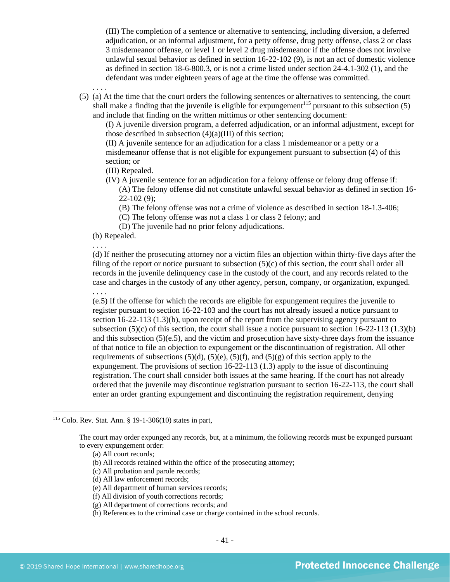(III) The completion of a sentence or alternative to sentencing, including diversion, a deferred adjudication, or an informal adjustment, for a petty offense, drug petty offense, class 2 or class 3 misdemeanor offense, or level 1 or level 2 drug misdemeanor if the offense does not involve unlawful sexual behavior as defined in section 16-22-102 (9), is not an act of domestic violence as defined in section 18-6-800.3, or is not a crime listed under section 24-4.1-302 (1), and the defendant was under eighteen years of age at the time the offense was committed.

- . . . .
- (5) (a) At the time that the court orders the following sentences or alternatives to sentencing, the court shall make a finding that the juvenile is eligible for expungement<sup>115</sup> pursuant to this subsection  $(5)$ and include that finding on the written mittimus or other sentencing document:

(I) A juvenile diversion program, a deferred adjudication, or an informal adjustment, except for those described in subsection  $(4)(a)(III)$  of this section;

(II) A juvenile sentence for an adjudication for a class 1 misdemeanor or a petty or a misdemeanor offense that is not eligible for expungement pursuant to subsection (4) of this section; or

(III) Repealed.

(IV) A juvenile sentence for an adjudication for a felony offense or felony drug offense if:

(A) The felony offense did not constitute unlawful sexual behavior as defined in section 16- 22-102 (9);

(B) The felony offense was not a crime of violence as described in section 18-1.3-406;

(C) The felony offense was not a class 1 or class 2 felony; and

(D) The juvenile had no prior felony adjudications.

(b) Repealed.

. . . .

(d) If neither the prosecuting attorney nor a victim files an objection within thirty-five days after the filing of the report or notice pursuant to subsection  $(5)(c)$  of this section, the court shall order all records in the juvenile delinquency case in the custody of the court, and any records related to the case and charges in the custody of any other agency, person, company, or organization, expunged. . . . .

(e.5) If the offense for which the records are eligible for expungement requires the juvenile to register pursuant to section 16-22-103 and the court has not already issued a notice pursuant to section 16-22-113 (1.3)(b), upon receipt of the report from the supervising agency pursuant to subsection  $(5)(c)$  of this section, the court shall issue a notice pursuant to section  $16-22-113$   $(1.3)(b)$ and this subsection  $(5)(e.5)$ , and the victim and prosecution have sixty-three days from the issuance of that notice to file an objection to expungement or the discontinuation of registration. All other requirements of subsections  $(5)(d)$ ,  $(5)(e)$ ,  $(5)(f)$ , and  $(5)(g)$  of this section apply to the expungement. The provisions of section 16-22-113 (1.3) apply to the issue of discontinuing registration. The court shall consider both issues at the same hearing. If the court has not already ordered that the juvenile may discontinue registration pursuant to section 16-22-113, the court shall enter an order granting expungement and discontinuing the registration requirement, denying

(c) All probation and parole records;

(d) All law enforcement records;

- (e) All department of human services records;
- (f) All division of youth corrections records;
- (g) All department of corrections records; and
- (h) References to the criminal case or charge contained in the school records.

<sup>115</sup> Colo. Rev. Stat. Ann. § 19-1-306(10) states in part,

The court may order expunged any records, but, at a minimum, the following records must be expunged pursuant to every expungement order:

<sup>(</sup>a) All court records;

<sup>(</sup>b) All records retained within the office of the prosecuting attorney;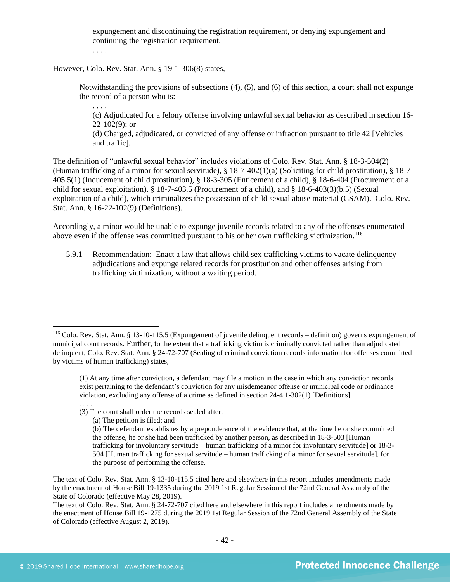expungement and discontinuing the registration requirement, or denying expungement and continuing the registration requirement.

. . . .

. . . .

However, Colo. Rev. Stat. Ann. § 19-1-306(8) states,

Notwithstanding the provisions of subsections (4), (5), and (6) of this section, a court shall not expunge the record of a person who is:

(c) Adjudicated for a felony offense involving unlawful sexual behavior as described in section 16-  $22-102(9)$ ; or

(d) Charged, adjudicated, or convicted of any offense or infraction pursuant to title 42 [Vehicles and traffic].

The definition of "unlawful sexual behavior" includes violations of Colo. Rev. Stat. Ann. § 18-3-504(2) (Human trafficking of a minor for sexual servitude), § 18-7-402(1)(a) (Soliciting for child prostitution), § 18-7- 405.5(1) (Inducement of child prostitution), § 18-3-305 (Enticement of a child), § 18-6-404 (Procurement of a child for sexual exploitation), § 18-7-403.5 (Procurement of a child), and § 18-6-403(3)(b.5) (Sexual exploitation of a child), which criminalizes the possession of child sexual abuse material (CSAM). Colo. Rev. Stat. Ann. § 16-22-102(9) (Definitions).

Accordingly, a minor would be unable to expunge juvenile records related to any of the offenses enumerated above even if the offense was committed pursuant to his or her own trafficking victimization.<sup>116</sup>

5.9.1 Recommendation: Enact a law that allows child sex trafficking victims to vacate delinquency adjudications and expunge related records for prostitution and other offenses arising from trafficking victimization, without a waiting period.

<sup>116</sup> Colo. Rev. Stat. Ann. § 13-10-115.5 (Expungement of juvenile delinquent records – definition) governs expungement of municipal court records. Further, to the extent that a trafficking victim is criminally convicted rather than adjudicated delinquent, Colo. Rev. Stat. Ann. § 24-72-707 (Sealing of criminal conviction records information for offenses committed by victims of human trafficking) states,

<sup>(1)</sup> At any time after conviction, a defendant may file a motion in the case in which any conviction records exist pertaining to the defendant's conviction for any misdemeanor offense or municipal code or ordinance violation, excluding any offense of a crime as defined in section 24-4.1-302(1) [Definitions]. . . . .

<sup>(3)</sup> The court shall order the records sealed after:

<sup>(</sup>a) The petition is filed; and

<sup>(</sup>b) The defendant establishes by a preponderance of the evidence that, at the time he or she committed the offense, he or she had been trafficked by another person, as described in 18-3-503 [Human trafficking for involuntary servitude – human trafficking of a minor for involuntary servitude] or 18-3- 504 [Human trafficking for sexual servitude – human trafficking of a minor for sexual servitude], for the purpose of performing the offense.

The text of Colo. Rev. Stat. Ann. § 13-10-115.5 cited here and elsewhere in this report includes amendments made by the enactment of House Bill 19-1335 during the 2019 1st Regular Session of the 72nd General Assembly of the State of Colorado (effective May 28, 2019).

The text of Colo. Rev. Stat. Ann. § 24-72-707 cited here and elsewhere in this report includes amendments made by the enactment of House Bill 19-1275 during the 2019 1st Regular Session of the 72nd General Assembly of the State of Colorado (effective August 2, 2019).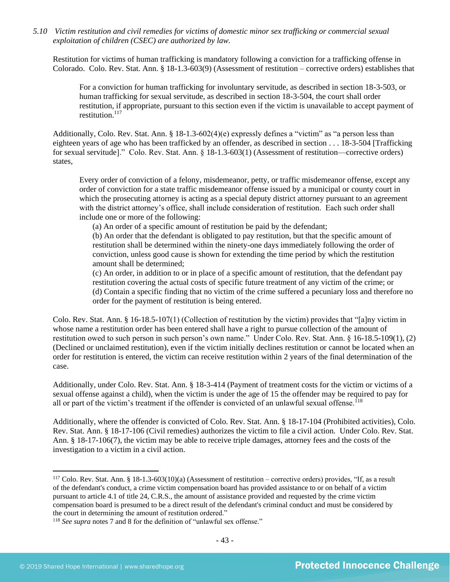*5.10 Victim restitution and civil remedies for victims of domestic minor sex trafficking or commercial sexual exploitation of children (CSEC) are authorized by law.* 

Restitution for victims of human trafficking is mandatory following a conviction for a trafficking offense in Colorado. Colo. Rev. Stat. Ann. § 18-1.3-603(9) (Assessment of restitution – corrective orders) establishes that

For a conviction for human trafficking for involuntary servitude, as described in section 18-3-503, or human trafficking for sexual servitude, as described in section 18-3-504, the court shall order restitution, if appropriate, pursuant to this section even if the victim is unavailable to accept payment of restitution<sup>117</sup>

Additionally, Colo. Rev. Stat. Ann. § 18-1.3-602(4)(e) expressly defines a "victim" as "a person less than eighteen years of age who has been trafficked by an offender, as described in section . . . 18-3-504 [Trafficking for sexual servitude]." Colo. Rev. Stat. Ann. § 18-1.3-603(1) (Assessment of restitution—corrective orders) states,

Every order of conviction of a felony, misdemeanor, petty, or traffic misdemeanor offense, except any order of conviction for a state traffic misdemeanor offense issued by a municipal or county court in which the prosecuting attorney is acting as a special deputy district attorney pursuant to an agreement with the district attorney's office, shall include consideration of restitution. Each such order shall include one or more of the following:

(a) An order of a specific amount of restitution be paid by the defendant;

(b) An order that the defendant is obligated to pay restitution, but that the specific amount of restitution shall be determined within the ninety-one days immediately following the order of conviction, unless good cause is shown for extending the time period by which the restitution amount shall be determined;

(c) An order, in addition to or in place of a specific amount of restitution, that the defendant pay restitution covering the actual costs of specific future treatment of any victim of the crime; or (d) Contain a specific finding that no victim of the crime suffered a pecuniary loss and therefore no order for the payment of restitution is being entered.

Colo. Rev. Stat. Ann. § 16-18.5-107(1) (Collection of restitution by the victim) provides that "[a]ny victim in whose name a restitution order has been entered shall have a right to pursue collection of the amount of restitution owed to such person in such person's own name." Under Colo. Rev. Stat. Ann. § 16-18.5-109(1), (2) (Declined or unclaimed restitution), even if the victim initially declines restitution or cannot be located when an order for restitution is entered, the victim can receive restitution within 2 years of the final determination of the case.

Additionally, under Colo. Rev. Stat. Ann. § 18-3-414 (Payment of treatment costs for the victim or victims of a sexual offense against a child), when the victim is under the age of 15 the offender may be required to pay for all or part of the victim's treatment if the offender is convicted of an unlawful sexual offense.<sup>118</sup>

Additionally, where the offender is convicted of Colo. Rev. Stat. Ann. § 18-17-104 (Prohibited activities), Colo. Rev. Stat. Ann. § 18-17-106 (Civil remedies) authorizes the victim to file a civil action. Under Colo. Rev. Stat. Ann. § 18-17-106(7), the victim may be able to receive triple damages, attorney fees and the costs of the investigation to a victim in a civil action.

 $117$  Colo. Rev. Stat. Ann. § 18-1.3-603(10)(a) (Assessment of restitution – corrective orders) provides, "If, as a result of the defendant's conduct, a crime victim compensation board has provided assistance to or on behalf of a victim pursuant to article 4.1 of title 24, C.R.S., the amount of assistance provided and requested by the crime victim compensation board is presumed to be a direct result of the defendant's criminal conduct and must be considered by the court in determining the amount of restitution ordered."

<sup>&</sup>lt;sup>118</sup> See supra note[s 7](#page-1-0) and [8](#page-1-2) for the definition of "unlawful sex offense."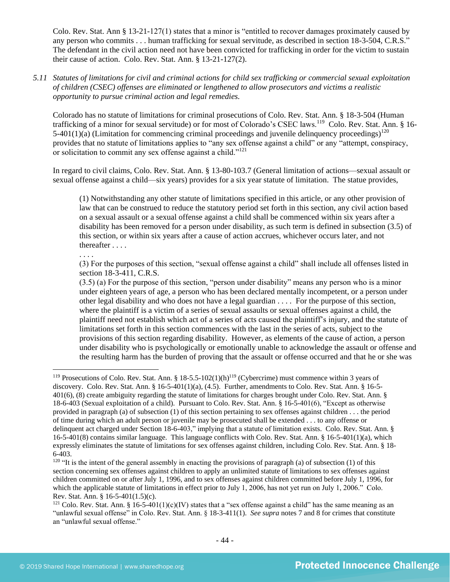Colo. Rev. Stat. Ann § 13-21-127(1) states that a minor is "entitled to recover damages proximately caused by any person who commits . . . human trafficking for sexual servitude, as described in section 18-3-504, C.R.S." The defendant in the civil action need not have been convicted for trafficking in order for the victim to sustain their cause of action. Colo. Rev. Stat. Ann. § 13-21-127(2).

*5.11 Statutes of limitations for civil and criminal actions for child sex trafficking or commercial sexual exploitation of children (CSEC) offenses are eliminated or lengthened to allow prosecutors and victims a realistic opportunity to pursue criminal action and legal remedies.*

Colorado has no statute of limitations for criminal prosecutions of Colo. Rev. Stat. Ann. § 18-3-504 (Human trafficking of a minor for sexual servitude) or for most of Colorado's CSEC laws.<sup>119</sup> Colo. Rev. Stat. Ann. § 16-5-401(1)(a) (Limitation for commencing criminal proceedings and juvenile delinquency proceedings)<sup>120</sup> provides that no statute of limitations applies to "any sex offense against a child" or any "attempt, conspiracy, or solicitation to commit any sex offense against a child."<sup>121</sup>

In regard to civil claims, Colo. Rev. Stat. Ann. § 13-80-103.7 (General limitation of actions—sexual assault or sexual offense against a child—six years) provides for a six year statute of limitation. The statue provides,

(1) Notwithstanding any other statute of limitations specified in this article, or any other provision of law that can be construed to reduce the statutory period set forth in this section, any civil action based on a sexual assault or a sexual offense against a child shall be commenced within six years after a disability has been removed for a person under disability, as such term is defined in subsection (3.5) of this section, or within six years after a cause of action accrues, whichever occurs later, and not thereafter . . . .

. . . .

(3) For the purposes of this section, "sexual offense against a child" shall include all offenses listed in section 18-3-411, C.R.S.

(3.5) (a) For the purpose of this section, "person under disability" means any person who is a minor under eighteen years of age, a person who has been declared mentally incompetent, or a person under other legal disability and who does not have a legal guardian . . . . For the purpose of this section, where the plaintiff is a victim of a series of sexual assaults or sexual offenses against a child, the plaintiff need not establish which act of a series of acts caused the plaintiff's injury, and the statute of limitations set forth in this section commences with the last in the series of acts, subject to the provisions of this section regarding disability. However, as elements of the cause of action, a person under disability who is psychologically or emotionally unable to acknowledge the assault or offense and the resulting harm has the burden of proving that the assault or offense occurred and that he or she was

<sup>&</sup>lt;sup>119</sup> Prosecutions of Colo. Rev. Stat. Ann. § 18-5.5-102(1)(h)<sup>119</sup> (Cybercrime) must commence within 3 years of discovery. Colo. Rev. Stat. Ann. § 16-5-401(1)(a), (4.5). Further, amendments to Colo. Rev. Stat. Ann. § 16-5- 401(6), (8) create ambiguity regarding the statute of limitations for charges brought under Colo. Rev. Stat. Ann. § 18-6-403 (Sexual exploitation of a child). Pursuant to Colo. Rev. Stat. Ann. § 16-5-401(6), "Except as otherwise provided in paragraph (a) of subsection (1) of this section pertaining to sex offenses against children . . . the period of time during which an adult person or juvenile may be prosecuted shall be extended . . . to any offense or delinquent act charged under Section 18-6-403," implying that a statute of limitation exists. Colo. Rev. Stat. Ann. § 16-5-401(8) contains similar language. This language conflicts with Colo. Rev. Stat. Ann. § 16-5-401(1)(a), which expressly eliminates the statute of limitations for sex offenses against children, including Colo. Rev. Stat. Ann. § 18- 6-403.

 $120$  "It is the intent of the general assembly in enacting the provisions of paragraph (a) of subsection (1) of this section concerning sex offenses against children to apply an unlimited statute of limitations to sex offenses against children committed on or after July 1, 1996, and to sex offenses against children committed before July 1, 1996, for which the applicable statute of limitations in effect prior to July 1, 2006, has not yet run on July 1, 2006." Colo. Rev. Stat. Ann. § 16-5-401(1.5)(c).

<sup>&</sup>lt;sup>121</sup> Colo. Rev. Stat. Ann. § 16-5-401(1)(c)(IV) states that a "sex offense against a child" has the same meaning as an "unlawful sexual offense" in Colo. Rev. Stat. Ann. § 18-3-411(1). *See supra* notes [7](#page-1-0) an[d 8](#page-1-2) for crimes that constitute an "unlawful sexual offense."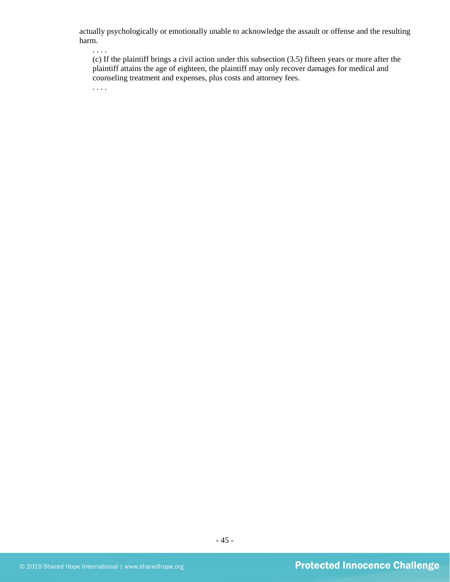actually psychologically or emotionally unable to acknowledge the assault or offense and the resulting harm.

. . . .

(c) If the plaintiff brings a civil action under this subsection (3.5) fifteen years or more after the plaintiff attains the age of eighteen, the plaintiff may only recover damages for medical and counseling treatment and expenses, plus costs and attorney fees.

. . . .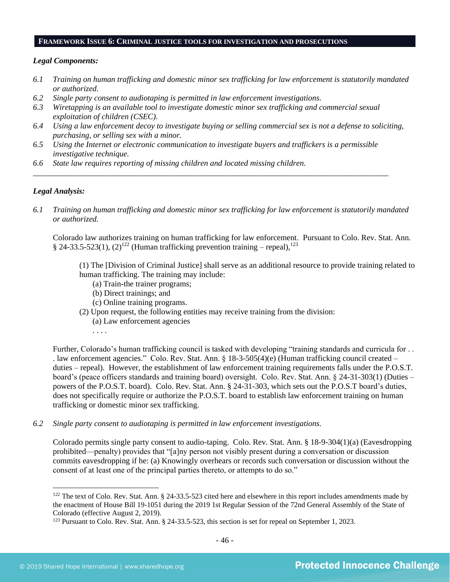#### **FRAMEWORK ISSUE 6: CRIMINAL JUSTICE TOOLS FOR INVESTIGATION AND PROSECUTIONS**

#### *Legal Components:*

- *6.1 Training on human trafficking and domestic minor sex trafficking for law enforcement is statutorily mandated or authorized.*
- *6.2 Single party consent to audiotaping is permitted in law enforcement investigations.*
- *6.3 Wiretapping is an available tool to investigate domestic minor sex trafficking and commercial sexual exploitation of children (CSEC).*
- *6.4 Using a law enforcement decoy to investigate buying or selling commercial sex is not a defense to soliciting, purchasing, or selling sex with a minor.*
- *6.5 Using the Internet or electronic communication to investigate buyers and traffickers is a permissible investigative technique.*

*\_\_\_\_\_\_\_\_\_\_\_\_\_\_\_\_\_\_\_\_\_\_\_\_\_\_\_\_\_\_\_\_\_\_\_\_\_\_\_\_\_\_\_\_\_\_\_\_\_\_\_\_\_\_\_\_\_\_\_\_\_\_\_\_\_\_\_\_\_\_\_\_\_\_\_\_\_\_\_\_\_\_\_\_\_\_\_\_*

*6.6 State law requires reporting of missing children and located missing children.* 

#### *Legal Analysis:*

*6.1 Training on human trafficking and domestic minor sex trafficking for law enforcement is statutorily mandated or authorized.*

Colorado law authorizes training on human trafficking for law enforcement. Pursuant to Colo. Rev. Stat. Ann. § 24-33.5-523(1),  $(2)^{122}$  (Human trafficking prevention training – repeal),<sup>123</sup>

(1) The [Division of Criminal Justice] shall serve as an additional resource to provide training related to human trafficking. The training may include:

- (a) Train-the trainer programs;
- (b) Direct trainings; and
- (c) Online training programs.
- (2) Upon request, the following entities may receive training from the division:
	- (a) Law enforcement agencies
	- . . . .

Further, Colorado's human trafficking council is tasked with developing "training standards and curricula for . . . law enforcement agencies." Colo. Rev. Stat. Ann. § 18-3-505(4)(e) (Human trafficking council created – duties – repeal). However, the establishment of law enforcement training requirements falls under the P.O.S.T. board's (peace officers standards and training board) oversight. Colo. Rev. Stat. Ann. § 24-31-303(1) (Duties – powers of the P.O.S.T. board). Colo. Rev. Stat. Ann. § 24-31-303, which sets out the P.O.S.T board's duties, does not specifically require or authorize the P.O.S.T. board to establish law enforcement training on human trafficking or domestic minor sex trafficking.

*6.2 Single party consent to audiotaping is permitted in law enforcement investigations.*

Colorado permits single party consent to audio-taping. Colo. Rev. Stat. Ann. § 18-9-304(1)(a) (Eavesdropping prohibited—penalty) provides that "[a]ny person not visibly present during a conversation or discussion commits eavesdropping if he: (a) Knowingly overhears or records such conversation or discussion without the consent of at least one of the principal parties thereto, or attempts to do so."

<sup>&</sup>lt;sup>122</sup> The text of Colo. Rev. Stat. Ann. § 24-33.5-523 cited here and elsewhere in this report includes amendments made by the enactment of House Bill 19-1051 during the 2019 1st Regular Session of the 72nd General Assembly of the State of Colorado (effective August 2, 2019).

<sup>&</sup>lt;sup>123</sup> Pursuant to Colo. Rev. Stat. Ann. § 24-33.5-523, this section is set for repeal on September 1, 2023.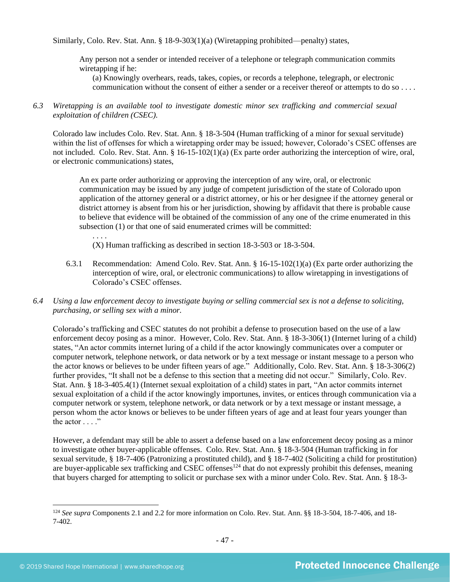Similarly, Colo. Rev. Stat. Ann. § 18-9-303(1)(a) (Wiretapping prohibited—penalty) states,

Any person not a sender or intended receiver of a telephone or telegraph communication commits wiretapping if he:

(a) Knowingly overhears, reads, takes, copies, or records a telephone, telegraph, or electronic communication without the consent of either a sender or a receiver thereof or attempts to do so . . . .

*6.3 Wiretapping is an available tool to investigate domestic minor sex trafficking and commercial sexual exploitation of children (CSEC).* 

Colorado law includes Colo. Rev. Stat. Ann. § 18-3-504 (Human trafficking of a minor for sexual servitude) within the list of offenses for which a wiretapping order may be issued; however, Colorado's CSEC offenses are not included. Colo. Rev. Stat. Ann. § 16-15-102(1)(a) (Ex parte order authorizing the interception of wire, oral, or electronic communications) states,

An ex parte order authorizing or approving the interception of any wire, oral, or electronic communication may be issued by any judge of competent jurisdiction of the state of Colorado upon application of the attorney general or a district attorney, or his or her designee if the attorney general or district attorney is absent from his or her jurisdiction, showing by affidavit that there is probable cause to believe that evidence will be obtained of the commission of any one of the crime enumerated in this subsection (1) or that one of said enumerated crimes will be committed:

(X) Human trafficking as described in section 18-3-503 or 18-3-504.

- 6.3.1 Recommendation: Amend Colo. Rev. Stat. Ann. § 16-15-102(1)(a) (Ex parte order authorizing the interception of wire, oral, or electronic communications) to allow wiretapping in investigations of Colorado's CSEC offenses.
- *6.4 Using a law enforcement decoy to investigate buying or selling commercial sex is not a defense to soliciting, purchasing, or selling sex with a minor.*

Colorado's trafficking and CSEC statutes do not prohibit a defense to prosecution based on the use of a law enforcement decoy posing as a minor. However, Colo. Rev. Stat. Ann. § 18-3-306(1) (Internet luring of a child) states, "An actor commits internet luring of a child if the actor knowingly communicates over a computer or computer network, telephone network, or data network or by a text message or instant message to a person who the actor knows or believes to be under fifteen years of age." Additionally, Colo. Rev. Stat. Ann. § 18-3-306(2) further provides, "It shall not be a defense to this section that a meeting did not occur." Similarly, Colo. Rev. Stat. Ann. § 18-3-405.4(1) (Internet sexual exploitation of a child) states in part, "An actor commits internet sexual exploitation of a child if the actor knowingly importunes, invites, or entices through communication via a computer network or system, telephone network, or data network or by a text message or instant message, a person whom the actor knows or believes to be under fifteen years of age and at least four years younger than the actor  $\dots$ ."

However, a defendant may still be able to assert a defense based on a law enforcement decoy posing as a minor to investigate other buyer-applicable offenses. Colo. Rev. Stat. Ann. § 18-3-504 (Human trafficking in for sexual servitude, § 18-7-406 (Patronizing a prostituted child), and § 18-7-402 (Soliciting a child for prostitution) are buyer-applicable sex trafficking and CSEC offenses<sup>124</sup> that do not expressly prohibit this defenses, meaning that buyers charged for attempting to solicit or purchase sex with a minor under Colo. Rev. Stat. Ann. § 18-3-

. . . .

<sup>124</sup> *See supra* Components 2.1 and 2.2 for more information on Colo. Rev. Stat. Ann. §§ 18-3-504, 18-7-406, and 18- 7-402.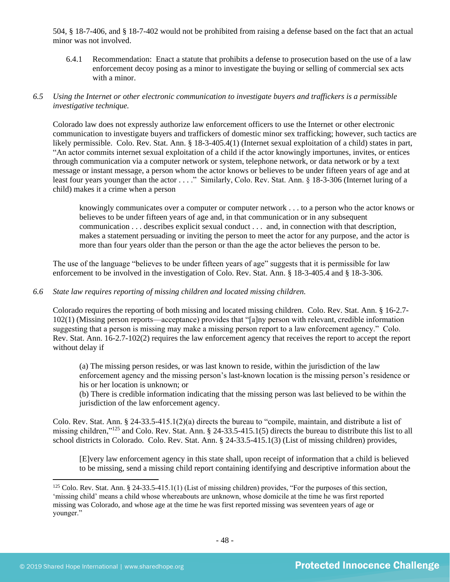504, § 18-7-406, and § 18-7-402 would not be prohibited from raising a defense based on the fact that an actual minor was not involved.

6.4.1 Recommendation: Enact a statute that prohibits a defense to prosecution based on the use of a law enforcement decoy posing as a minor to investigate the buying or selling of commercial sex acts with a minor.

## *6.5 Using the Internet or other electronic communication to investigate buyers and traffickers is a permissible investigative technique.*

Colorado law does not expressly authorize law enforcement officers to use the Internet or other electronic communication to investigate buyers and traffickers of domestic minor sex trafficking; however, such tactics are likely permissible. Colo. Rev. Stat. Ann. § 18-3-405.4(1) (Internet sexual exploitation of a child) states in part, "An actor commits internet sexual exploitation of a child if the actor knowingly importunes, invites, or entices through communication via a computer network or system, telephone network, or data network or by a text message or instant message, a person whom the actor knows or believes to be under fifteen years of age and at least four years younger than the actor . . . ." Similarly, Colo. Rev. Stat. Ann. § 18-3-306 (Internet luring of a child) makes it a crime when a person

knowingly communicates over a computer or computer network . . . to a person who the actor knows or believes to be under fifteen years of age and, in that communication or in any subsequent communication . . . describes explicit sexual conduct . . . and, in connection with that description, makes a statement persuading or inviting the person to meet the actor for any purpose, and the actor is more than four years older than the person or than the age the actor believes the person to be.

The use of the language "believes to be under fifteen years of age" suggests that it is permissible for law enforcement to be involved in the investigation of Colo. Rev. Stat. Ann. § 18-3-405.4 and § 18-3-306.

## *6.6 State law requires reporting of missing children and located missing children.*

Colorado requires the reporting of both missing and located missing children. Colo. Rev. Stat. Ann. § 16-2.7- 102(1) (Missing person reports—acceptance) provides that "[a]ny person with relevant, credible information suggesting that a person is missing may make a missing person report to a law enforcement agency." Colo. Rev. Stat. Ann. 16-2.7-102(2) requires the law enforcement agency that receives the report to accept the report without delay if

(a) The missing person resides, or was last known to reside, within the jurisdiction of the law enforcement agency and the missing person's last-known location is the missing person's residence or his or her location is unknown; or

(b) There is credible information indicating that the missing person was last believed to be within the jurisdiction of the law enforcement agency.

Colo. Rev. Stat. Ann. § 24-33.5-415.1(2)(a) directs the bureau to "compile, maintain, and distribute a list of missing children,"<sup>125</sup> and Colo. Rev. Stat. Ann. § 24-33.5-415.1(5) directs the bureau to distribute this list to all school districts in Colorado. Colo. Rev. Stat. Ann. § 24-33.5-415.1(3) (List of missing children) provides,

[E]very law enforcement agency in this state shall, upon receipt of information that a child is believed to be missing, send a missing child report containing identifying and descriptive information about the

 $125$  Colo. Rev. Stat. Ann. § 24-33.5-415.1(1) (List of missing children) provides, "For the purposes of this section, 'missing child' means a child whose whereabouts are unknown, whose domicile at the time he was first reported missing was Colorado, and whose age at the time he was first reported missing was seventeen years of age or younger."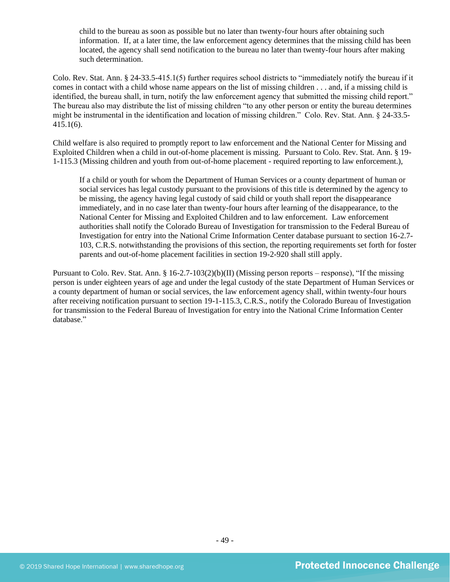child to the bureau as soon as possible but no later than twenty-four hours after obtaining such information. If, at a later time, the law enforcement agency determines that the missing child has been located, the agency shall send notification to the bureau no later than twenty-four hours after making such determination.

Colo. Rev. Stat. Ann. § 24-33.5-415.1(5) further requires school districts to "immediately notify the bureau if it comes in contact with a child whose name appears on the list of missing children . . . and, if a missing child is identified, the bureau shall, in turn, notify the law enforcement agency that submitted the missing child report." The bureau also may distribute the list of missing children "to any other person or entity the bureau determines might be instrumental in the identification and location of missing children." Colo. Rev. Stat. Ann. § 24-33.5- 415.1(6).

Child welfare is also required to promptly report to law enforcement and the National Center for Missing and Exploited Children when a child in out-of-home placement is missing. Pursuant to Colo. Rev. Stat. Ann. § 19- 1-115.3 (Missing children and youth from out-of-home placement - required reporting to law enforcement.),

If a child or youth for whom the Department of Human Services or a county department of human or social services has legal custody pursuant to the provisions of this title is determined by the agency to be missing, the agency having legal custody of said child or youth shall report the disappearance immediately, and in no case later than twenty-four hours after learning of the disappearance, to the National Center for Missing and Exploited Children and to law enforcement. Law enforcement authorities shall notify the Colorado Bureau of Investigation for transmission to the Federal Bureau of Investigation for entry into the National Crime Information Center database pursuant to section 16-2.7- 103, C.R.S. notwithstanding the provisions of this section, the reporting requirements set forth for foster parents and out-of-home placement facilities in section 19-2-920 shall still apply.

Pursuant to Colo. Rev. Stat. Ann. § 16-2.7-103(2)(b)(II) (Missing person reports – response), "If the missing person is under eighteen years of age and under the legal custody of the state Department of Human Services or a county department of human or social services, the law enforcement agency shall, within twenty-four hours after receiving notification pursuant to section 19-1-115.3, C.R.S., notify the Colorado Bureau of Investigation for transmission to the Federal Bureau of Investigation for entry into the National Crime Information Center database."